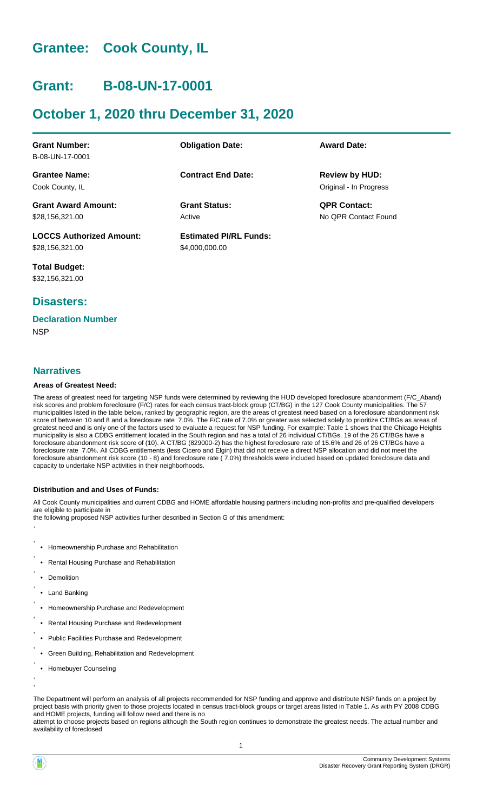## **Grantee: Cook County, IL**

## **Grant: B-08-UN-17-0001**

## **October 1, 2020 thru December 31, 2020**

| <b>Grant Number:</b>            | <b>Obligation Date:</b>       | <b>Award Date:</b>     |
|---------------------------------|-------------------------------|------------------------|
| B-08-UN-17-0001                 |                               |                        |
| <b>Grantee Name:</b>            | <b>Contract End Date:</b>     | <b>Review by HUD:</b>  |
| Cook County, IL                 |                               | Original - In Progress |
| <b>Grant Award Amount:</b>      | <b>Grant Status:</b>          | <b>QPR Contact:</b>    |
| \$28,156,321.00                 | Active                        | No OPR Contact Found   |
| <b>LOCCS Authorized Amount:</b> | <b>Estimated PI/RL Funds:</b> |                        |
| \$28,156,321.00                 | \$4,000,000.00                |                        |

**Total Budget:** \$32,156,321.00

### **Disasters:**

### **Declaration Number**

**NSP** 

### **Narratives**

### **Areas of Greatest Need:**

The areas of greatest need for targeting NSP funds were determined by reviewing the HUD developed foreclosure abandonment (F/C\_Aband) risk scores and problem foreclosure (F/C) rates for each census tract-block group (CT/BG) in the 127 Cook County municipalities. The 57 municipalities listed in the table below, ranked by geographic region, are the areas of greatest need based on a foreclosure abandonment risk score of between 10 and 8 and a foreclosure rate 7.0%. The F/C rate of 7.0% or greater was selected solely to prioritize CT/BGs as areas of greatest need and is only one of the factors used to evaluate a request for NSP funding. For example: Table 1 shows that the Chicago Heights municipality is also a CDBG entitlement located in the South region and has a total of 26 individual CT/BGs. 19 of the 26 CT/BGs have a foreclosure abandonment risk score of (10). A CT/BG (829000-2) has the highest foreclosure rate of 15.6% and 26 of 26 CT/BGs have a foreclosure rate 7.0%. All CDBG entitlements (less Cicero and Elgin) that did not receive a direct NSP allocation and did not meet the foreclosure abandonment risk score (10 - 8) and foreclosure rate ( 7.0%) thresholds were included based on updated foreclosure data and capacity to undertake NSP activities in their neighborhoods.

### **Distribution and and Uses of Funds:**

All Cook County municipalities and current CDBG and HOME affordable housing partners including non-profits and pre-qualified developers are eligible to participate in

the following proposed NSP activities further described in Section G of this amendment: ,

- , • Homeownership Purchase and Rehabilitation
- Rental Housing Purchase and Rehabilitation
- Demolition

,

,

,

,

,

,

,

,

, ,

- Land Banking
- Homeownership Purchase and Redevelopment
- Rental Housing Purchase and Redevelopment
- Public Facilities Purchase and Redevelopment
- Green Building, Rehabilitation and Redevelopment
- Homebuyer Counseling

The Department will perform an analysis of all projects recommended for NSP funding and approve and distribute NSP funds on a project by project basis with priority given to those projects located in census tract-block groups or target areas listed in Table 1. As with PY 2008 CDBG and HOME projects, funding will follow need and there is no

attempt to choose projects based on regions although the South region continues to demonstrate the greatest needs. The actual number and availability of foreclosed

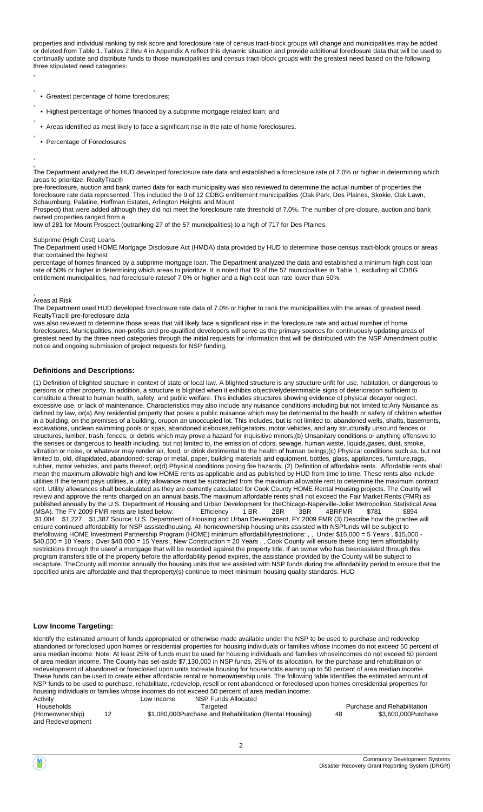properties and individual ranking by risk score and foreclosure rate of census tract-block groups will change and municipalities may be added or deleted from Table 1. Tables 2 thru 4 in Appendix A reflect this dynamic situation and provide additional foreclosure data that will be used to continually update and distribute funds to those municipalities and census tract-block groups with the greatest need based on the following three stipulated need categories: ,

- Greatest percentage of home foreclosures;
- Highest percentage of homes financed by a subprime mortgage related loan; and
- Areas identified as most likely to face a significant rise in the rate of home foreclosures.
- Percentage of Foreclosures

,

,

,

,

,

, The Department analyzed the HUD developed foreclosure rate data and established a foreclosure rate of 7.0% or higher in determining which areas to prioritize. RealtyTrac®

pre-foreclosure, auction and bank owned data for each municipality was also reviewed to determine the actual number of properties the foreclosure rate data represented. This included the 9 of 12 CDBG entitlement municipalities (Oak Park, Des Plaines, Skokie, Oak Lawn, Schaumburg, Palatine, Hoffman Estates, Arlington Heights and Mount

Prospect) that were added although they did not meet the foreclosure rate threshold of 7.0%. The number of pre-closure, auction and bank owned properties ranged from a

low of 281 for Mount Prospect (outranking 27 of the 57 municipalities) to a high of 717 for Des Plaines.

### Subprime (High Cost) Loans

The Department used HOME Mortgage Disclosure Act (HMDA) data provided by HUD to determine those census tract-block groups or areas that contained the highest

percentage of homes financed by a subprime mortgage loan. The Department analyzed the data and established a minimum high cost loan rate of 50% or higher in determining which areas to prioritize. It is noted that 19 of the 57 municipalities in Table 1, excluding all CDBG entitlement municipalities, had foreclosure ratesof 7.0% or higher and a high cost loan rate lower than 50%.

#### , Areas at Risk

The Department used HUD developed foreclosure rate data of 7.0% or higher to rank the municipalities with the areas of greatest need. RealtyTrac® pre-foreclosure data

was also reviewed to determine those areas that will likely face a significant rise in the foreclosure rate and actual number of home foreclosures. Municipalities, non-profits and pre-qualified developers will serve as the primary sources for continuously updating areas of greatest need by the three need categories through the initial requests for information that will be distributed with the NSP Amendment public notice and ongoing submission of project requests for NSP funding.

### **Definitions and Descriptions:**

(1) Definition of blighted structure in context of state or local law. A blighted structure is any structure unfit for use, habitation, or dangerous to persons or other property. In addition, a structure is blighted when it exhibits objectivelydeterminable signs of deterioration sufficient to constitute a threat to human health, safety, and public welfare. This includes structures showing evidence of physical decayor neglect, excessive use, or lack of maintenance. Characteristics may also include any nuisance conditions including but not limited to:Any Nuisance as defined by law, or(a) Any residential property that poses a public nuisance which may be detrimental to the health or safety of children whether in a building, on the premises of a building, orupon an unoccupied lot. This includes, but is not limited to: abandoned wells, shafts, basements, excavations, unclean swimming pools or spas, abandoned iceboxes,refrigerators, motor vehicles, and any structurally unsound fences or structures, lumber, trash, fences, or debris which may prove a hazard for inquisitive minors;(b) Unsanitary conditions or anything offensive to the senses or dangerous to health including, but not limited to, the emission of odors, sewage, human waste, liquids,gases, dust, smoke, vibration or noise, or whatever may render air, food, or drink detrimental to the health of human beings;(c) Physical conditions such as, but not limited to, old, dilapidated, abandoned: scrap or metal, paper, building materials and equipment, bottles, glass, appliances, furniture,rags, rubber, motor vehicles, and parts thereof; or(d) Physical conditions posing fire hazards, (2) Definition of affordable rents. Affordable rents shall mean the maximum allowable high and low HOME rents as applicable and as published by HUD from time to time. These rents also include utilities.If the tenant pays utilities, a utility allowance must be subtracted from the maximum allowable rent to determine the maximum contract rent. Utility allowances shall becalculated as they are currently calculated for Cook County HOME Rental Housing projects. The County will review and approve the rents charged on an annual basis.The maximum affordable rents shall not exceed the Fair Market Rents (FMR) as published annually by the U.S. Department of Housing and Urban Development for theChicago-Naperville-Joliet Metropolitan Statistical Area<br>(MSA). The FY 2009 FMR rents are listed below: Ffficiency 1BR 2BR 3BR 4BRFMR \$781 \$8 (MSA). The FY 2009 FMR rents are listed below: Efficiency 1 BR 2BR 3BR 4BRFMR \$781 \$894 \$1,004 \$1,227 \$1,387 Source: U.S. Department of Housing and Urban Development, FY 2009 FMR (3) Describe how the grantee will ensure continued affordability for NSP assistedhousing. All homeownership housing units assisted with NSPfunds will be subject to thefollowing HOME Investment Partnership Program (HOME) minimum affordabilityrestrictions: , , Under \$15,000 = 5 Years , \$15,000 - \$40,000 = 10 Years , Over \$40,000 = 15 Years , New Construction = 20 Years , , Cook County will ensure these long term affordability restrictions through the useof a mortgage that will be recorded against the property title. If an owner who has beenassisted through this program transfers title of the property before the affordability period expires, the assistance provided by the County will be subject to recapture. TheCounty will monitor annually the housing units that are assisted with NSP funds during the affordability period to ensure that the specified units are affordable and that theproperty(s) continue to meet minimum housing quality standards. HUD

#### **Low Income Targeting:**

Identify the estimated amount of funds appropriated or otherwise made available under the NSP to be used to purchase and redevelop abandoned or foreclosed upon homes or residential properties for housing individuals or families whose incomes do not exceed 50 percent of area median income: Note: At least 25% of funds must be used for housing individuals and families whoseincomes do not exceed 50 percent of area median income. The County has set-aside \$7,130,000 in NSP funds, 25% of its allocation, for the purchase and rehabilitation or redevelopment of abandoned or foreclosed upon units tocreate housing for households earning up to 50 percent of area median income. These funds can be used to create either affordable rental or homeownership units. The following table Identifies the estimated amount of NSP funds to be used to purchase, rehabilitate, redevelop, resell or rent abandoned or foreclosed upon homes orresidential properties for housing individuals or families whose incomes do not exceed 50 percent of area median income:

| Activity                             | Low Income | NSP Funds Allocated                                     |    |                             |
|--------------------------------------|------------|---------------------------------------------------------|----|-----------------------------|
| Households                           |            | Targeted                                                |    | Purchase and Rehabilitation |
| (Homeownership)<br>and Redevelopment |            | \$1,080,000Purchase and Rehabilitation (Rental Housing) | 48 | \$3.600.000Purchase         |

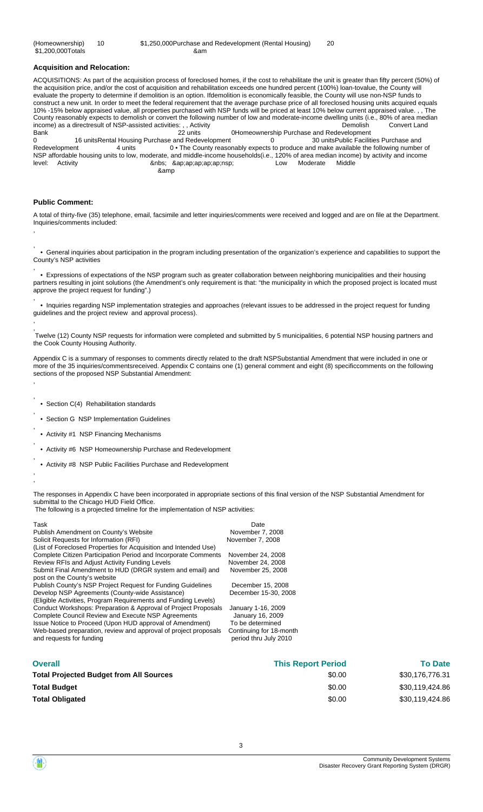### **Acquisition and Relocation:**

ACQUISITIONS: As part of the acquisition process of foreclosed homes, if the cost to rehabilitate the unit is greater than fifty percent (50%) of the acquisition price, and/or the cost of acquisition and rehabilitation exceeds one hundred percent (100%) loan-tovalue, the County will evaluate the property to determine if demolition is an option. Ifdemolition is economically feasible, the County will use non-NSP funds to construct a new unit. In order to meet the federal requirement that the average purchase price of all foreclosed housing units acquired equals 10% -15% below appraised value, all properties purchased with NSP funds will be priced at least 10% below current appraised value. , , The County reasonably expects to demolish or convert the following number of low and moderate-income dwelling units (i.e., 80% of area median income) as a directresult of NSP-assisted activities: , , Activity **Demolish Convert Land** Convert Land Bank 22 units 0Homeownership Purchase and Redevelopment 0 16 unitsRental Housing Purchase and Redevelopment 0 30 unitsPublic Facilities Purchase and<br>Redevelopment 4 units 0 • The County reasonably expects to produce and make available the following number 0 • The County reasonably expects to produce and make available the following number of NSP affordable housing units to low, moderate, and middle-income households(i.e., 120% of area median income) by activity and income Activity **and Supersyte Controlle** Activity & Anbs; ≈ap;ap;ap;nsp; Cow Moderate Middle en and a state of the state of the state of the state of the state of the state of the state of the state of t

### **Public Comment:**

,

,

,

,

,

,

,

, ,

A total of thirty-five (35) telephone, email, facsimile and letter inquiries/comments were received and logged and are on file at the Department. Inquiries/comments included: ,

 • General inquiries about participation in the program including presentation of the organization's experience and capabilities to support the County's NSP activities

 • Expressions of expectations of the NSP program such as greater collaboration between neighboring municipalities and their housing partners resulting in joint solutions (the Amendment's only requirement is that: "the municipality in which the proposed project is located must approve the project request for funding".)

 • Inquiries regarding NSP implementation strategies and approaches (relevant issues to be addressed in the project request for funding guidelines and the project review and approval process). ,

 Twelve (12) County NSP requests for information were completed and submitted by 5 municipalities, 6 potential NSP housing partners and the Cook County Housing Authority.

Appendix C is a summary of responses to comments directly related to the draft NSPSubstantial Amendment that were included in one or more of the 35 inquiries/commentsreceived. Appendix C contains one (1) general comment and eight (8) specificcomments on the following sections of the proposed NSP Substantial Amendment: ,

- , • Section C(4) Rehabilitation standards
- , • Section G NSP Implementation Guidelines
- Activity #1 NSP Financing Mechanisms
- Activity #6 NSP Homeownership Purchase and Redevelopment
- Activity #8 NSP Public Facilities Purchase and Redevelopment

The responses in Appendix C have been incorporated in appropriate sections of this final version of the NSP Substantial Amendment for submittal to the Chicago HUD Field Office. The following is a projected timeline for the implementation of NSP activities:

| Task                                                                                      | Date                      |  |  |
|-------------------------------------------------------------------------------------------|---------------------------|--|--|
| Publish Amendment on County's Website                                                     | November 7, 2008          |  |  |
| Solicit Requests for Information (RFI)                                                    | November 7, 2008          |  |  |
| (List of Foreclosed Properties for Acquisition and Intended Use)                          |                           |  |  |
| Complete Citizen Participation Period and Incorporate Comments                            | November 24, 2008         |  |  |
| Review RFIs and Adjust Activity Funding Levels                                            | November 24, 2008         |  |  |
| Submit Final Amendment to HUD (DRGR system and email) and<br>post on the County's website | November 25, 2008         |  |  |
| Publish County's NSP Project Request for Funding Guidelines                               | December 15, 2008         |  |  |
| Develop NSP Agreements (County-wide Assistance)                                           | December 15-30, 2008      |  |  |
| (Eligible Activities, Program Requirements and Funding Levels)                            |                           |  |  |
| Conduct Workshops: Preparation & Approval of Project Proposals                            | January 1-16, 2009        |  |  |
| Complete Council Review and Execute NSP Agreements                                        | January 16, 2009          |  |  |
| Issue Notice to Proceed (Upon HUD approval of Amendment)                                  | To be determined          |  |  |
| Web-based preparation, review and approval of project proposals                           | Continuing for 18-month   |  |  |
| and requests for funding                                                                  | period thru July 2010     |  |  |
| <b>Overall</b>                                                                            | <b>This Report Period</b> |  |  |
| <b>Total Projected Budget from All Sources</b>                                            | \$0.00                    |  |  |
| Total Budget                                                                              | \$0.00                    |  |  |

\$30,176,776.31 **To Date** \$30,119,424.86 \$30,119,424.86

\$0.00



**Total Obligated**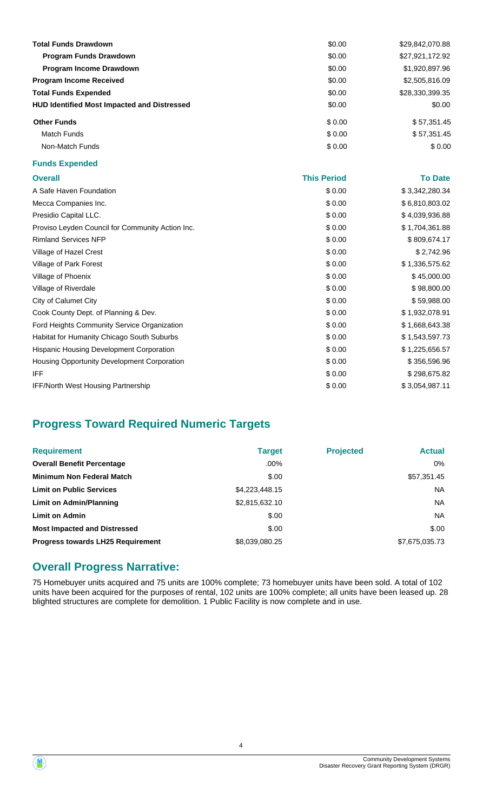| <b>Total Funds Drawdown</b>                        | \$0.00 | \$29,842,070.88 |
|----------------------------------------------------|--------|-----------------|
| <b>Program Funds Drawdown</b>                      | \$0.00 | \$27,921,172.92 |
| Program Income Drawdown                            | \$0.00 | \$1,920,897.96  |
| <b>Program Income Received</b>                     | \$0.00 | \$2,505,816.09  |
| <b>Total Funds Expended</b>                        | \$0.00 | \$28,330,399.35 |
| <b>HUD Identified Most Impacted and Distressed</b> | \$0.00 | \$0.00          |
| <b>Other Funds</b>                                 | \$0.00 | \$57,351.45     |
| Match Funds                                        | \$0.00 | \$57,351.45     |
| Non-Match Funds                                    | \$0.00 | \$0.00          |

### **Funds Expended**

| <b>Overall</b>                                   | <b>This Period</b> | <b>To Date</b> |
|--------------------------------------------------|--------------------|----------------|
| A Safe Haven Foundation                          | \$0.00             | \$3,342,280.34 |
| Mecca Companies Inc.                             | \$0.00             | \$6,810,803.02 |
| Presidio Capital LLC.                            | \$0.00             | \$4,039,936.88 |
| Proviso Leyden Council for Community Action Inc. | \$0.00             | \$1,704,361.88 |
| <b>Rimland Services NFP</b>                      | \$0.00             | \$809,674.17   |
| Village of Hazel Crest                           | \$0.00             | \$2,742.96     |
| Village of Park Forest                           | \$0.00             | \$1,336,575.62 |
| Village of Phoenix                               | \$0.00             | \$45,000.00    |
| Village of Riverdale                             | \$0.00             | \$98,800.00    |
| City of Calumet City                             | \$0.00             | \$59,988.00    |
| Cook County Dept. of Planning & Dev.             | \$0.00             | \$1,932,078.91 |
| Ford Heights Community Service Organization      | \$0.00             | \$1,668,643.38 |
| Habitat for Humanity Chicago South Suburbs       | \$0.00             | \$1,543,597.73 |
| Hispanic Housing Development Corporation         | \$0.00             | \$1,225,656.57 |
| Housing Opportunity Development Corporation      | \$0.00             | \$356,596.96   |
| IFF.                                             | \$0.00             | \$298,675.82   |
| <b>IFF/North West Housing Partnership</b>        | \$0.00             | \$3,054,987.11 |

## **Progress Toward Required Numeric Targets**

| <b>Requirement</b>                       | <b>Target</b>  | <b>Projected</b> | <b>Actual</b>  |
|------------------------------------------|----------------|------------------|----------------|
| <b>Overall Benefit Percentage</b>        | $.00\%$        |                  | 0%             |
| Minimum Non Federal Match                | \$.00          |                  | \$57,351.45    |
| <b>Limit on Public Services</b>          | \$4,223,448.15 |                  | NA.            |
| Limit on Admin/Planning                  | \$2,815,632.10 |                  | NA.            |
| <b>Limit on Admin</b>                    | \$.00          |                  | NA.            |
| <b>Most Impacted and Distressed</b>      | \$.00          |                  | \$.00          |
| <b>Progress towards LH25 Requirement</b> | \$8,039,080.25 |                  | \$7,675,035.73 |

### **Overall Progress Narrative:**

75 Homebuyer units acquired and 75 units are 100% complete; 73 homebuyer units have been sold. A total of 102 units have been acquired for the purposes of rental, 102 units are 100% complete; all units have been leased up. 28 blighted structures are complete for demolition. 1 Public Facility is now complete and in use.

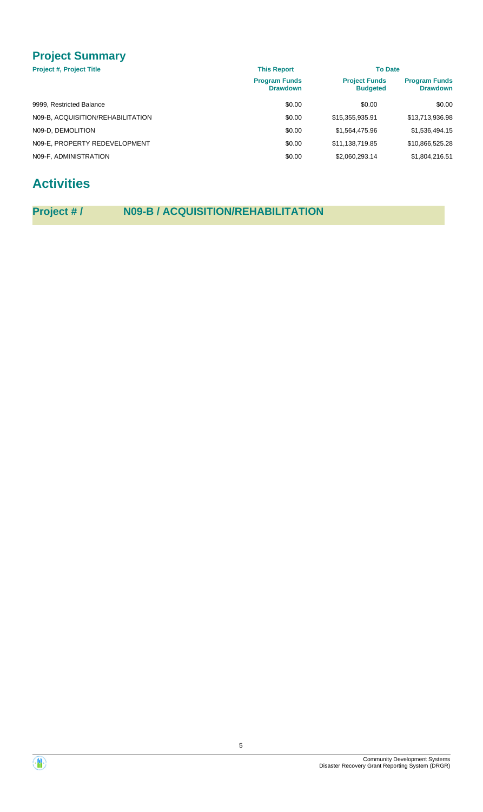## **Project Summary**

| <b>Project #, Project Title</b>   | <b>This Report</b>                      | <b>To Date</b>                          |                                         |
|-----------------------------------|-----------------------------------------|-----------------------------------------|-----------------------------------------|
|                                   | <b>Program Funds</b><br><b>Drawdown</b> | <b>Project Funds</b><br><b>Budgeted</b> | <b>Program Funds</b><br><b>Drawdown</b> |
| 9999, Restricted Balance          | \$0.00                                  | \$0.00                                  | \$0.00                                  |
| N09-B, ACQUISITION/REHABILITATION | \$0.00                                  | \$15,355,935.91                         | \$13,713,936.98                         |
| N09-D. DEMOLITION                 | \$0.00                                  | \$1,564,475.96                          | \$1,536,494.15                          |
| N09-E, PROPERTY REDEVELOPMENT     | \$0.00                                  | \$11,138,719.85                         | \$10,866,525.28                         |
| N09-F, ADMINISTRATION             | \$0.00                                  | \$2,060,293.14                          | \$1,804,216.51                          |

## **Activities**

## **Project # / N09-B / ACQUISITION/REHABILITATION**

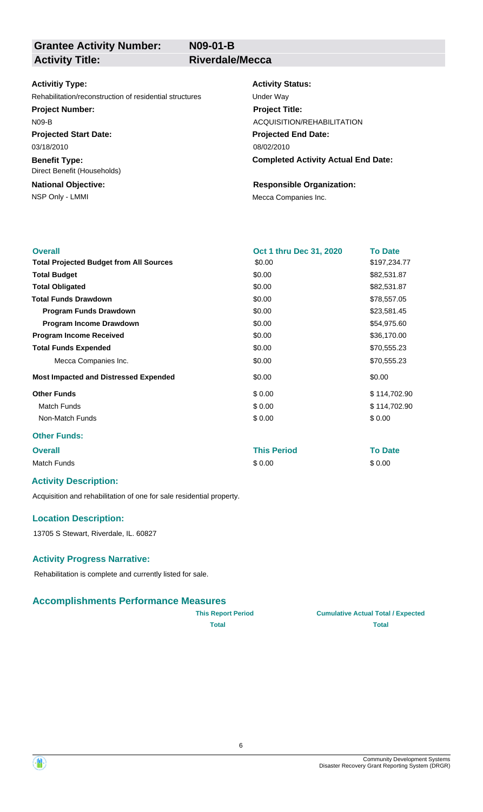**N09-01-B**

### **Grantee Activity Number: Activity Title: Riverdale/Mecca**

### **Activitiy Type:**

Rehabilitation/reconstruction of residential structures Under Way

### **Project Number:**

N09-B

**Projected Start Date:** 03/18/2010

**Benefit Type:** Direct Benefit (Households)

## **National Objective:**

### **Activity Status:**

**Projected End Date: Completed Activity Actual End Date:** 08/02/2010 **Project Title:** ACQUISITION/REHABILITATION

### **Responsible Organization:**

NSP Only - LMMI MECA Companies Inc.

| <b>Overall</b>                                 | Oct 1 thru Dec 31, 2020 | <b>To Date</b> |
|------------------------------------------------|-------------------------|----------------|
| <b>Total Projected Budget from All Sources</b> | \$0.00                  | \$197,234.77   |
| <b>Total Budget</b>                            | \$0.00                  | \$82,531.87    |
| <b>Total Obligated</b>                         | \$0.00                  | \$82,531.87    |
| <b>Total Funds Drawdown</b>                    | \$0.00                  | \$78,557.05    |
| <b>Program Funds Drawdown</b>                  | \$0.00                  | \$23,581.45    |
| <b>Program Income Drawdown</b>                 | \$0.00                  | \$54,975.60    |
| <b>Program Income Received</b>                 | \$0.00                  | \$36,170.00    |
| <b>Total Funds Expended</b>                    | \$0.00                  | \$70,555.23    |
| Mecca Companies Inc.                           | \$0.00                  | \$70,555.23    |
| <b>Most Impacted and Distressed Expended</b>   | \$0.00                  | \$0.00         |
| <b>Other Funds</b>                             | \$0.00                  | \$114,702.90   |
| <b>Match Funds</b>                             | \$0.00                  | \$114,702.90   |
| Non-Match Funds                                | \$0.00                  | \$0.00         |
| <b>Other Funds:</b>                            |                         |                |
| <b>Overall</b>                                 | <b>This Period</b>      | <b>To Date</b> |

Match Funds \$ 0.00 \$ 0.00

## **Activity Description:**

Acquisition and rehabilitation of one for sale residential property.

### **Location Description:**

13705 S Stewart, Riverdale, IL. 60827

### **Activity Progress Narrative:**

Rehabilitation is complete and currently listed for sale.

### **Accomplishments Performance Measures**

| <b>This Report Period</b> | <b>Cumulative Actual Total / Expected</b> |
|---------------------------|-------------------------------------------|
| Total                     | <b>Total</b>                              |

| <b>Cumulative Actual Total / Expected</b> |  |
|-------------------------------------------|--|
| Total                                     |  |



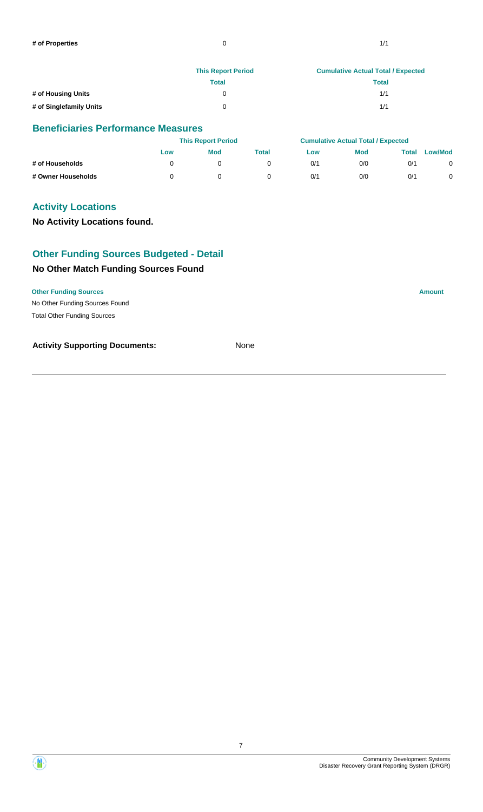|                         | <b>This Report Period</b> | <b>Cumulative Actual Total / Expected</b> |
|-------------------------|---------------------------|-------------------------------------------|
|                         | Total                     | Total                                     |
| # of Housing Units      |                           | 1/1                                       |
| # of Singlefamily Units |                           | 1/1                                       |

### **Beneficiaries Performance Measures**

|                    | <b>This Report Period</b> |            |       | <b>Cumulative Actual Total / Expected</b> |            |       |                |
|--------------------|---------------------------|------------|-------|-------------------------------------------|------------|-------|----------------|
|                    | Low                       | <b>Mod</b> | Total | Low                                       | <b>Mod</b> | Total | <b>Low/Mod</b> |
| # of Households    |                           |            |       | 0/1                                       | 0/0        | 0/1   |                |
| # Owner Households |                           |            |       | 0/1                                       | 0/0        | 0/1   |                |

### **Activity Locations**

### **No Activity Locations found.**

### **Other Funding Sources Budgeted - Detail**

### **No Other Match Funding Sources Found**

### **Other Funding Sources Amount**

No Other Funding Sources Found Total Other Funding Sources

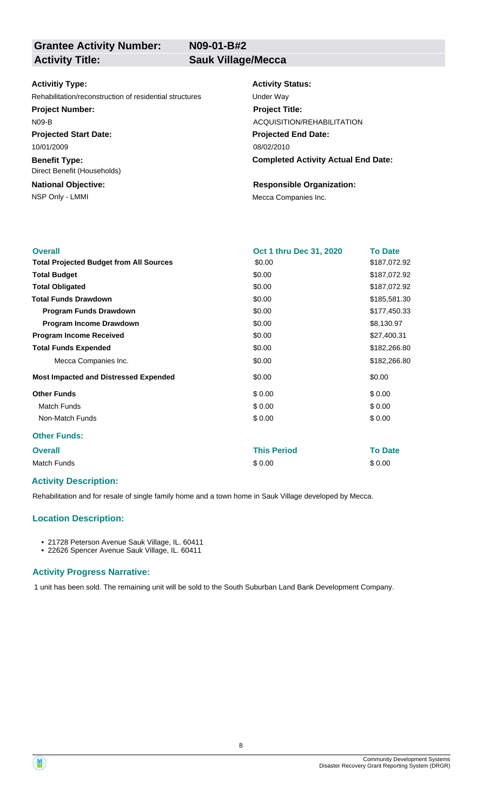**N09-01-B#2**

### **Activitiy Type:**

Rehabilitation/reconstruction of residential structures Under Way

**Project Number:**

N09-B

**Projected Start Date:** 10/01/2009

**Benefit Type:** Direct Benefit (Households)

**National Objective:**

### **Activity Status:**

**Projected End Date: Completed Activity Actual End Date:** 08/02/2010 **Project Title:** ACQUISITION/REHABILITATION

### **Responsible Organization:**

NSP Only - LMMI MECA Companies Inc.

| <b>Overall</b>                                 | Oct 1 thru Dec 31, 2020 | <b>To Date</b> |
|------------------------------------------------|-------------------------|----------------|
| <b>Total Projected Budget from All Sources</b> | \$0.00                  | \$187,072.92   |
| <b>Total Budget</b>                            | \$0.00                  | \$187,072.92   |
| <b>Total Obligated</b>                         | \$0.00                  | \$187,072.92   |
| <b>Total Funds Drawdown</b>                    | \$0.00                  | \$185,581.30   |
| <b>Program Funds Drawdown</b>                  | \$0.00                  | \$177,450.33   |
| Program Income Drawdown                        | \$0.00                  | \$8,130.97     |
| <b>Program Income Received</b>                 | \$0.00                  | \$27,400.31    |
| <b>Total Funds Expended</b>                    | \$0.00                  | \$182,266.80   |
| Mecca Companies Inc.                           | \$0.00                  | \$182,266.80   |
| <b>Most Impacted and Distressed Expended</b>   | \$0.00                  | \$0.00         |
| <b>Other Funds</b>                             | \$0.00                  | \$0.00         |
| <b>Match Funds</b>                             | \$0.00                  | \$0.00         |
| Non-Match Funds                                | \$0.00                  | \$0.00         |
| <b>Other Funds:</b>                            |                         |                |
| <b>Overall</b>                                 | <b>This Period</b>      | <b>To Date</b> |
| <b>Match Funds</b>                             | \$0.00                  | \$0.00         |
|                                                |                         |                |

### **Activity Description:**

Rehabilitation and for resale of single family home and a town home in Sauk Village developed by Mecca.

### **Location Description:**

• 21728 Peterson Avenue Sauk Village, IL. 60411

• 22626 Spencer Avenue Sauk Village, IL. 60411

### **Activity Progress Narrative:**

1 unit has been sold. The remaining unit will be sold to the South Suburban Land Bank Development Company.

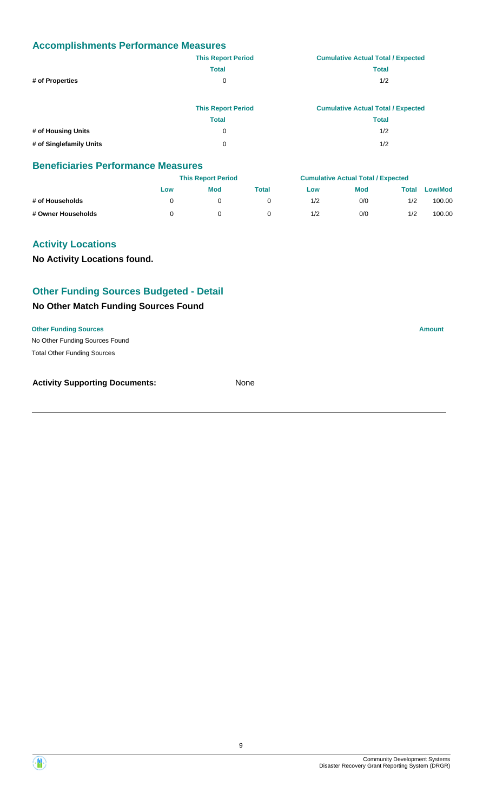|                         | <b>This Report Period</b> | <b>Cumulative Actual Total / Expected</b> |
|-------------------------|---------------------------|-------------------------------------------|
|                         | <b>Total</b>              | <b>Total</b>                              |
| # of Properties         | 0                         | 1/2                                       |
|                         | <b>This Report Period</b> | <b>Cumulative Actual Total / Expected</b> |
|                         | <b>Total</b>              | <b>Total</b>                              |
| # of Housing Units      | 0                         | 1/2                                       |
| # of Singlefamily Units | 0                         | 1/2                                       |

### **Beneficiaries Performance Measures**

|                    |     | <b>This Report Period</b> |       |     | <b>Cumulative Actual Total / Expected</b> |       |                |
|--------------------|-----|---------------------------|-------|-----|-------------------------------------------|-------|----------------|
|                    | Low | Mod                       | Total | Low | <b>Mod</b>                                | Total | <b>Low/Mod</b> |
| # of Households    |     |                           |       | 1/2 | 0/0                                       | 1/2   | 100.00         |
| # Owner Households |     |                           |       | 1/2 | 0/0                                       | 1/2   | 100.00         |

### **Activity Locations**

**No Activity Locations found.**

### **Other Funding Sources Budgeted - Detail**

### **No Other Match Funding Sources Found**

**Other Funding Sources Amount** 

No Other Funding Sources Found Total Other Funding Sources



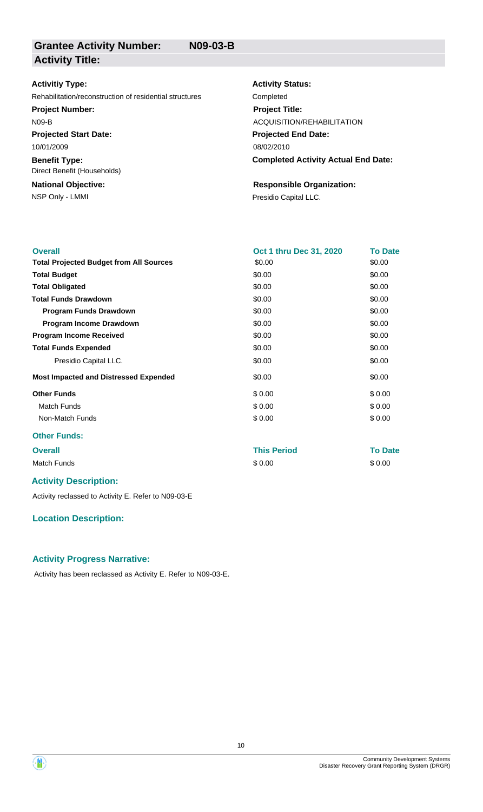| <b>Activitiy Type:</b>                                  | <b>Activity Status:</b>                    |
|---------------------------------------------------------|--------------------------------------------|
| Rehabilitation/reconstruction of residential structures | Completed                                  |
| <b>Project Number:</b>                                  | <b>Project Title:</b>                      |
| $N09-B$                                                 | ACQUISITION/REHABILITATION                 |
| <b>Projected Start Date:</b>                            | <b>Projected End Date:</b>                 |
| 10/01/2009                                              | 08/02/2010                                 |
| <b>Benefit Type:</b><br>Direct Benefit (Households)     | <b>Completed Activity Actual End Date:</b> |
| <b>National Objective:</b>                              | <b>Responsible Organization:</b>           |
| NSP Only - LMMI                                         | Presidio Capital LLC.                      |

| <b>Overall</b>                                 | Oct 1 thru Dec 31, 2020 | <b>To Date</b> |  |
|------------------------------------------------|-------------------------|----------------|--|
| <b>Total Projected Budget from All Sources</b> | \$0.00                  | \$0.00         |  |
| <b>Total Budget</b>                            | \$0.00                  | \$0.00         |  |
| <b>Total Obligated</b>                         | \$0.00                  | \$0.00         |  |
| <b>Total Funds Drawdown</b>                    | \$0.00                  | \$0.00         |  |
| <b>Program Funds Drawdown</b>                  | \$0.00                  | \$0.00         |  |
| Program Income Drawdown                        | \$0.00                  | \$0.00         |  |
| <b>Program Income Received</b>                 | \$0.00                  | \$0.00         |  |
| <b>Total Funds Expended</b>                    | \$0.00                  | \$0.00         |  |
| Presidio Capital LLC.                          | \$0.00                  | \$0.00         |  |
| <b>Most Impacted and Distressed Expended</b>   | \$0.00                  | \$0.00         |  |
| <b>Other Funds</b>                             | \$0.00                  | \$0.00         |  |
| <b>Match Funds</b>                             | \$0.00                  | \$0.00         |  |
| Non-Match Funds                                | \$0.00                  | \$0.00         |  |
| <b>Other Funds:</b>                            |                         |                |  |
| <b>Overall</b>                                 | <b>This Period</b>      | <b>To Date</b> |  |

Match Funds \$ 0.00 \$ 0.00

|  | <b>Activity Description:</b> |  |
|--|------------------------------|--|
|--|------------------------------|--|

Activity reclassed to Activity E. Refer to N09-03-E

### **Location Description:**

### **Activity Progress Narrative:**

Activity has been reclassed as Activity E. Refer to N09-03-E.



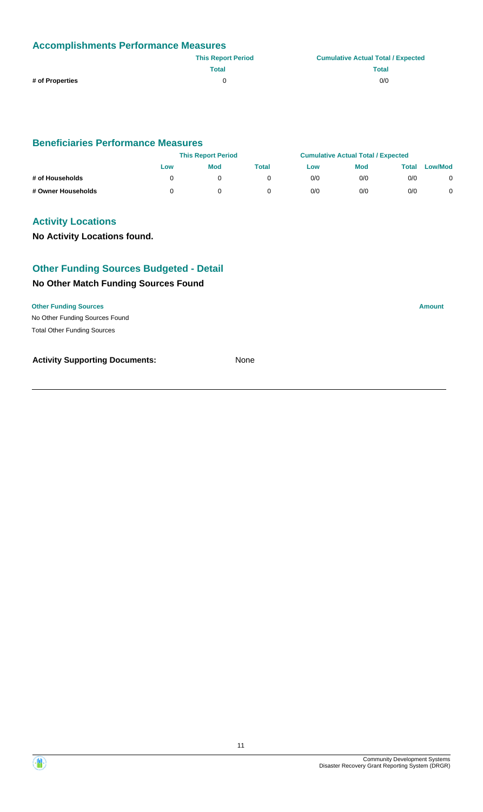| <b>Accomplishments Performance Measures</b> |                           |                                           |  |  |  |
|---------------------------------------------|---------------------------|-------------------------------------------|--|--|--|
|                                             | <b>This Report Period</b> | <b>Cumulative Actual Total / Expected</b> |  |  |  |
|                                             | Total                     | <b>Total</b>                              |  |  |  |
| # of Properties                             |                           | 0/0                                       |  |  |  |

### **Beneficiaries Performance Measures**

|                    | <b>This Report Period</b> |            |       | <b>Cumulative Actual Total / Expected</b> |            |       |                |
|--------------------|---------------------------|------------|-------|-------------------------------------------|------------|-------|----------------|
|                    | Low                       | <b>Mod</b> | Total | Low                                       | <b>Mod</b> | Total | <b>Low/Mod</b> |
| # of Households    |                           |            |       | 0/0                                       | 0/0        | 0/0   |                |
| # Owner Households |                           |            |       | 0/0                                       | 0/0        | 0/0   |                |

### **Activity Locations**

### **No Activity Locations found.**

### **Other Funding Sources Budgeted - Detail**

### **No Other Match Funding Sources Found**

### **Other Funding Sources Amount**

No Other Funding Sources Found Total Other Funding Sources

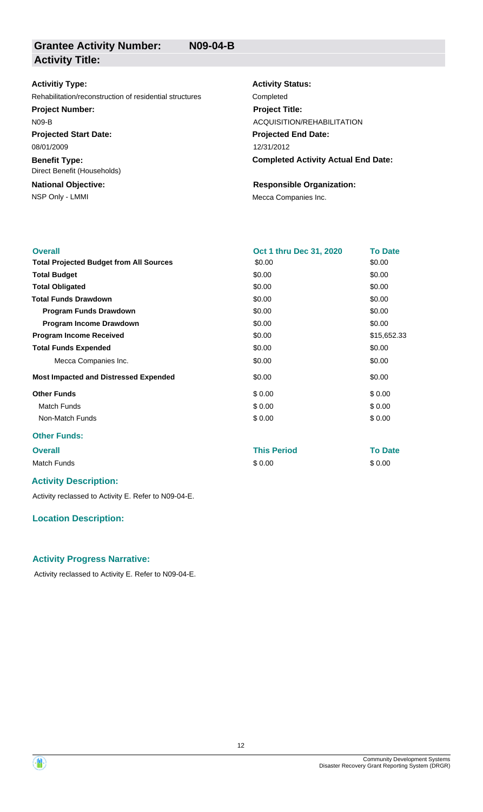### **Activitiy Type:**

Rehabilitation/reconstruction of residential structures Completed

**Project Number:**

N09-B

**Projected Start Date:** 08/01/2009

**Benefit Type:** Direct Benefit (Households)

## **National Objective:**

## **Activity Status: Projected End Date:** 12/31/2012 **Project Title:** ACQUISITION/REHABILITATION

**Completed Activity Actual End Date:**

### **Responsible Organization:**

NSP Only - LMMI MECA Companies Inc.

| <b>Overall</b>                                 | Oct 1 thru Dec 31, 2020 | <b>To Date</b> |
|------------------------------------------------|-------------------------|----------------|
| <b>Total Projected Budget from All Sources</b> | \$0.00                  | \$0.00         |
| <b>Total Budget</b>                            | \$0.00                  | \$0.00         |
| <b>Total Obligated</b>                         | \$0.00                  | \$0.00         |
| <b>Total Funds Drawdown</b>                    | \$0.00                  | \$0.00         |
| <b>Program Funds Drawdown</b>                  | \$0.00                  | \$0.00         |
| Program Income Drawdown                        | \$0.00                  | \$0.00         |
| <b>Program Income Received</b>                 | \$0.00                  | \$15,652.33    |
| <b>Total Funds Expended</b>                    | \$0.00                  | \$0.00         |
| Mecca Companies Inc.                           | \$0.00                  | \$0.00         |
| <b>Most Impacted and Distressed Expended</b>   | \$0.00                  | \$0.00         |
| <b>Other Funds</b>                             | \$0.00                  | \$0.00         |
| <b>Match Funds</b>                             | \$0.00                  | \$0.00         |
| Non-Match Funds                                | \$0.00                  | \$0.00         |
| <b>Other Funds:</b>                            |                         |                |

## **Overall This Period To Date**

Match Funds \$ 0.00 \$ 0.00

### **Activity Description:**

Activity reclassed to Activity E. Refer to N09-04-E.

### **Location Description:**

### **Activity Progress Narrative:**

Activity reclassed to Activity E. Refer to N09-04-E.

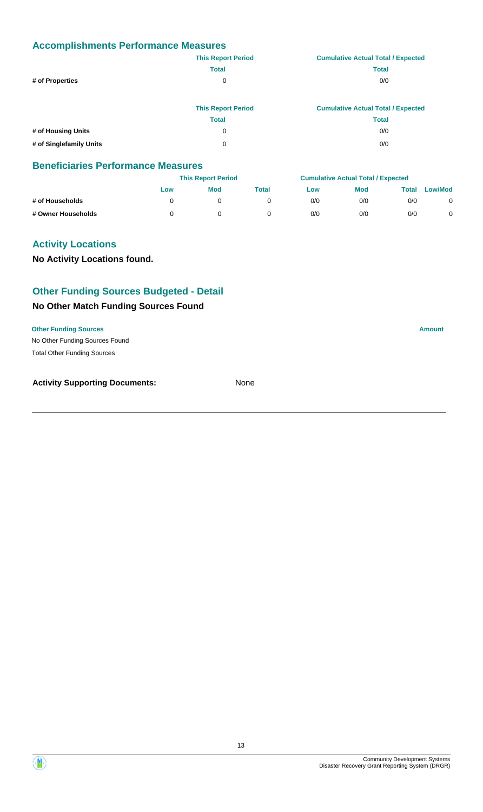|                         | <b>This Report Period</b> | <b>Cumulative Actual Total / Expected</b> |
|-------------------------|---------------------------|-------------------------------------------|
|                         | <b>Total</b>              | <b>Total</b>                              |
| # of Properties         | 0                         | 0/0                                       |
|                         |                           |                                           |
|                         | <b>This Report Period</b> | <b>Cumulative Actual Total / Expected</b> |
|                         | <b>Total</b>              | <b>Total</b>                              |
| # of Housing Units      | 0                         | 0/0                                       |
| # of Singlefamily Units | 0                         | 0/0                                       |

### **Beneficiaries Performance Measures**

|                    |     | <b>This Report Period</b> |       |     | <b>Cumulative Actual Total / Expected</b> |       |                |
|--------------------|-----|---------------------------|-------|-----|-------------------------------------------|-------|----------------|
|                    | Low | Mod                       | Total | Low | <b>Mod</b>                                | Total | <b>Low/Mod</b> |
| # of Households    |     |                           |       | 0/0 | 0/0                                       | 0/0   |                |
| # Owner Households |     |                           |       | 0/0 | 0/0                                       | 0/0   |                |

### **Activity Locations**

**No Activity Locations found.**

### **Other Funding Sources Budgeted - Detail**

### **No Other Match Funding Sources Found**

**Other Funding Sources Amount** 

No Other Funding Sources Found Total Other Funding Sources

**Activity Supporting Documents:** None

Community Development Systems Disaster Recovery Grant Reporting System (DRGR)

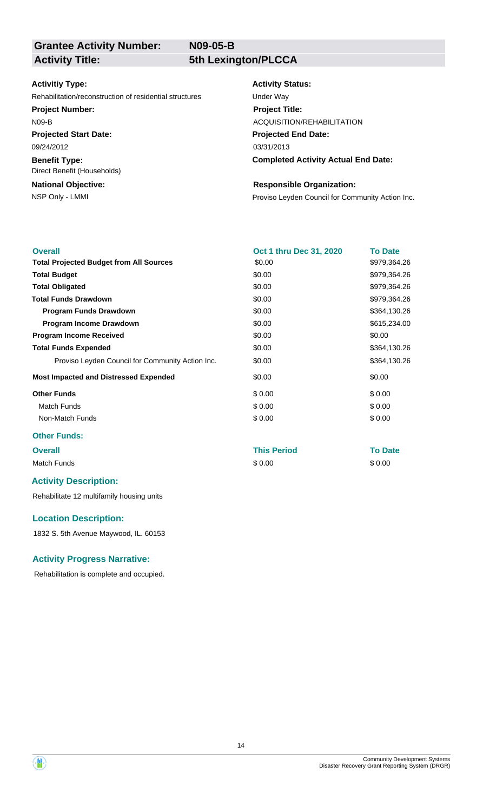**N09-05-B**

### **Grantee Activity Number: Activity Title: 5th Lexington/PLCCA**

### **Activitiy Type:**

Rehabilitation/reconstruction of residential structures Under Way

### **Project Number:**

N09-B

**Projected Start Date:** 09/24/2012

**Benefit Type:** Direct Benefit (Households)

## **National Objective:**

### **Activity Status:**

**Projected End Date: Completed Activity Actual End Date:** 03/31/2013 **Project Title:** ACQUISITION/REHABILITATION

### **Responsible Organization:**

NSP Only - LMMI **NSP Only - LMMI Proviso Leyden Council for Community Action Inc.** 

| <b>Overall</b>                                   | Oct 1 thru Dec 31, 2020 | <b>To Date</b> |
|--------------------------------------------------|-------------------------|----------------|
| <b>Total Projected Budget from All Sources</b>   | \$0.00                  | \$979,364.26   |
| <b>Total Budget</b>                              | \$0.00                  | \$979,364.26   |
| <b>Total Obligated</b>                           | \$0.00                  | \$979,364.26   |
| <b>Total Funds Drawdown</b>                      | \$0.00                  | \$979,364.26   |
| <b>Program Funds Drawdown</b>                    | \$0.00                  | \$364,130.26   |
| Program Income Drawdown                          | \$0.00                  | \$615,234.00   |
| <b>Program Income Received</b>                   | \$0.00                  | \$0.00         |
| <b>Total Funds Expended</b>                      | \$0.00                  | \$364,130.26   |
| Proviso Leyden Council for Community Action Inc. | \$0.00                  | \$364,130.26   |
| <b>Most Impacted and Distressed Expended</b>     | \$0.00                  | \$0.00         |
| <b>Other Funds</b>                               | \$0.00                  | \$0.00         |
| <b>Match Funds</b>                               | \$0.00                  | \$0.00         |
| Non-Match Funds                                  | \$0.00                  | \$0.00         |

### **Other Funds:**

### **Overall This Period To Date**

Match Funds \$ 0.00 \$ 0.00

### **Activity Description:**

Rehabilitate 12 multifamily housing units

### **Location Description:**

1832 S. 5th Avenue Maywood, IL. 60153

### **Activity Progress Narrative:**

Rehabilitation is complete and occupied.

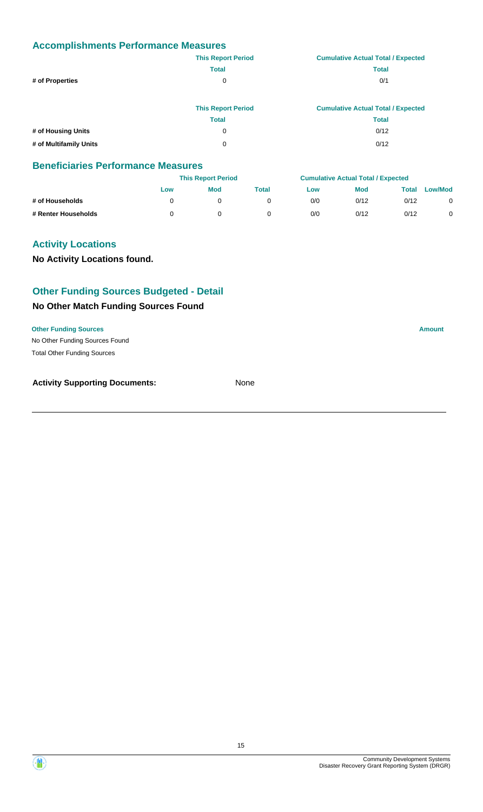|                        | <b>This Report Period</b> | <b>Cumulative Actual Total / Expected</b> |
|------------------------|---------------------------|-------------------------------------------|
|                        | <b>Total</b>              | <b>Total</b>                              |
| # of Properties        | 0                         | 0/1                                       |
|                        |                           |                                           |
|                        | <b>This Report Period</b> | <b>Cumulative Actual Total / Expected</b> |
|                        | <b>Total</b>              | <b>Total</b>                              |
| # of Housing Units     | 0                         | 0/12                                      |
| # of Multifamily Units | 0                         | 0/12                                      |

### **Beneficiaries Performance Measures**

|                     |     | <b>This Report Period</b> |       |     | <b>Cumulative Actual Total / Expected</b> |       |                |
|---------------------|-----|---------------------------|-------|-----|-------------------------------------------|-------|----------------|
|                     | Low | Mod                       | Total | Low | <b>Mod</b>                                | Total | <b>Low/Mod</b> |
| # of Households     |     |                           |       | 0/0 | 0/12                                      | 0/12  | 0              |
| # Renter Households |     |                           |       | 0/0 | 0/12                                      | 0/12  |                |

### **Activity Locations**

**No Activity Locations found.**

### **Other Funding Sources Budgeted - Detail**

### **No Other Match Funding Sources Found**

**Other Funding Sources Amount** 

No Other Funding Sources Found Total Other Funding Sources



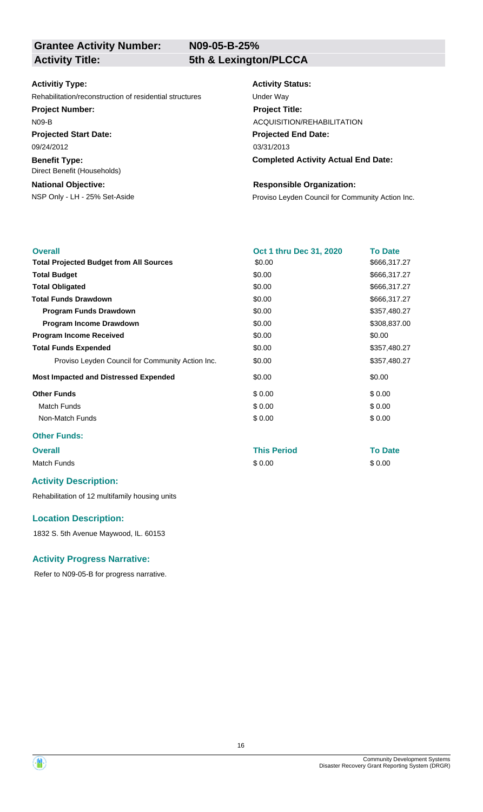**N09-05-B-25%**

### **Activitiy Type:**

Rehabilitation/reconstruction of residential structures Under Way

### **Project Number:**

N09-B

**Projected Start Date:**

**Benefit Type:** 09/24/2012

Direct Benefit (Households)

### **National Objective:**

### **Activity Status:**

**Projected End Date: Completed Activity Actual End Date:** 03/31/2013 **Project Title:** ACQUISITION/REHABILITATION

### **Responsible Organization:**

NSP Only - LH - 25% Set-Aside **Proviso Leyden Council for Community Action Inc.** 

| <b>Overall</b>                                   | Oct 1 thru Dec 31, 2020 | <b>To Date</b> |
|--------------------------------------------------|-------------------------|----------------|
| <b>Total Projected Budget from All Sources</b>   | \$0.00                  | \$666,317.27   |
| <b>Total Budget</b>                              | \$0.00                  | \$666,317.27   |
| <b>Total Obligated</b>                           | \$0.00                  | \$666,317.27   |
| <b>Total Funds Drawdown</b>                      | \$0.00                  | \$666,317.27   |
| <b>Program Funds Drawdown</b>                    | \$0.00                  | \$357,480.27   |
| Program Income Drawdown                          | \$0.00                  | \$308,837.00   |
| <b>Program Income Received</b>                   | \$0.00                  | \$0.00         |
| <b>Total Funds Expended</b>                      | \$0.00                  | \$357,480.27   |
| Proviso Leyden Council for Community Action Inc. | \$0.00                  | \$357,480.27   |
| <b>Most Impacted and Distressed Expended</b>     | \$0.00                  | \$0.00         |
| <b>Other Funds</b>                               | \$0.00                  | \$0.00         |
| Match Funds                                      | \$0.00                  | \$0.00         |
| Non-Match Funds                                  | \$0.00                  | \$0.00         |
| Other Frieder                                    |                         |                |

### **Other Funds:**

## **Overall This Period To Date**

Match Funds \$ 0.00 \$ 0.00

### **Activity Description:**

Rehabilitation of 12 multifamily housing units

### **Location Description:**

1832 S. 5th Avenue Maywood, IL. 60153

### **Activity Progress Narrative:**

Refer to N09-05-B for progress narrative.

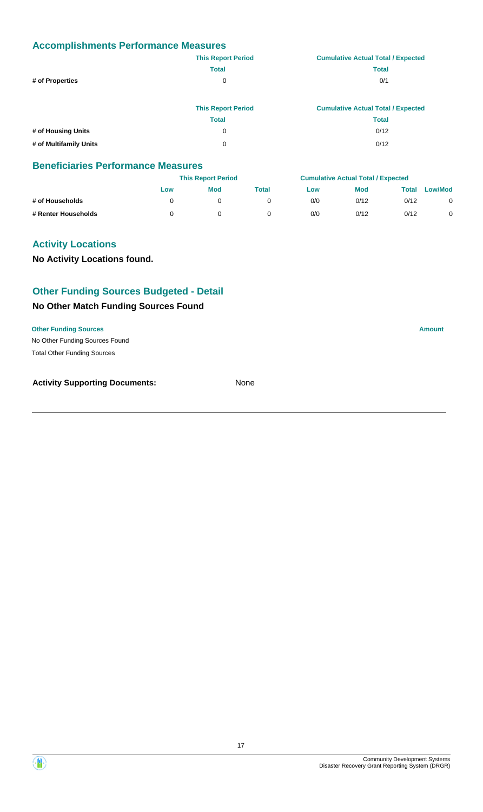|                        | <b>This Report Period</b> | <b>Cumulative Actual Total / Expected</b> |
|------------------------|---------------------------|-------------------------------------------|
|                        | <b>Total</b>              | <b>Total</b>                              |
| # of Properties        | 0                         | 0/1                                       |
|                        |                           |                                           |
|                        | <b>This Report Period</b> | <b>Cumulative Actual Total / Expected</b> |
|                        | <b>Total</b>              | <b>Total</b>                              |
| # of Housing Units     | 0                         | 0/12                                      |
| # of Multifamily Units | 0                         | 0/12                                      |

### **Beneficiaries Performance Measures**

|                     |     | <b>This Report Period</b> |       |     | <b>Cumulative Actual Total / Expected</b> |       |                |
|---------------------|-----|---------------------------|-------|-----|-------------------------------------------|-------|----------------|
|                     | Low | Mod                       | Total | Low | <b>Mod</b>                                | Total | <b>Low/Mod</b> |
| # of Households     |     |                           |       | 0/0 | 0/12                                      | 0/12  | 0              |
| # Renter Households |     |                           |       | 0/0 | 0/12                                      | 0/12  |                |

### **Activity Locations**

**No Activity Locations found.**

### **Other Funding Sources Budgeted - Detail**

### **No Other Match Funding Sources Found**

**Other Funding Sources Amount** 

No Other Funding Sources Found Total Other Funding Sources



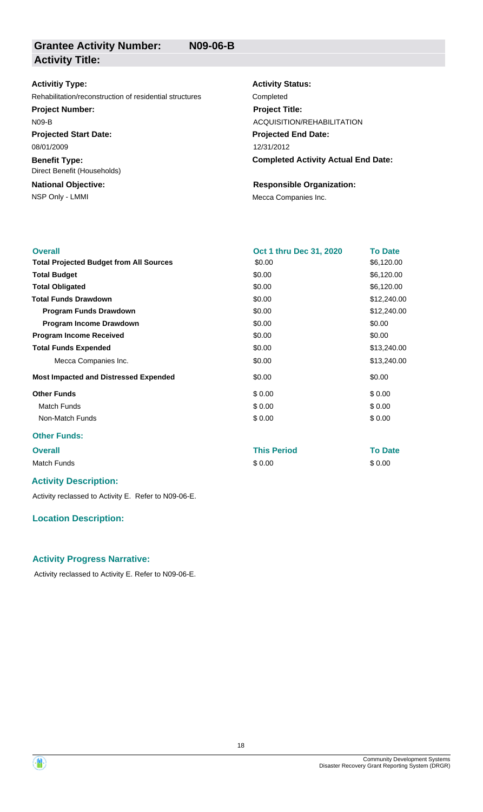## **Activitiy Type:**

Rehabilitation/reconstruction of residential structures Completed

**Project Number:**

N09-B

**Projected Start Date:** 08/01/2009

**Benefit Type:** Direct Benefit (Households)

**National Objective:**

**Activity Status: Project Title:** ACQUISITION/REHABILITATION

**Projected End Date:** 12/31/2012

**Completed Activity Actual End Date:**

### **Responsible Organization:**

NSP Only - LMMI **Mecca Companies Inc.** 

| <b>Overall</b>                                 | Oct 1 thru Dec 31, 2020 | <b>To Date</b> |
|------------------------------------------------|-------------------------|----------------|
| <b>Total Projected Budget from All Sources</b> | \$0.00                  | \$6,120.00     |
| <b>Total Budget</b>                            | \$0.00                  | \$6,120.00     |
| <b>Total Obligated</b>                         | \$0.00                  | \$6,120.00     |
| <b>Total Funds Drawdown</b>                    | \$0.00                  | \$12,240.00    |
| <b>Program Funds Drawdown</b>                  | \$0.00                  | \$12,240.00    |
| Program Income Drawdown                        | \$0.00                  | \$0.00         |
| <b>Program Income Received</b>                 | \$0.00                  | \$0.00         |
| <b>Total Funds Expended</b>                    | \$0.00                  | \$13,240.00    |
| Mecca Companies Inc.                           | \$0.00                  | \$13,240.00    |
| <b>Most Impacted and Distressed Expended</b>   | \$0.00                  | \$0.00         |
| <b>Other Funds</b>                             | \$0.00                  | \$0.00         |
| Match Funds                                    | \$0.00                  | \$0.00         |
| Non-Match Funds                                | \$0.00                  | \$0.00         |
| <b>Other Funds:</b>                            |                         |                |
| <b>Overall</b>                                 | <b>This Period</b>      | <b>To Date</b> |

Match Funds \$ 0.00 \$ 0.00

### **Activity Description:**

Activity reclassed to Activity E. Refer to N09-06-E.

### **Location Description:**

### **Activity Progress Narrative:**

Activity reclassed to Activity E. Refer to N09-06-E.



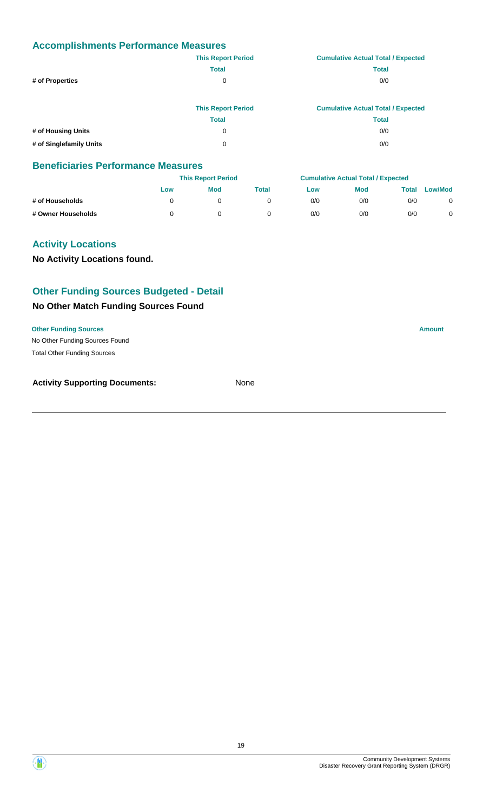|                         | <b>This Report Period</b> | <b>Cumulative Actual Total / Expected</b> |
|-------------------------|---------------------------|-------------------------------------------|
|                         | <b>Total</b>              | <b>Total</b>                              |
| # of Properties         | 0                         | 0/0                                       |
|                         |                           |                                           |
|                         | <b>This Report Period</b> | <b>Cumulative Actual Total / Expected</b> |
|                         | <b>Total</b>              | <b>Total</b>                              |
| # of Housing Units      | 0                         | 0/0                                       |
| # of Singlefamily Units | 0                         | 0/0                                       |

### **Beneficiaries Performance Measures**

|                    |     | <b>This Report Period</b> |       |     | <b>Cumulative Actual Total / Expected</b> |       |                |
|--------------------|-----|---------------------------|-------|-----|-------------------------------------------|-------|----------------|
|                    | Low | Mod                       | Total | Low | <b>Mod</b>                                | Total | <b>Low/Mod</b> |
| # of Households    |     |                           |       | 0/0 | 0/0                                       | 0/0   |                |
| # Owner Households |     |                           |       | 0/0 | 0/0                                       | 0/0   |                |

### **Activity Locations**

**No Activity Locations found.**

### **Other Funding Sources Budgeted - Detail**

### **No Other Match Funding Sources Found**

**Other Funding Sources Amount** 

No Other Funding Sources Found Total Other Funding Sources



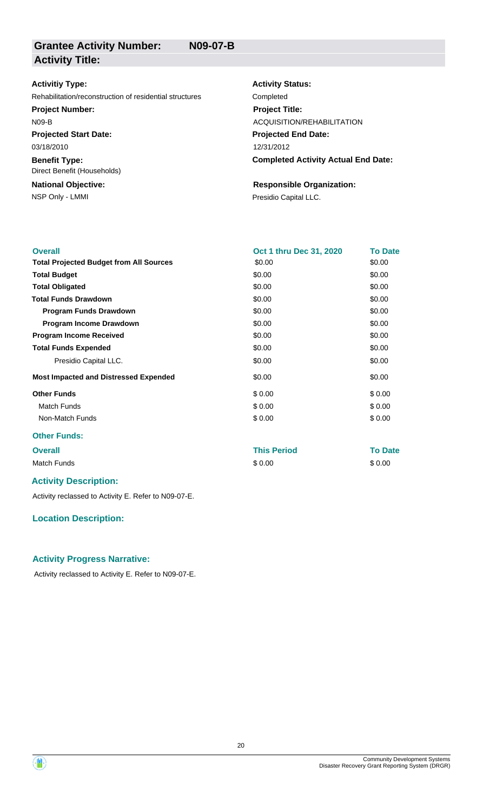## **Activitiy Type:**

Rehabilitation/reconstruction of residential structures Completed

**Project Number:**

N09-B

**Projected Start Date:** 03/18/2010

**Benefit Type:** Direct Benefit (Households)

**National Objective:**

NSP Only - LMMI **Presidio Capital LLC.** 

**Activity Status: Projected End Date: Completed Activity Actual End Date:** 12/31/2012 **Project Title:** ACQUISITION/REHABILITATION

## **Responsible Organization:**

| <b>Overall</b>                                 | <b>Oct 1 thru Dec 31, 2020</b> | <b>To Date</b> |
|------------------------------------------------|--------------------------------|----------------|
| <b>Total Projected Budget from All Sources</b> | \$0.00                         | \$0.00         |
| <b>Total Budget</b>                            | \$0.00                         | \$0.00         |
| <b>Total Obligated</b>                         | \$0.00                         | \$0.00         |
| <b>Total Funds Drawdown</b>                    | \$0.00                         | \$0.00         |
| <b>Program Funds Drawdown</b>                  | \$0.00                         | \$0.00         |
| Program Income Drawdown                        | \$0.00                         | \$0.00         |
| <b>Program Income Received</b>                 | \$0.00                         | \$0.00         |
| <b>Total Funds Expended</b>                    | \$0.00                         | \$0.00         |
| Presidio Capital LLC.                          | \$0.00                         | \$0.00         |
| <b>Most Impacted and Distressed Expended</b>   | \$0.00                         | \$0.00         |
| <b>Other Funds</b>                             | \$0.00                         | \$0.00         |
| <b>Match Funds</b>                             | \$0.00                         | \$0.00         |
| Non-Match Funds                                | \$0.00                         | \$0.00         |
| <b>Other Funds:</b>                            |                                |                |
| <b>Overall</b>                                 | <b>This Period</b>             | <b>To Date</b> |

Match Funds \$ 0.00 \$ 0.00

### **Activity Description:**

Activity reclassed to Activity E. Refer to N09-07-E.

### **Location Description:**

### **Activity Progress Narrative:**

Activity reclassed to Activity E. Refer to N09-07-E.

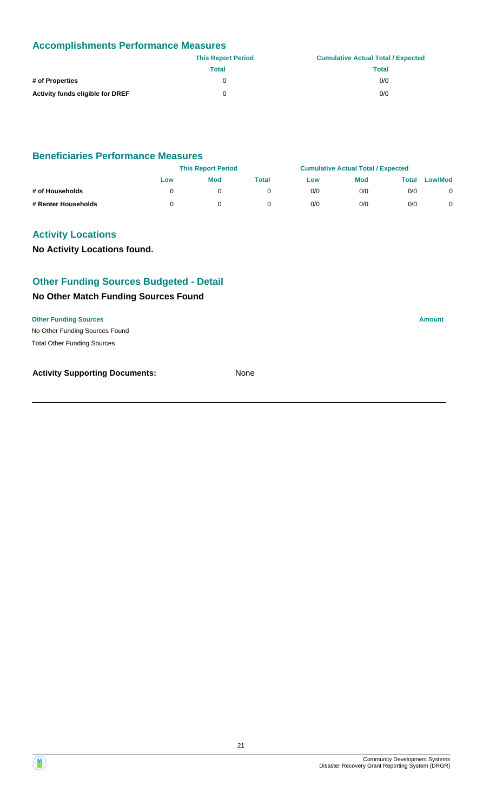|                                         | <b>This Report Period</b> | <b>Cumulative Actual Total / Expected</b> |
|-----------------------------------------|---------------------------|-------------------------------------------|
|                                         | Total                     | Total                                     |
| # of Properties                         | 0                         | 0/0                                       |
| <b>Activity funds eligible for DREF</b> | 0                         | 0/0                                       |

### **Beneficiaries Performance Measures**

|                     | <b>This Report Period</b> |            |       | <b>Cumulative Actual Total / Expected</b> |            |              |                |
|---------------------|---------------------------|------------|-------|-------------------------------------------|------------|--------------|----------------|
|                     | Low                       | <b>Mod</b> | Total | Low                                       | <b>Mod</b> | <b>Total</b> | <b>Low/Mod</b> |
| # of Households     |                           |            |       | 0/0                                       | 0/0        | 0/0          | 0              |
| # Renter Households |                           |            |       | 0/0                                       | 0/0        | 0/0          |                |

### **Activity Locations**

**No Activity Locations found.**

### **Other Funding Sources Budgeted - Detail**

### **No Other Match Funding Sources Found**

No Other Funding Sources Found **Other Funding Sources Amount Amount Amount Amount Amount Amount Amount** Total Other Funding Sources

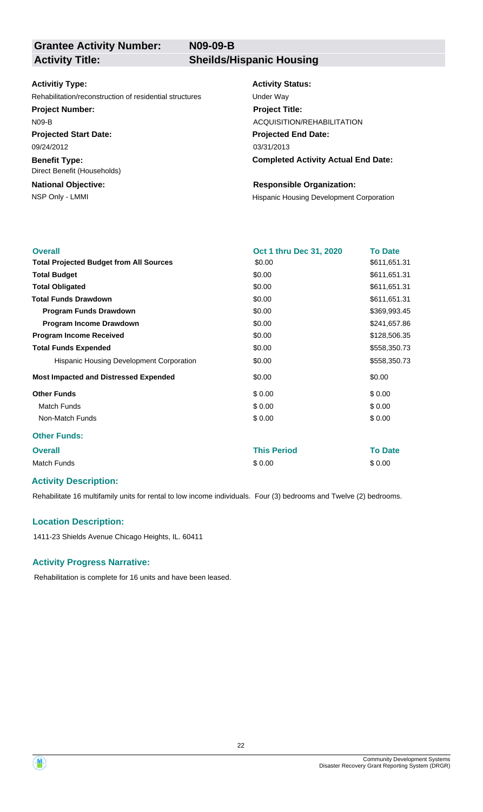**N09-09-B**

# **Grantee Activity Number:**

**Activity Title: Sheilds/Hispanic Housing**

### **Activitiy Type:**

Rehabilitation/reconstruction of residential structures Under Way

### **Project Number:**

N09-B

**Projected Start Date:** 09/24/2012

**Benefit Type:**

Direct Benefit (Households)

## **National Objective:**

### **Activity Status:**

**Projected End Date: Completed Activity Actual End Date:** 03/31/2013 **Project Title:** ACQUISITION/REHABILITATION

### **Responsible Organization:**

NSP Only - LMMI **NSP Only - LMMI Hispanic Housing Development Corporation** 

| <b>Overall</b>                                 | Oct 1 thru Dec 31, 2020 | <b>To Date</b> |
|------------------------------------------------|-------------------------|----------------|
| <b>Total Projected Budget from All Sources</b> | \$0.00                  | \$611,651.31   |
| <b>Total Budget</b>                            | \$0.00                  | \$611,651.31   |
| <b>Total Obligated</b>                         | \$0.00                  | \$611,651.31   |
| <b>Total Funds Drawdown</b>                    | \$0.00                  | \$611,651.31   |
| <b>Program Funds Drawdown</b>                  | \$0.00                  | \$369,993.45   |
| Program Income Drawdown                        | \$0.00                  | \$241,657.86   |
| <b>Program Income Received</b>                 | \$0.00                  | \$128,506.35   |
| <b>Total Funds Expended</b>                    | \$0.00                  | \$558,350.73   |
| Hispanic Housing Development Corporation       | \$0.00                  | \$558,350.73   |
| <b>Most Impacted and Distressed Expended</b>   | \$0.00                  | \$0.00         |
| <b>Other Funds</b>                             | \$0.00                  | \$0.00         |
| <b>Match Funds</b>                             | \$0.00                  | \$0.00         |
| Non-Match Funds                                | \$0.00                  | \$0.00         |
| <b>Other Funds:</b>                            |                         |                |
| <b>Overall</b>                                 | <b>This Period</b>      | <b>To Date</b> |
| <b>Match Funds</b>                             | \$0.00                  | \$0.00         |
|                                                |                         |                |

### **Activity Description:**

Rehabilitate 16 multifamily units for rental to low income individuals. Four (3) bedrooms and Twelve (2) bedrooms.

### **Location Description:**

1411-23 Shields Avenue Chicago Heights, IL. 60411

### **Activity Progress Narrative:**

Rehabilitation is complete for 16 units and have been leased.



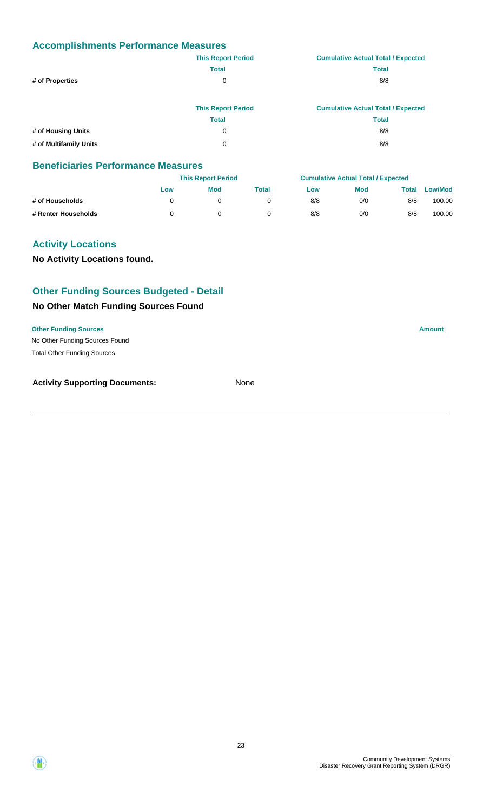|                        | <b>This Report Period</b> | <b>Cumulative Actual Total / Expected</b> |
|------------------------|---------------------------|-------------------------------------------|
|                        | <b>Total</b>              | <b>Total</b>                              |
| # of Properties        | 0                         | 8/8                                       |
|                        | <b>This Report Period</b> | <b>Cumulative Actual Total / Expected</b> |
|                        | <b>Total</b>              | <b>Total</b>                              |
| # of Housing Units     | 0                         | 8/8                                       |
| # of Multifamily Units | 0                         | 8/8                                       |

### **Beneficiaries Performance Measures**

|                     |     | <b>This Report Period</b> |       |     | <b>Cumulative Actual Total / Expected</b> |       |         |
|---------------------|-----|---------------------------|-------|-----|-------------------------------------------|-------|---------|
|                     | Low | Mod                       | Total | Low | <b>Mod</b>                                | Total | Low/Mod |
| # of Households     |     |                           |       | 8/8 | 0/0                                       | 8/8   | 100.00  |
| # Renter Households |     |                           |       | 8/8 | 0/0                                       | 8/8   | 100.00  |

### **Activity Locations**

**No Activity Locations found.**

### **Other Funding Sources Budgeted - Detail**

### **No Other Match Funding Sources Found**

**Other Funding Sources Amount** 

No Other Funding Sources Found Total Other Funding Sources

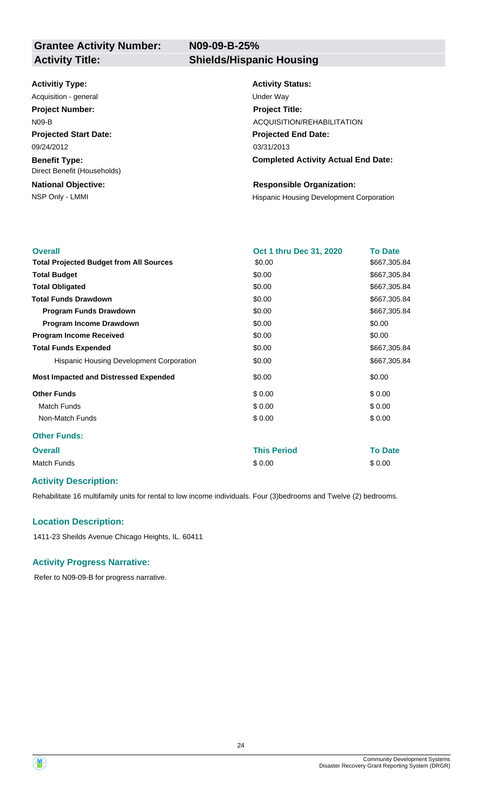**N09-09-B-25%**

### **Activitiy Type:**

**Projected Start Date: Benefit Type:** 09/24/2012 Acquisition - general and the contract of the Under Way **Project Number:** N09-B

**National Objective:** Direct Benefit (Households)

### **Activity Title: Shields/Hispanic Housing**

**Activity Status: Projected End Date: Completed Activity Actual End Date:** 03/31/2013 **Project Title:** ACQUISITION/REHABILITATION

### **Responsible Organization:**

NSP Only - LMMI **NSP Only - LMMI Hispanic Housing Development Corporation** 

| <b>Overall</b>                                 | Oct 1 thru Dec 31, 2020 | <b>To Date</b> |
|------------------------------------------------|-------------------------|----------------|
| <b>Total Projected Budget from All Sources</b> | \$0.00                  | \$667,305.84   |
| <b>Total Budget</b>                            | \$0.00                  | \$667,305.84   |
| <b>Total Obligated</b>                         | \$0.00                  | \$667,305.84   |
| <b>Total Funds Drawdown</b>                    | \$0.00                  | \$667,305.84   |
| <b>Program Funds Drawdown</b>                  | \$0.00                  | \$667,305.84   |
| Program Income Drawdown                        | \$0.00                  | \$0.00         |
| <b>Program Income Received</b>                 | \$0.00                  | \$0.00         |
| <b>Total Funds Expended</b>                    | \$0.00                  | \$667,305.84   |
| Hispanic Housing Development Corporation       | \$0.00                  | \$667,305.84   |
| <b>Most Impacted and Distressed Expended</b>   | \$0.00                  | \$0.00         |
| <b>Other Funds</b>                             | \$0.00                  | \$0.00         |
| <b>Match Funds</b>                             | \$0.00                  | \$0.00         |
| Non-Match Funds                                | \$0.00                  | \$0.00         |
| <b>Other Funds:</b>                            |                         |                |
| <b>Overall</b>                                 | <b>This Period</b>      | <b>To Date</b> |
| <b>Match Funds</b>                             | \$0.00                  | \$0.00         |
|                                                |                         |                |

### **Activity Description:**

Rehabilitate 16 multifamily units for rental to low income individuals. Four (3)bedrooms and Twelve (2) bedrooms.

### **Location Description:**

1411-23 Sheilds Avenue Chicago Heights, IL. 60411

### **Activity Progress Narrative:**

Refer to N09-09-B for progress narrative.

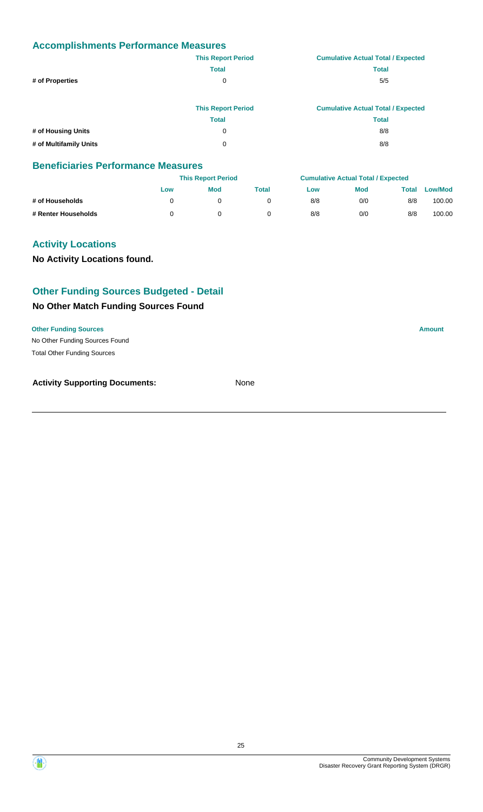|                        | <b>This Report Period</b> | <b>Cumulative Actual Total / Expected</b> |
|------------------------|---------------------------|-------------------------------------------|
|                        | <b>Total</b>              | <b>Total</b>                              |
| # of Properties        | 0                         | 5/5                                       |
|                        | <b>This Report Period</b> | <b>Cumulative Actual Total / Expected</b> |
|                        | <b>Total</b>              | <b>Total</b>                              |
| # of Housing Units     | 0                         | 8/8                                       |
| # of Multifamily Units | 0                         | 8/8                                       |

### **Beneficiaries Performance Measures**

|                     |     | <b>This Report Period</b> |       |     | <b>Cumulative Actual Total / Expected</b> |       |         |
|---------------------|-----|---------------------------|-------|-----|-------------------------------------------|-------|---------|
|                     | Low | Mod                       | Total | Low | <b>Mod</b>                                | Total | Low/Mod |
| # of Households     |     |                           |       | 8/8 | 0/0                                       | 8/8   | 100.00  |
| # Renter Households |     |                           |       | 8/8 | 0/0                                       | 8/8   | 100.00  |

### **Activity Locations**

**No Activity Locations found.**

### **Other Funding Sources Budgeted - Detail**

### **No Other Match Funding Sources Found**

**Other Funding Sources Amount** 

No Other Funding Sources Found Total Other Funding Sources

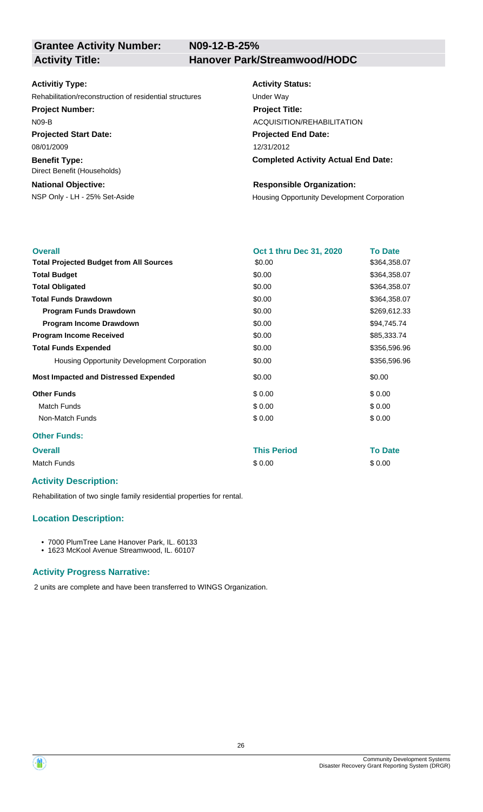**N09-12-B-25%**

**Grantee Activity Number:**

**Activity Title: Hanover Park/Streamwood/HODC**

### **Activitiy Type:**

Rehabilitation/reconstruction of residential structures Under Way

### **Project Number:**

N09-B

**Projected Start Date:** 08/01/2009

**Benefit Type:**

Direct Benefit (Households)

### **National Objective:**

## **Activity Status:**

**Projected End Date: Completed Activity Actual End Date:** 12/31/2012 **Project Title:** ACQUISITION/REHABILITATION

### **Responsible Organization:**

NSP Only - LH - 25% Set-Aside **Housing Opportunity Development Corporation** 

| <b>Overall</b>                                 | Oct 1 thru Dec 31, 2020 | <b>To Date</b> |
|------------------------------------------------|-------------------------|----------------|
| <b>Total Projected Budget from All Sources</b> | \$0.00                  | \$364,358.07   |
| <b>Total Budget</b>                            | \$0.00                  | \$364,358.07   |
| <b>Total Obligated</b>                         | \$0.00                  | \$364,358.07   |
| <b>Total Funds Drawdown</b>                    | \$0.00                  | \$364,358.07   |
| <b>Program Funds Drawdown</b>                  | \$0.00                  | \$269,612.33   |
| Program Income Drawdown                        | \$0.00                  | \$94,745.74    |
| <b>Program Income Received</b>                 | \$0.00                  | \$85,333.74    |
| <b>Total Funds Expended</b>                    | \$0.00                  | \$356,596.96   |
| Housing Opportunity Development Corporation    | \$0.00                  | \$356,596.96   |
| <b>Most Impacted and Distressed Expended</b>   | \$0.00                  | \$0.00         |
| <b>Other Funds</b>                             | \$0.00                  | \$0.00         |
| Match Funds                                    | \$0.00                  | \$0.00         |
| Non-Match Funds                                | \$0.00                  | \$0.00         |
| <b>Other Funds:</b>                            |                         |                |
| <b>Overall</b>                                 | <b>This Period</b>      | <b>To Date</b> |
| <b>Match Funds</b>                             | \$0.00                  | \$0.00         |

### **Activity Description:**

Rehabilitation of two single family residential properties for rental.

### **Location Description:**

• 7000 PlumTree Lane Hanover Park, IL. 60133

• 1623 McKool Avenue Streamwood, IL. 60107

### **Activity Progress Narrative:**

2 units are complete and have been transferred to WINGS Organization.

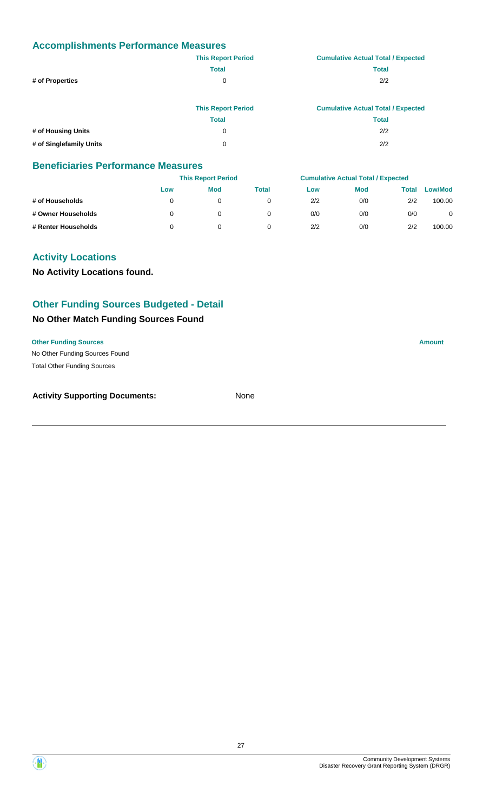|                         | <b>This Report Period</b> | <b>Cumulative Actual Total / Expected</b> |
|-------------------------|---------------------------|-------------------------------------------|
|                         | <b>Total</b>              | <b>Total</b>                              |
| # of Properties         | 0                         | 2/2                                       |
|                         |                           |                                           |
|                         | <b>This Report Period</b> | <b>Cumulative Actual Total / Expected</b> |
|                         | <b>Total</b>              | <b>Total</b>                              |
| # of Housing Units      | 0                         | 2/2                                       |
| # of Singlefamily Units | 0                         | 2/2                                       |

### **Beneficiaries Performance Measures**

|                     |     | <b>This Report Period</b> |              |     | <b>Cumulative Actual Total / Expected</b> |              |                |
|---------------------|-----|---------------------------|--------------|-----|-------------------------------------------|--------------|----------------|
|                     | Low | <b>Mod</b>                | <b>Total</b> | Low | <b>Mod</b>                                | <b>Total</b> | <b>Low/Mod</b> |
| # of Households     |     | 0                         |              | 2/2 | 0/0                                       | 2/2          | 100.00         |
| # Owner Households  |     | 0                         | 0            | 0/0 | 0/0                                       | 0/0          | 0              |
| # Renter Households |     | 0                         |              | 2/2 | 0/0                                       | 2/2          | 100.00         |

### **Activity Locations**

**No Activity Locations found.**

### **Other Funding Sources Budgeted - Detail**

### **No Other Match Funding Sources Found**

### **Other Funding Sources Amount**

No Other Funding Sources Found Total Other Funding Sources

| <b>Activity Supporting Documents:</b> | None |
|---------------------------------------|------|
|                                       |      |

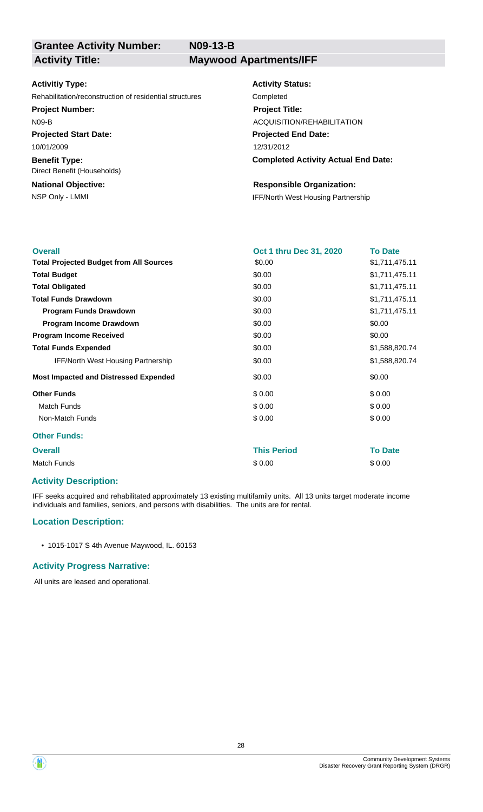**N09-13-B**

# **Grantee Activity Number:**

**Activity Title: Maywood Apartments/IFF**

### **Activitiy Type:**

Rehabilitation/reconstruction of residential structures Completed

### **Project Number:**

N09-B

**Projected Start Date:** 10/01/2009

**Benefit Type:** Direct Benefit (Households)

## **National Objective:**

### **Activity Status:**

**Projected End Date: Completed Activity Actual End Date:** 12/31/2012 **Project Title:** ACQUISITION/REHABILITATION

### **Responsible Organization:**

NSP Only - LMMI **IFF/North West Housing Partnership** 

| <b>Overall</b>                                 | Oct 1 thru Dec 31, 2020 | <b>To Date</b> |
|------------------------------------------------|-------------------------|----------------|
| <b>Total Projected Budget from All Sources</b> | \$0.00                  | \$1,711,475.11 |
| <b>Total Budget</b>                            | \$0.00                  | \$1,711,475.11 |
| <b>Total Obligated</b>                         | \$0.00                  | \$1,711,475.11 |
| <b>Total Funds Drawdown</b>                    | \$0.00                  | \$1,711,475.11 |
| <b>Program Funds Drawdown</b>                  | \$0.00                  | \$1,711,475.11 |
| Program Income Drawdown                        | \$0.00                  | \$0.00         |
| <b>Program Income Received</b>                 | \$0.00                  | \$0.00         |
| <b>Total Funds Expended</b>                    | \$0.00                  | \$1,588,820.74 |
| <b>IFF/North West Housing Partnership</b>      | \$0.00                  | \$1,588,820.74 |
| <b>Most Impacted and Distressed Expended</b>   | \$0.00                  | \$0.00         |
| <b>Other Funds</b>                             | \$0.00                  | \$0.00         |
| <b>Match Funds</b>                             | \$0.00                  | \$0.00         |
| Non-Match Funds                                | \$0.00                  | \$0.00         |
| <b>Other Funds:</b>                            |                         |                |
| <b>Overall</b>                                 | <b>This Period</b>      | <b>To Date</b> |
| <b>Match Funds</b>                             | \$0.00                  | \$0.00         |
|                                                |                         |                |

### **Activity Description:**

IFF seeks acquired and rehabilitated approximately 13 existing multifamily units. All 13 units target moderate income individuals and families, seniors, and persons with disabilities. The units are for rental.

### **Location Description:**

• 1015-1017 S 4th Avenue Maywood, IL. 60153

### **Activity Progress Narrative:**

All units are leased and operational.

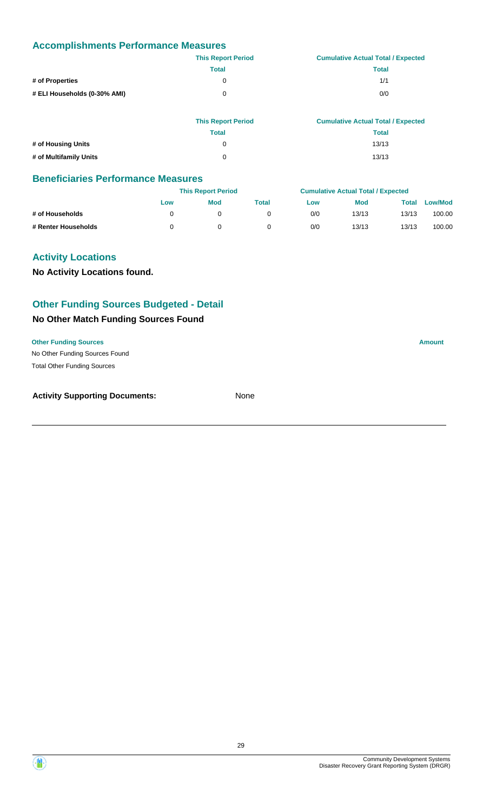|                              | <b>This Report Period</b> | <b>Cumulative Actual Total / Expected</b> |
|------------------------------|---------------------------|-------------------------------------------|
|                              | <b>Total</b>              | Total                                     |
| # of Properties              | 0                         | 1/1                                       |
| # ELI Households (0-30% AMI) | 0                         | 0/0                                       |
|                              |                           |                                           |

|                        | <b>This Report Period</b> | <b>Cumulative Actual Total / Expected</b> |
|------------------------|---------------------------|-------------------------------------------|
|                        | <b>Total</b>              | Total                                     |
| # of Housing Units     | 0                         | 13/13                                     |
| # of Multifamily Units | 0                         | 13/13                                     |

### **Beneficiaries Performance Measures**

|                     |     | <b>This Report Period</b> |       |     | <b>Cumulative Actual Total / Expected</b> |       |                |
|---------------------|-----|---------------------------|-------|-----|-------------------------------------------|-------|----------------|
|                     | Low | <b>Mod</b>                | Total | Low | <b>Mod</b>                                | Total | <b>Low/Mod</b> |
| # of Households     |     |                           |       | 0/0 | 13/13                                     | 13/13 | 100.00         |
| # Renter Households |     |                           |       | 0/0 | 13/13                                     | 13/13 | 100.00         |

### **Activity Locations**

**No Activity Locations found.**

### **Other Funding Sources Budgeted - Detail**

### **No Other Match Funding Sources Found**

### **Other Funding Sources Amount**

No Other Funding Sources Found Total Other Funding Sources

| <b>Activity Supporting Documents:</b> | None |
|---------------------------------------|------|
|                                       |      |

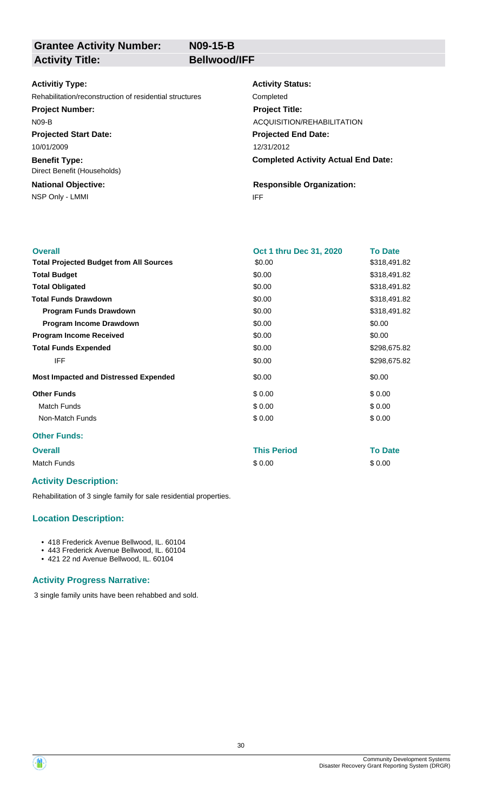**N09-15-B**

## **Grantee Activity Number:**

Activity Title: **Bellwood/IFF** 

### **Activitiy Type:**

Rehabilitation/reconstruction of residential structures Completed

**Project Number:**

N09-B

**Projected Start Date:** 10/01/2009

**Benefit Type:** Direct Benefit (Households)

NSP Only - LMMI and the state of the state of the state of the state of the state of the state of the state of the state of the state of the state of the state of the state of the state of the state of the state of the sta **National Objective:**

**Activity Status: Projected End Date: Completed Activity Actual End Date:** 12/31/2012 **Project Title:** ACQUISITION/REHABILITATION

**Responsible Organization:**

| <b>Overall</b>                                 | <b>Oct 1 thru Dec 31, 2020</b> | <b>To Date</b> |
|------------------------------------------------|--------------------------------|----------------|
| <b>Total Projected Budget from All Sources</b> | \$0.00                         | \$318,491.82   |
| <b>Total Budget</b>                            | \$0.00                         | \$318,491.82   |
| <b>Total Obligated</b>                         | \$0.00                         | \$318,491.82   |
| <b>Total Funds Drawdown</b>                    | \$0.00                         | \$318,491.82   |
| <b>Program Funds Drawdown</b>                  | \$0.00                         | \$318,491.82   |
| Program Income Drawdown                        | \$0.00                         | \$0.00         |
| <b>Program Income Received</b>                 | \$0.00                         | \$0.00         |
| <b>Total Funds Expended</b>                    | \$0.00                         | \$298,675.82   |
| <b>IFF</b>                                     | \$0.00                         | \$298,675.82   |
| <b>Most Impacted and Distressed Expended</b>   | \$0.00                         | \$0.00         |
| <b>Other Funds</b>                             | \$0.00                         | \$0.00         |
| Match Funds                                    | \$0.00                         | \$0.00         |
| Non-Match Funds                                | \$0.00                         | \$0.00         |
| <b>Other Funds:</b>                            |                                |                |

**Overall This Period To Date** Match Funds \$ 0.00 \$ 0.00

### **Activity Description:**

Rehabilitation of 3 single family for sale residential properties.

### **Location Description:**

- 418 Frederick Avenue Bellwood, IL. 60104
- 443 Frederick Avenue Bellwood, IL. 60104
- 421 22 nd Avenue Bellwood, IL. 60104

### **Activity Progress Narrative:**

3 single family units have been rehabbed and sold.

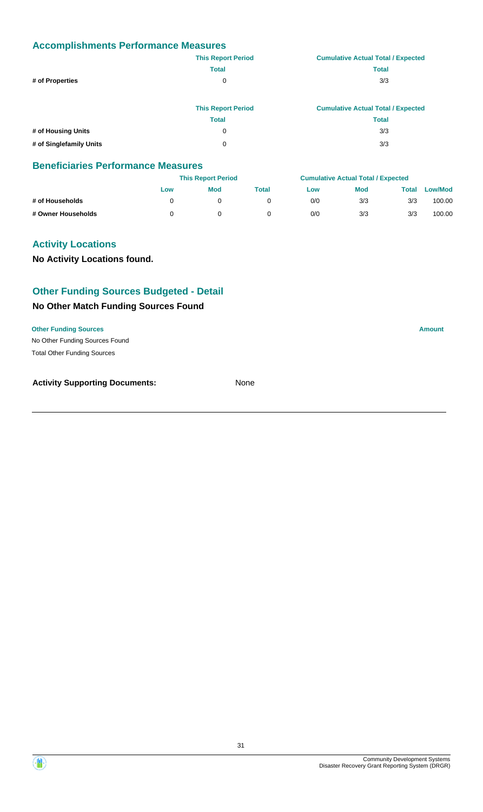|                         | <b>This Report Period</b> | <b>Cumulative Actual Total / Expected</b> |
|-------------------------|---------------------------|-------------------------------------------|
|                         | <b>Total</b>              | <b>Total</b>                              |
| # of Properties         | 0                         | 3/3                                       |
|                         | <b>This Report Period</b> | <b>Cumulative Actual Total / Expected</b> |
|                         | <b>Total</b>              | <b>Total</b>                              |
| # of Housing Units      | 0                         | 3/3                                       |
| # of Singlefamily Units | 0                         | 3/3                                       |

### **Beneficiaries Performance Measures**

|                    |     | <b>This Report Period</b> |       |     | <b>Cumulative Actual Total / Expected</b> |       |         |
|--------------------|-----|---------------------------|-------|-----|-------------------------------------------|-------|---------|
|                    | Low | Mod                       | Total | Low | <b>Mod</b>                                | Total | Low/Mod |
| # of Households    |     |                           |       | 0/0 | 3/3                                       | 3/3   | 100.00  |
| # Owner Households |     |                           |       | 0/0 | 3/3                                       | 3/3   | 100.00  |

### **Activity Locations**

**No Activity Locations found.**

### **Other Funding Sources Budgeted - Detail**

### **No Other Match Funding Sources Found**

**Other Funding Sources Amount** 

No Other Funding Sources Found Total Other Funding Sources

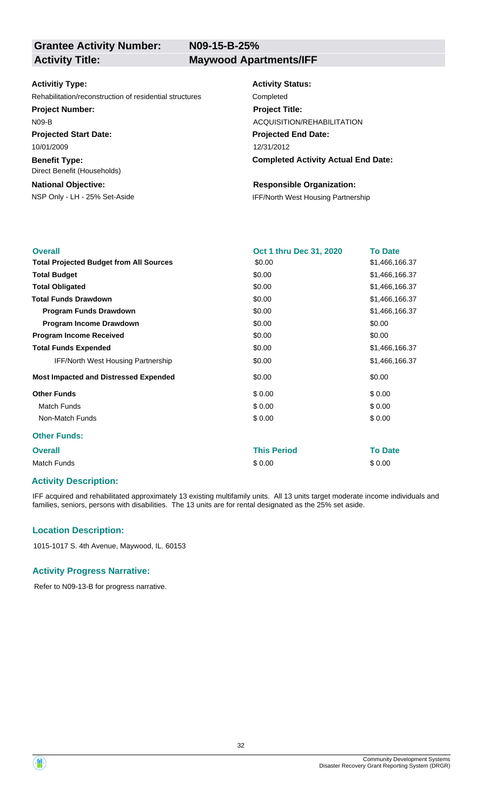**N09-15-B-25%**

### **Activitiy Type:**

Rehabilitation/reconstruction of residential structures Completed

### **Project Number:**

N09-B

**Projected Start Date:** 10/01/2009

**Benefit Type:** Direct Benefit (Households)

### **National Objective:**

### **Activity Status:**

**Projected End Date: Completed Activity Actual End Date:** 12/31/2012 **Project Title:** ACQUISITION/REHABILITATION

### **Responsible Organization:**

NSP Only - LH - 25% Set-Aside IFF/North West Housing Partnership

| <b>Overall</b>                                 | Oct 1 thru Dec 31, 2020 | <b>To Date</b> |
|------------------------------------------------|-------------------------|----------------|
| <b>Total Projected Budget from All Sources</b> | \$0.00                  | \$1,466,166.37 |
| <b>Total Budget</b>                            | \$0.00                  | \$1,466,166.37 |
| <b>Total Obligated</b>                         | \$0.00                  | \$1,466,166.37 |
| <b>Total Funds Drawdown</b>                    | \$0.00                  | \$1,466,166.37 |
| <b>Program Funds Drawdown</b>                  | \$0.00                  | \$1,466,166.37 |
| Program Income Drawdown                        | \$0.00                  | \$0.00         |
| <b>Program Income Received</b>                 | \$0.00                  | \$0.00         |
| <b>Total Funds Expended</b>                    | \$0.00                  | \$1,466,166.37 |
| <b>IFF/North West Housing Partnership</b>      | \$0.00                  | \$1,466,166.37 |
| <b>Most Impacted and Distressed Expended</b>   | \$0.00                  | \$0.00         |
| <b>Other Funds</b>                             | \$0.00                  | \$0.00         |
| <b>Match Funds</b>                             | \$0.00                  | \$0.00         |
| Non-Match Funds                                | \$0.00                  | \$0.00         |
| <b>Other Funds:</b>                            |                         |                |
| <b>Overall</b>                                 | <b>This Period</b>      | <b>To Date</b> |
| Match Funds                                    | \$0.00                  | \$0.00         |

### **Activity Description:**

IFF acquired and rehabilitated approximately 13 existing multifamily units. All 13 units target moderate income individuals and families, seniors, persons with disabilities. The 13 units are for rental designated as the 25% set aside.

### **Location Description:**

1015-1017 S. 4th Avenue, Maywood, IL. 60153

### **Activity Progress Narrative:**

Refer to N09-13-B for progress narrative.

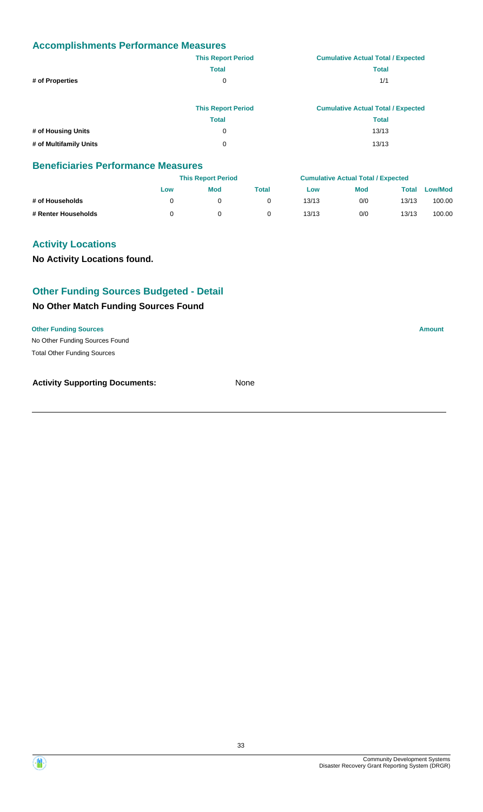|                        | <b>This Report Period</b> | <b>Cumulative Actual Total / Expected</b> |
|------------------------|---------------------------|-------------------------------------------|
|                        | <b>Total</b>              | <b>Total</b>                              |
| # of Properties        | 0                         | 1/1                                       |
|                        | <b>This Report Period</b> | <b>Cumulative Actual Total / Expected</b> |
|                        | <b>Total</b>              | <b>Total</b>                              |
| # of Housing Units     | 0                         | 13/13                                     |
| # of Multifamily Units | 0                         | 13/13                                     |

### **Beneficiaries Performance Measures**

|                     |     | <b>This Report Period</b> |       |       | <b>Cumulative Actual Total / Expected</b> |       |                |
|---------------------|-----|---------------------------|-------|-------|-------------------------------------------|-------|----------------|
|                     | Low | Mod                       | Total | Low   | <b>Mod</b>                                | Total | <b>Low/Mod</b> |
| # of Households     |     |                           |       | 13/13 | 0/0                                       | 13/13 | 100.00         |
| # Renter Households |     |                           |       | 13/13 | 0/0                                       | 13/13 | 100.00         |

### **Activity Locations**

**No Activity Locations found.**

### **Other Funding Sources Budgeted - Detail**

### **No Other Match Funding Sources Found**

**Other Funding Sources Amount** 

No Other Funding Sources Found Total Other Funding Sources

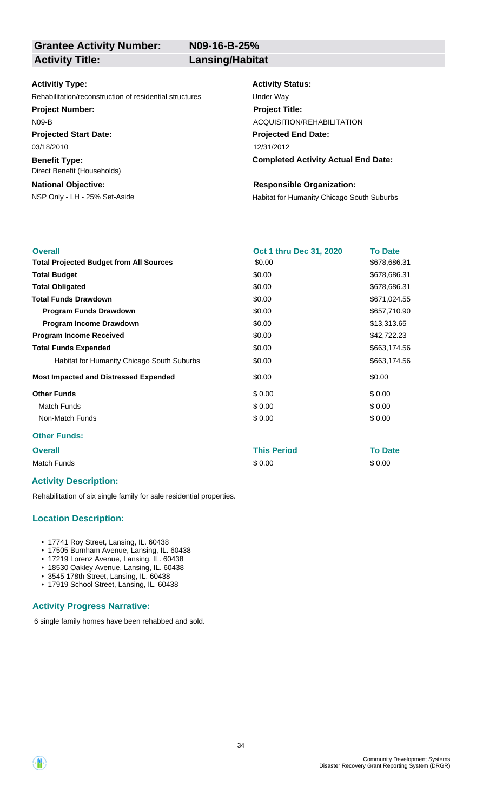**N09-16-B-25%**

### **Activitiy Type:**

Rehabilitation/reconstruction of residential structures Under Way

### **Project Number:**

N09-B

**Projected Start Date:**

03/18/2010

**Benefit Type:** Direct Benefit (Households)

### **National Objective:**

### **Activity Status:**

**Projected End Date: Completed Activity Actual End Date:** 12/31/2012 **Project Title:** ACQUISITION/REHABILITATION

### **Responsible Organization:**

NSP Only - LH - 25% Set-Aside **Habitat for Humanity Chicago South Suburbs** 

| <b>Overall</b>                                 | Oct 1 thru Dec 31, 2020 | <b>To Date</b> |
|------------------------------------------------|-------------------------|----------------|
| <b>Total Projected Budget from All Sources</b> | \$0.00                  | \$678,686.31   |
| <b>Total Budget</b>                            | \$0.00                  | \$678,686.31   |
| <b>Total Obligated</b>                         | \$0.00                  | \$678,686.31   |
| <b>Total Funds Drawdown</b>                    | \$0.00                  | \$671,024.55   |
| <b>Program Funds Drawdown</b>                  | \$0.00                  | \$657,710.90   |
| Program Income Drawdown                        | \$0.00                  | \$13,313.65    |
| <b>Program Income Received</b>                 | \$0.00                  | \$42,722.23    |
| <b>Total Funds Expended</b>                    | \$0.00                  | \$663,174.56   |
| Habitat for Humanity Chicago South Suburbs     | \$0.00                  | \$663,174.56   |
| <b>Most Impacted and Distressed Expended</b>   | \$0.00                  | \$0.00         |
| <b>Other Funds</b>                             | \$0.00                  | \$0.00         |
| <b>Match Funds</b>                             | \$0.00                  | \$0.00         |
| Non-Match Funds                                | \$0.00                  | \$0.00         |
| <b>Other Funds:</b>                            |                         |                |

### **Overall This Period To Date**

Match Funds \$ 0.00 \$ 0.00

### **Activity Description:**

Rehabilitation of six single family for sale residential properties.

### **Location Description:**

- 17741 Roy Street, Lansing, IL. 60438
- 17505 Burnham Avenue, Lansing, IL. 60438
- 17219 Lorenz Avenue, Lansing, IL. 60438
- 18530 Oakley Avenue, Lansing, IL. 60438 • 3545 178th Street, Lansing, IL. 60438
- 17919 School Street, Lansing, IL. 60438

### **Activity Progress Narrative:**

6 single family homes have been rehabbed and sold.

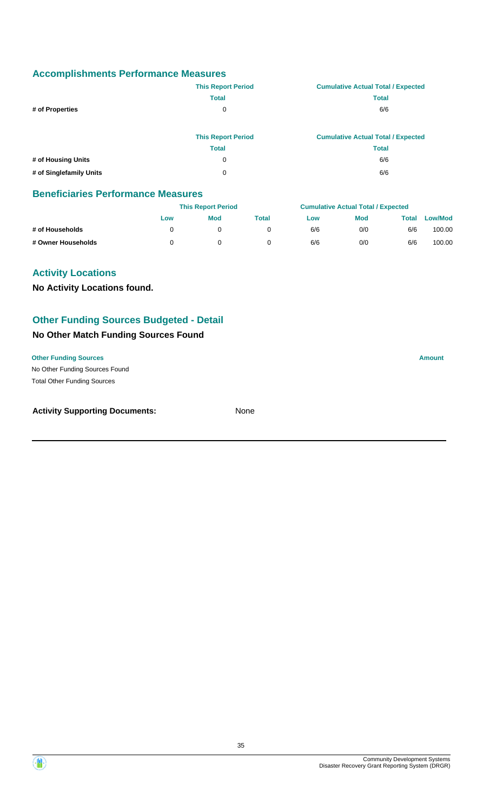|                    | <b>This Report Period</b> | <b>Cumulative Actual Total / Expected</b> |
|--------------------|---------------------------|-------------------------------------------|
|                    | <b>Total</b>              | <b>Total</b>                              |
| # of Properties    | 0                         | 6/6                                       |
|                    | <b>This Report Period</b> | <b>Cumulative Actual Total / Expected</b> |
|                    | <b>Total</b>              | <b>Total</b>                              |
| # of Housing Units | 0                         | 6/6                                       |

**# of Singlefamily Units** 0 6/6

### **Beneficiaries Performance Measures**

|                    |     | <b>This Report Period</b> |       |     | <b>Cumulative Actual Total / Expected</b> |       |                |
|--------------------|-----|---------------------------|-------|-----|-------------------------------------------|-------|----------------|
|                    | Low | <b>Mod</b>                | Total | Low | Mod                                       | Total | <b>Low/Mod</b> |
| # of Households    |     |                           |       | 6/6 | 0/0                                       | 6/6   | 100.00         |
| # Owner Households |     |                           |       | 6/6 | 0/0                                       | 6/6   | 100.00         |

### **Activity Locations**

**No Activity Locations found.**

### **Other Funding Sources Budgeted - Detail**

### **No Other Match Funding Sources Found**

### **Other Funding Sources Amount**

No Other Funding Sources Found Total Other Funding Sources

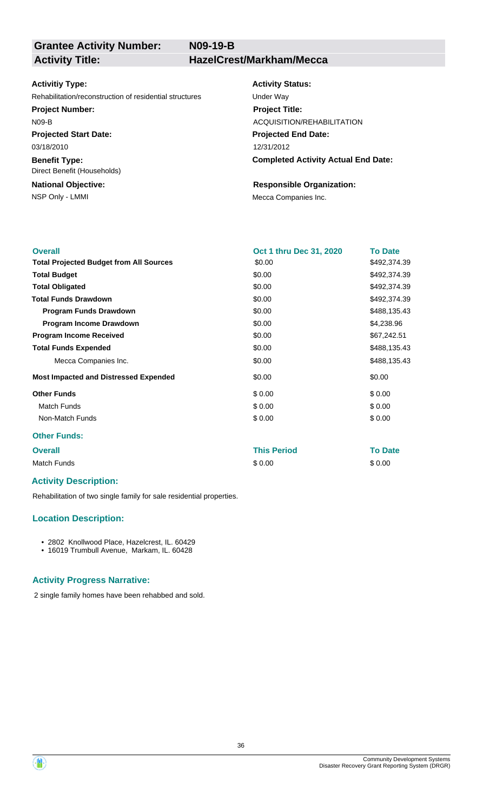**N09-19-B**

# **Grantee Activity Number:**

**Activity Title: HazelCrest/Markham/Mecca**

### **Activitiy Type:**

Rehabilitation/reconstruction of residential structures Under Way

### **Project Number:**

N09-B

**Projected Start Date:** 03/18/2010

**Benefit Type:** Direct Benefit (Households)

## **National Objective:**

### **Activity Status:**

**Projected End Date: Completed Activity Actual End Date:** 12/31/2012 **Project Title:** ACQUISITION/REHABILITATION

### **Responsible Organization:**

NSP Only - LMMI MECA Companies Inc.

| <b>Overall</b>                                 | Oct 1 thru Dec 31, 2020 | <b>To Date</b> |
|------------------------------------------------|-------------------------|----------------|
| <b>Total Projected Budget from All Sources</b> | \$0.00                  | \$492,374.39   |
| <b>Total Budget</b>                            | \$0.00                  | \$492,374.39   |
| <b>Total Obligated</b>                         | \$0.00                  | \$492,374.39   |
| <b>Total Funds Drawdown</b>                    | \$0.00                  | \$492,374.39   |
| <b>Program Funds Drawdown</b>                  | \$0.00                  | \$488,135.43   |
| <b>Program Income Drawdown</b>                 | \$0.00                  | \$4,238.96     |
| <b>Program Income Received</b>                 | \$0.00                  | \$67,242.51    |
| <b>Total Funds Expended</b>                    | \$0.00                  | \$488,135.43   |
| Mecca Companies Inc.                           | \$0.00                  | \$488,135.43   |
| <b>Most Impacted and Distressed Expended</b>   | \$0.00                  | \$0.00         |
| <b>Other Funds</b>                             | \$0.00                  | \$0.00         |
| <b>Match Funds</b>                             | \$0.00                  | \$0.00         |
| Non-Match Funds                                | \$0.00                  | \$0.00         |
| <b>Other Funds:</b>                            |                         |                |
| <b>Overall</b>                                 | <b>This Period</b>      | <b>To Date</b> |

| Match Funds | \$0.00 | \$0.00 |
|-------------|--------|--------|

### **Activity Description:**

Rehabilitation of two single family for sale residential properties.

### **Location Description:**

- 2802 Knollwood Place, Hazelcrest, IL. 60429
- 16019 Trumbull Avenue, Markam, IL. 60428

### **Activity Progress Narrative:**

2 single family homes have been rehabbed and sold.

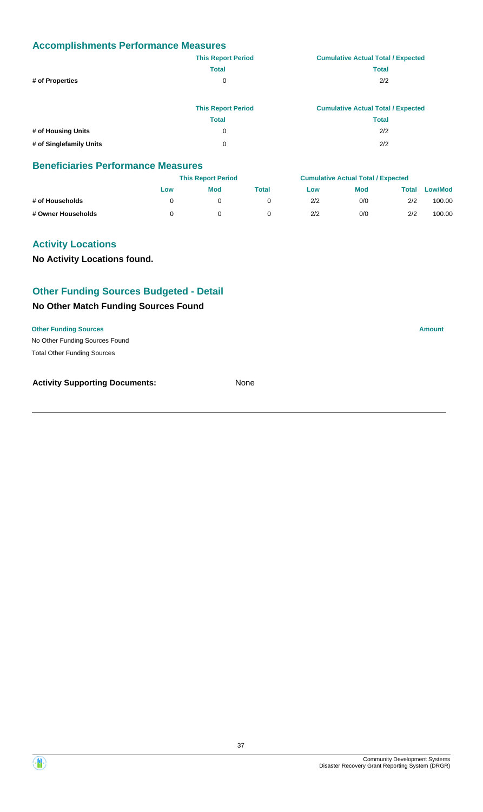|                         | <b>This Report Period</b> | <b>Cumulative Actual Total / Expected</b> |
|-------------------------|---------------------------|-------------------------------------------|
|                         | <b>Total</b>              | <b>Total</b>                              |
| # of Properties         | 0                         | 2/2                                       |
|                         | <b>This Report Period</b> | <b>Cumulative Actual Total / Expected</b> |
|                         | <b>Total</b>              | <b>Total</b>                              |
| # of Housing Units      | 0                         | 2/2                                       |
| # of Singlefamily Units | 0                         | 2/2                                       |

#### **Beneficiaries Performance Measures**

|                    |     | <b>This Report Period</b> |       |     | <b>Cumulative Actual Total / Expected</b> |       |         |  |
|--------------------|-----|---------------------------|-------|-----|-------------------------------------------|-------|---------|--|
|                    | Low | Mod                       | Total | Low | <b>Mod</b>                                | Total | Low/Mod |  |
| # of Households    |     |                           |       | 2/2 | 0/0                                       | 2/2   | 100.00  |  |
| # Owner Households |     |                           |       | 2/2 | 0/0                                       | 2/2   | 100.00  |  |

# **Activity Locations**

**No Activity Locations found.**

# **Other Funding Sources Budgeted - Detail**

# **No Other Match Funding Sources Found**

**Other Funding Sources Amount** 

No Other Funding Sources Found Total Other Funding Sources

**Activity Supporting Documents:** None

Community Development Systems

Disaster Recovery Grant Reporting System (DRGR)

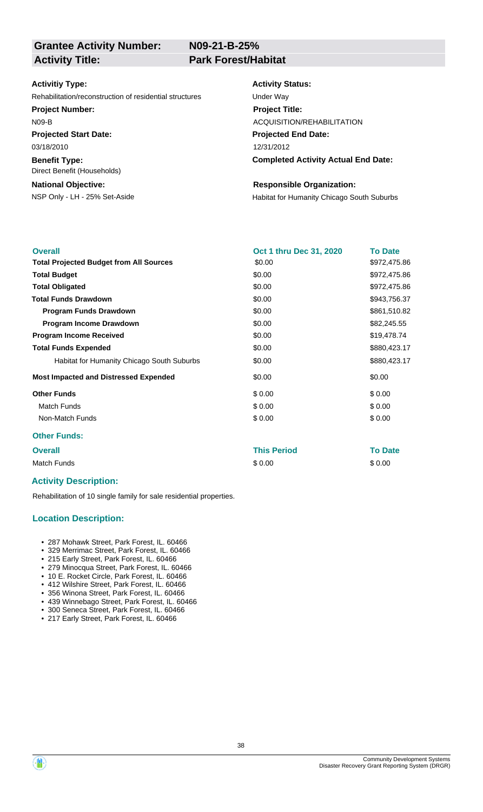**N09-21-B-25%**

#### **Activitiy Type:**

Rehabilitation/reconstruction of residential structures Under Way

#### **Project Number:**

N09-B

**Projected Start Date:**

**Benefit Type:** 03/18/2010

Direct Benefit (Households)

# **National Objective:**

# **Activity Status:**

**Projected End Date: Completed Activity Actual End Date:** 12/31/2012 **Project Title:** ACQUISITION/REHABILITATION

#### **Responsible Organization:**

NSP Only - LH - 25% Set-Aside **Habitat for Humanity Chicago South Suburbs** 

| <b>Overall</b>                                 | Oct 1 thru Dec 31, 2020 | <b>To Date</b> |
|------------------------------------------------|-------------------------|----------------|
| <b>Total Projected Budget from All Sources</b> | \$0.00                  | \$972,475.86   |
| <b>Total Budget</b>                            | \$0.00                  | \$972,475.86   |
| <b>Total Obligated</b>                         | \$0.00                  | \$972,475.86   |
| <b>Total Funds Drawdown</b>                    | \$0.00                  | \$943,756.37   |
| <b>Program Funds Drawdown</b>                  | \$0.00                  | \$861,510.82   |
| <b>Program Income Drawdown</b>                 | \$0.00                  | \$82,245.55    |
| <b>Program Income Received</b>                 | \$0.00                  | \$19,478.74    |
| <b>Total Funds Expended</b>                    | \$0.00                  | \$880,423.17   |
| Habitat for Humanity Chicago South Suburbs     | \$0.00                  | \$880,423.17   |
| <b>Most Impacted and Distressed Expended</b>   | \$0.00                  | \$0.00         |
| <b>Other Funds</b>                             | \$0.00                  | \$0.00         |
| <b>Match Funds</b>                             | \$0.00                  | \$0.00         |
| Non-Match Funds                                | \$0.00                  | \$0.00         |
| <b>Other Funds:</b>                            |                         |                |

**Overall This Period To Date** Match Funds \$ 0.00 \$ 0.00

# **Activity Description:**

Rehabilitation of 10 single family for sale residential properties.

#### **Location Description:**

- 287 Mohawk Street, Park Forest, IL. 60466
- 329 Merrimac Street, Park Forest, IL. 60466
- 215 Early Street, Park Forest, IL. 60466
- 279 Minocqua Street, Park Forest, IL. 60466
- 10 E. Rocket Circle, Park Forest, IL. 60466
- 412 Wilshire Street, Park Forest, IL. 60466 • 356 Winona Street, Park Forest, IL. 60466
- 439 Winnebago Street, Park Forest, IL. 60466
- 300 Seneca Street, Park Forest, IL. 60466
- 217 Early Street, Park Forest, IL. 60466

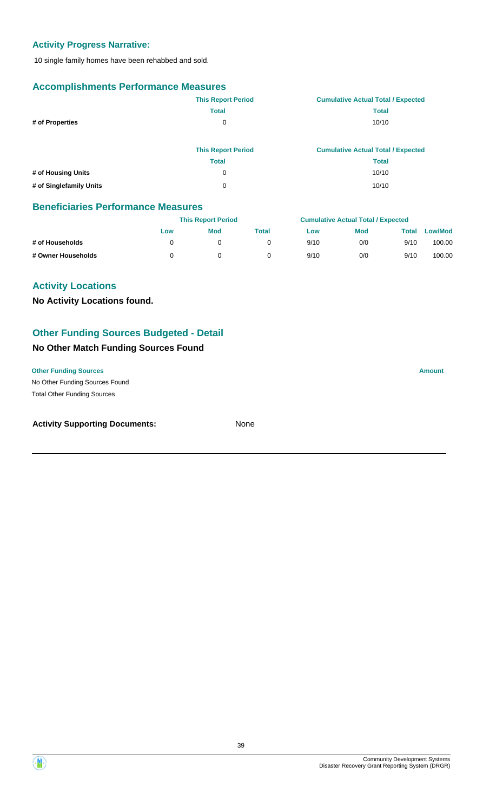# **Activity Progress Narrative:**

10 single family homes have been rehabbed and sold.

# **Accomplishments Performance Measures**

|                    | <b>This Report Period</b> | <b>Cumulative Actual Total / Expected</b> |
|--------------------|---------------------------|-------------------------------------------|
|                    | <b>Total</b>              | <b>Total</b>                              |
| # of Properties    | 0                         | 10/10                                     |
|                    |                           |                                           |
|                    | <b>This Report Period</b> | <b>Cumulative Actual Total / Expected</b> |
|                    | <b>Total</b>              | <b>Total</b>                              |
| # of Housing Units | 0                         | 10/10                                     |
|                    |                           |                                           |

### **Beneficiaries Performance Measures**

|                    |     | <b>This Report Period</b> |       |      | <b>Cumulative Actual Total / Expected</b> |       |                |  |
|--------------------|-----|---------------------------|-------|------|-------------------------------------------|-------|----------------|--|
|                    | Low | <b>Mod</b>                | Total | Low  | Mod                                       | Total | <b>Low/Mod</b> |  |
| # of Households    |     |                           |       | 9/10 | 0/0                                       | 9/10  | 100.00         |  |
| # Owner Households |     |                           |       | 9/10 | 0/0                                       | 9/10  | 100.00         |  |

# **Activity Locations**

**No Activity Locations found.**

# **Other Funding Sources Budgeted - Detail**

# **No Other Match Funding Sources Found**

No Other Funding Sources Found **Other Funding Sources Amount Amount Amount Amount Amount Amount Amount** Total Other Funding Sources

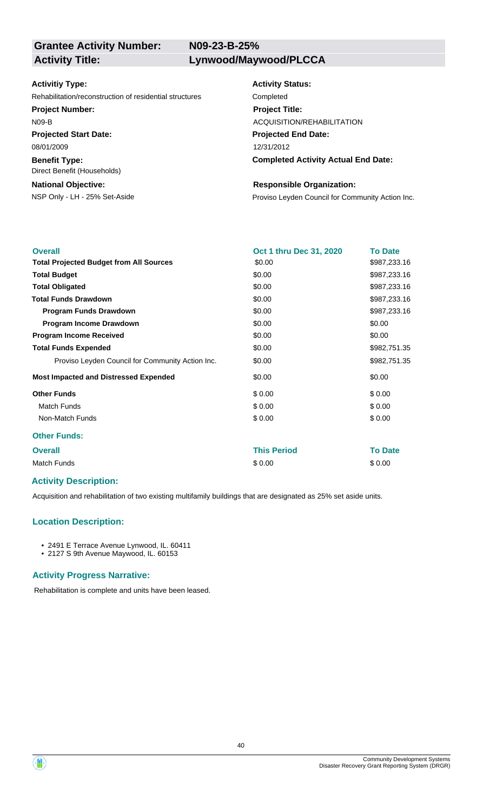**N09-23-B-25%**

#### **Activitiy Type:**

Rehabilitation/reconstruction of residential structures Completed

#### **Project Number:**

N09-B

**Projected Start Date:** 08/01/2009

**Benefit Type:**

Direct Benefit (Households)

# **National Objective:**

**Activity Status: Projected End Date: Completed Activity Actual End Date:** 12/31/2012 **Project Title:** ACQUISITION/REHABILITATION

#### **Responsible Organization:**

NSP Only - LH - 25% Set-Aside **Proviso Leyden Council for Community Action Inc.** 

| <b>Overall</b>                                   | Oct 1 thru Dec 31, 2020 | <b>To Date</b> |
|--------------------------------------------------|-------------------------|----------------|
| <b>Total Projected Budget from All Sources</b>   | \$0.00                  | \$987,233.16   |
| <b>Total Budget</b>                              | \$0.00                  | \$987,233.16   |
| <b>Total Obligated</b>                           | \$0.00                  | \$987,233.16   |
| <b>Total Funds Drawdown</b>                      | \$0.00                  | \$987,233.16   |
| <b>Program Funds Drawdown</b>                    | \$0.00                  | \$987,233.16   |
| Program Income Drawdown                          | \$0.00                  | \$0.00         |
| <b>Program Income Received</b>                   | \$0.00                  | \$0.00         |
| <b>Total Funds Expended</b>                      | \$0.00                  | \$982,751.35   |
| Proviso Leyden Council for Community Action Inc. | \$0.00                  | \$982,751.35   |
| <b>Most Impacted and Distressed Expended</b>     | \$0.00                  | \$0.00         |
| <b>Other Funds</b>                               | \$0.00                  | \$0.00         |
| <b>Match Funds</b>                               | \$0.00                  | \$0.00         |
| Non-Match Funds                                  | \$0.00                  | \$0.00         |
| <b>Other Funds:</b>                              |                         |                |
| <b>Overall</b>                                   | <b>This Period</b>      | <b>To Date</b> |
| <b>Match Funds</b>                               | \$0.00                  | \$0.00         |
|                                                  |                         |                |

# **Activity Description:**

Acquisition and rehabilitation of two existing multifamily buildings that are designated as 25% set aside units.

# **Location Description:**

• 2491 E Terrace Avenue Lynwood, IL. 60411

• 2127 S 9th Avenue Maywood, IL. 60153

#### **Activity Progress Narrative:**

Rehabilitation is complete and units have been leased.

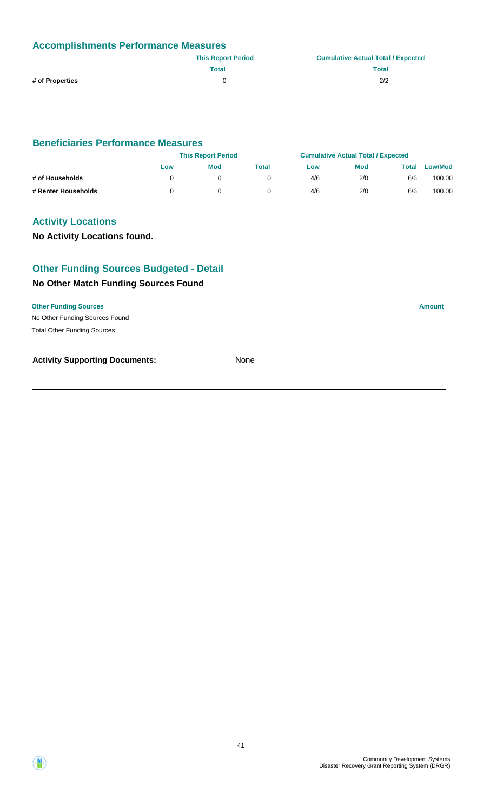| <b>Accomplishments Performance Measures</b> |                           |                                           |  |  |
|---------------------------------------------|---------------------------|-------------------------------------------|--|--|
|                                             | <b>This Report Period</b> | <b>Cumulative Actual Total / Expected</b> |  |  |
|                                             | Total                     | <b>Total</b>                              |  |  |
| # of Properties                             |                           | 2/2                                       |  |  |

# **Beneficiaries Performance Measures**

|                     | <b>This Report Period</b> |            | <b>Cumulative Actual Total / Expected</b> |     |            |       |         |
|---------------------|---------------------------|------------|-------------------------------------------|-----|------------|-------|---------|
|                     | Low                       | <b>Mod</b> | Total                                     | Low | <b>Mod</b> | Total | Low/Mod |
| # of Households     |                           |            |                                           | 4/6 | 2/0        | 6/6   | 100.00  |
| # Renter Households |                           |            |                                           | 4/6 | 2/0        | 6/6   | 100.00  |

# **Activity Locations**

# **No Activity Locations found.**

# **Other Funding Sources Budgeted - Detail**

# **No Other Match Funding Sources Found**

#### **Other Funding Sources Amount**

No Other Funding Sources Found Total Other Funding Sources

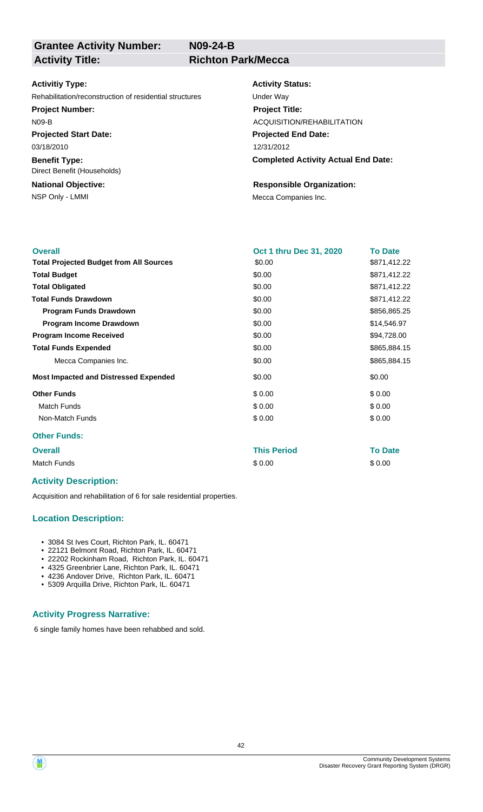**Grantee Activity Number:**

**N09-24-B**

### **Activity Title: Richton Park/Mecca**

#### **Activitiy Type:**

Rehabilitation/reconstruction of residential structures Under Way

**Project Number:**

N09-B

**Projected Start Date:** 03/18/2010

**Benefit Type:** Direct Benefit (Households)

**National Objective:**

#### **Activity Status:**

**Projected End Date: Completed Activity Actual End Date:** 12/31/2012 **Project Title:** ACQUISITION/REHABILITATION

#### **Responsible Organization:**

NSP Only - LMMI MECA Companies Inc.

| <b>Overall</b>                                 | <b>Oct 1 thru Dec 31, 2020</b> | <b>To Date</b> |
|------------------------------------------------|--------------------------------|----------------|
|                                                |                                |                |
| <b>Total Projected Budget from All Sources</b> | \$0.00                         | \$871,412.22   |
| <b>Total Budget</b>                            | \$0.00                         | \$871,412.22   |
| <b>Total Obligated</b>                         | \$0.00                         | \$871,412.22   |
| <b>Total Funds Drawdown</b>                    | \$0.00                         | \$871,412.22   |
| <b>Program Funds Drawdown</b>                  | \$0.00                         | \$856,865.25   |
| <b>Program Income Drawdown</b>                 | \$0.00                         | \$14,546.97    |
| <b>Program Income Received</b>                 | \$0.00                         | \$94,728.00    |
| <b>Total Funds Expended</b>                    | \$0.00                         | \$865,884.15   |
| Mecca Companies Inc.                           | \$0.00                         | \$865,884.15   |
| <b>Most Impacted and Distressed Expended</b>   | \$0.00                         | \$0.00         |
| <b>Other Funds</b>                             | \$0.00                         | \$0.00         |
| <b>Match Funds</b>                             | \$0.00                         | \$0.00         |
| Non-Match Funds                                | \$0.00                         | \$0.00         |
| <b>Other Funds:</b>                            |                                |                |
| <b>Overall</b>                                 | This Period                    | <b>To Date</b> |

Match Funds \$ 0.00 \$ 0.00

#### **Activity Description:**

Acquisition and rehabilitation of 6 for sale residential properties.

#### **Location Description:**

- 3084 St Ives Court, Richton Park, IL. 60471
- 22121 Belmont Road, Richton Park, IL. 60471
- 22202 Rockinham Road, Richton Park, IL. 60471
- 4325 Greenbrier Lane, Richton Park, IL. 60471 • 4236 Andover Drive, Richton Park, IL. 60471
- 5309 Arquilla Drive, Richton Park, IL. 60471

#### **Activity Progress Narrative:**

6 single family homes have been rehabbed and sold.

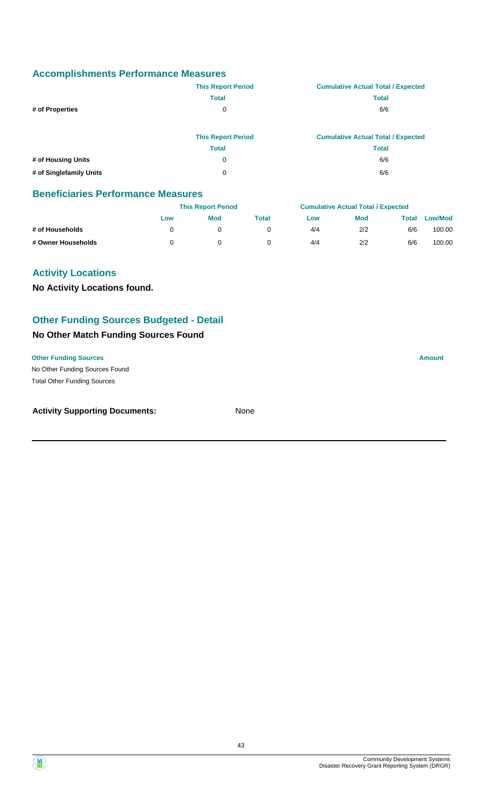|                    | <b>This Report Period</b> | <b>Cumulative Actual Total / Expected</b> |
|--------------------|---------------------------|-------------------------------------------|
|                    | <b>Total</b>              | <b>Total</b>                              |
| # of Properties    | 0                         | 6/6                                       |
|                    | <b>This Report Period</b> | <b>Cumulative Actual Total / Expected</b> |
|                    | <b>Total</b>              | <b>Total</b>                              |
| # of Housing Units | 0                         | 6/6                                       |

**# of Singlefamily Units** 0 6/6

#### **Beneficiaries Performance Measures**

|                    |     | <b>This Report Period</b> |       |     | <b>Cumulative Actual Total / Expected</b> |       |                |  |
|--------------------|-----|---------------------------|-------|-----|-------------------------------------------|-------|----------------|--|
|                    | Low | <b>Mod</b>                | Total | Low | <b>Mod</b>                                | Total | <b>Low/Mod</b> |  |
| # of Households    |     |                           |       | 4/4 | 2/2                                       | 6/6   | 100.00         |  |
| # Owner Households |     |                           |       | 4/4 | 2/2                                       | 6/6   | 100.00         |  |

# **Activity Locations**

**No Activity Locations found.**

# **Other Funding Sources Budgeted - Detail**

# **No Other Match Funding Sources Found**

#### **Other Funding Sources Amount**

No Other Funding Sources Found Total Other Funding Sources

| <b>Activity Supporting Documents:</b> | None |
|---------------------------------------|------|
|                                       |      |

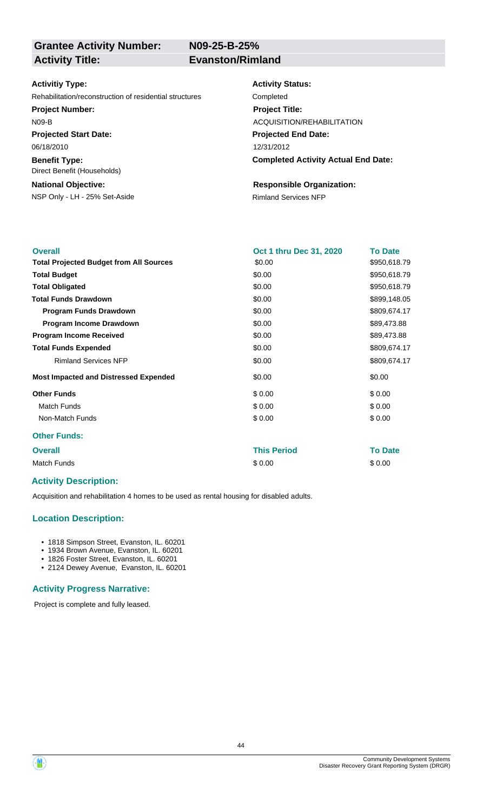**N09-25-B-25%**

#### **Activitiy Type:**

Rehabilitation/reconstruction of residential structures Completed

**Project Number:**

N09-B

**Projected Start Date:** 06/18/2010

**Benefit Type:** Direct Benefit (Households)

### **National Objective:**

NSP Only - LH - 25% Set-Aside Rimland Services NFP

# **Activity Status:**

**Projected End Date: Completed Activity Actual End Date:** 12/31/2012 **Project Title:** ACQUISITION/REHABILITATION

# **Responsible Organization:**

| <b>Overall</b>                                 | Oct 1 thru Dec 31, 2020 | <b>To Date</b> |
|------------------------------------------------|-------------------------|----------------|
| <b>Total Projected Budget from All Sources</b> | \$0.00                  | \$950,618.79   |
| <b>Total Budget</b>                            | \$0.00                  | \$950,618.79   |
| <b>Total Obligated</b>                         | \$0.00                  | \$950,618.79   |
| <b>Total Funds Drawdown</b>                    | \$0.00                  | \$899,148.05   |
| <b>Program Funds Drawdown</b>                  | \$0.00                  | \$809,674.17   |
| Program Income Drawdown                        | \$0.00                  | \$89,473.88    |
| <b>Program Income Received</b>                 | \$0.00                  | \$89,473.88    |
| <b>Total Funds Expended</b>                    | \$0.00                  | \$809,674.17   |
| <b>Rimland Services NFP</b>                    | \$0.00                  | \$809,674.17   |
| <b>Most Impacted and Distressed Expended</b>   | \$0.00                  | \$0.00         |
| <b>Other Funds</b>                             | \$0.00                  | \$0.00         |
| <b>Match Funds</b>                             | \$0.00                  | \$0.00         |
| Non-Match Funds                                | \$0.00                  | \$0.00         |
| <b>Other Funds:</b>                            |                         |                |
| <b>Overall</b>                                 | <b>This Period</b>      | <b>To Date</b> |
| <b>Match Funds</b>                             | \$0.00                  | \$0.00         |

# **Activity Description:**

Acquisition and rehabilitation 4 homes to be used as rental housing for disabled adults.

# **Location Description:**

- 1818 Simpson Street, Evanston, IL. 60201
- 1934 Brown Avenue, Evanston, IL. 60201
- 1826 Foster Street, Evanston, IL. 60201
- 2124 Dewey Avenue, Evanston, IL. 60201

#### **Activity Progress Narrative:**

Project is complete and fully leased.

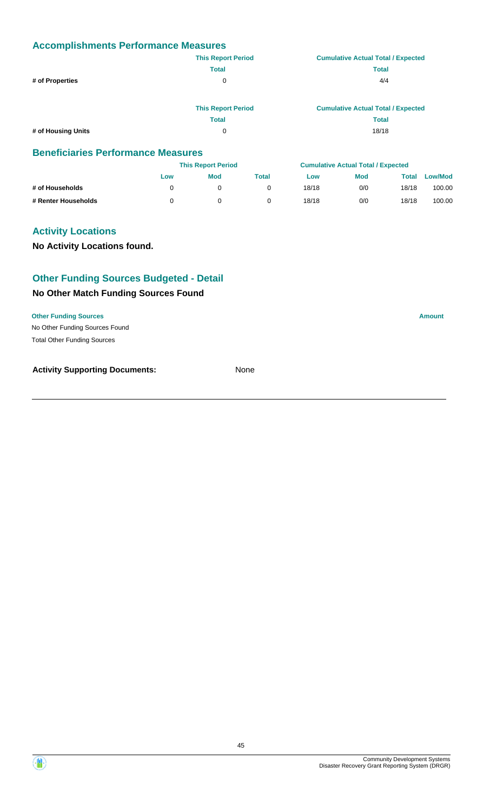|                    | <b>This Report Period</b> | <b>Cumulative Actual Total / Expected</b> |
|--------------------|---------------------------|-------------------------------------------|
|                    | <b>Total</b>              | <b>Total</b>                              |
| # of Properties    | 0                         | 4/4                                       |
|                    | <b>This Report Period</b> | <b>Cumulative Actual Total / Expected</b> |
|                    | <b>Total</b>              | <b>Total</b>                              |
| # of Housing Units | 0                         | 18/18                                     |

#### **Beneficiaries Performance Measures**

|                     | <b>This Report Period</b> |            |       | <b>Cumulative Actual Total / Expected</b> |            |       |                |
|---------------------|---------------------------|------------|-------|-------------------------------------------|------------|-------|----------------|
|                     | Low                       | <b>Mod</b> | Total | Low                                       | <b>Mod</b> | Total | <b>Low/Mod</b> |
| # of Households     |                           |            |       | 18/18                                     | 0/0        | 18/18 | 100.00         |
| # Renter Households |                           |            |       | 18/18                                     | 0/0        | 18/18 | 100.00         |

# **Activity Locations**

**No Activity Locations found.**

# **Other Funding Sources Budgeted - Detail**

# **No Other Match Funding Sources Found**

No Other Funding Sources Found **Other Funding Sources Amount Amount Amount Amount Amount Amount Amount** Total Other Funding Sources



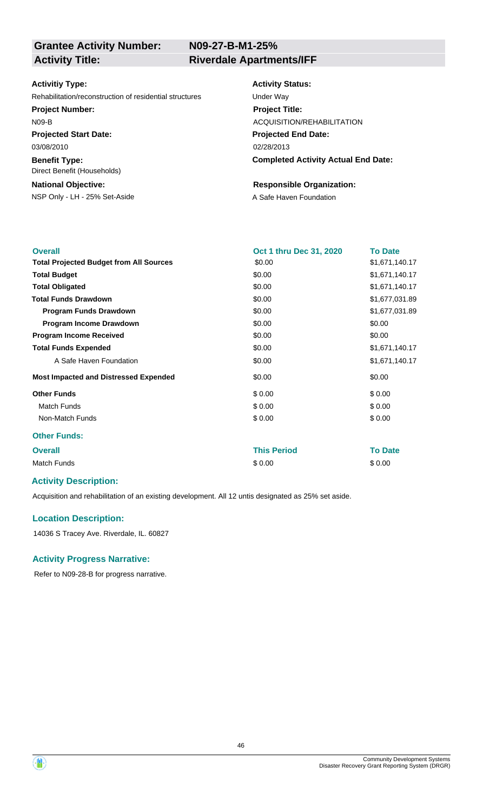**N09-27-B-M1-25%**

#### **Activitiy Type:**

Rehabilitation/reconstruction of residential structures Under Way

#### **Project Number:**

N09-B

**Projected Start Date:** 03/08/2010

**Benefit Type:** Direct Benefit (Households)

# **National Objective:**

NSP Only - LH - 25% Set-Aside A Safe Haven Foundation

#### **Activity Status:**

**Projected End Date: Completed Activity Actual End Date:** 02/28/2013 **Project Title:** ACQUISITION/REHABILITATION

#### **Responsible Organization:**

| <b>Overall</b>                                 | Oct 1 thru Dec 31, 2020 | <b>To Date</b> |
|------------------------------------------------|-------------------------|----------------|
| <b>Total Projected Budget from All Sources</b> | \$0.00                  | \$1,671,140.17 |
| <b>Total Budget</b>                            | \$0.00                  | \$1,671,140.17 |
| <b>Total Obligated</b>                         | \$0.00                  | \$1,671,140.17 |
| <b>Total Funds Drawdown</b>                    | \$0.00                  | \$1,677,031.89 |
| <b>Program Funds Drawdown</b>                  | \$0.00                  | \$1,677,031.89 |
| Program Income Drawdown                        | \$0.00                  | \$0.00         |
| <b>Program Income Received</b>                 | \$0.00                  | \$0.00         |
| <b>Total Funds Expended</b>                    | \$0.00                  | \$1,671,140.17 |
| A Safe Haven Foundation                        | \$0.00                  | \$1,671,140.17 |
| <b>Most Impacted and Distressed Expended</b>   | \$0.00                  | \$0.00         |
| <b>Other Funds</b>                             | \$0.00                  | \$0.00         |
| <b>Match Funds</b>                             | \$0.00                  | \$0.00         |
| Non-Match Funds                                | \$0.00                  | \$0.00         |
| <b>Other Funds:</b>                            |                         |                |
| <b>Overall</b>                                 | <b>This Period</b>      | <b>To Date</b> |
| <b>Match Funds</b>                             | \$0.00                  | \$0.00         |

# **Activity Description:**

Acquisition and rehabilitation of an existing development. All 12 untis designated as 25% set aside.

#### **Location Description:**

14036 S Tracey Ave. Riverdale, IL. 60827

#### **Activity Progress Narrative:**

Refer to N09-28-B for progress narrative.



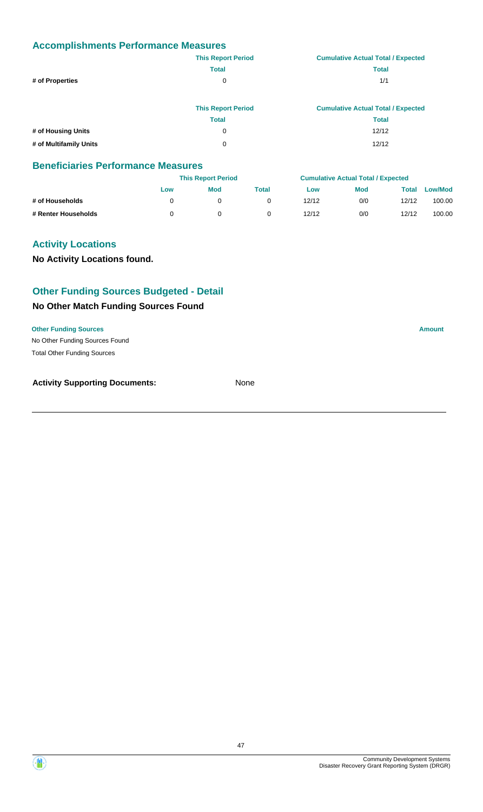|                        | <b>This Report Period</b> | <b>Cumulative Actual Total / Expected</b> |
|------------------------|---------------------------|-------------------------------------------|
|                        | <b>Total</b>              | <b>Total</b>                              |
| # of Properties        | 0                         | 1/1                                       |
|                        |                           |                                           |
|                        | <b>This Report Period</b> | <b>Cumulative Actual Total / Expected</b> |
|                        | <b>Total</b>              | <b>Total</b>                              |
| # of Housing Units     | 0                         | 12/12                                     |
| # of Multifamily Units | 0                         | 12/12                                     |

#### **Beneficiaries Performance Measures**

|                     |     | <b>This Report Period</b> |       |       | <b>Cumulative Actual Total / Expected</b> |       |                |
|---------------------|-----|---------------------------|-------|-------|-------------------------------------------|-------|----------------|
|                     | Low | <b>Mod</b>                | Total | Low   | <b>Mod</b>                                | Total | <b>Low/Mod</b> |
| # of Households     |     |                           |       | 12/12 | 0/0                                       | 12/12 | 100.00         |
| # Renter Households |     |                           |       | 12/12 | 0/0                                       | 12/12 | 100.00         |

# **Activity Locations**

**No Activity Locations found.**

# **Other Funding Sources Budgeted - Detail**

### **No Other Match Funding Sources Found**

**Other Funding Sources Amount** 

No Other Funding Sources Found Total Other Funding Sources

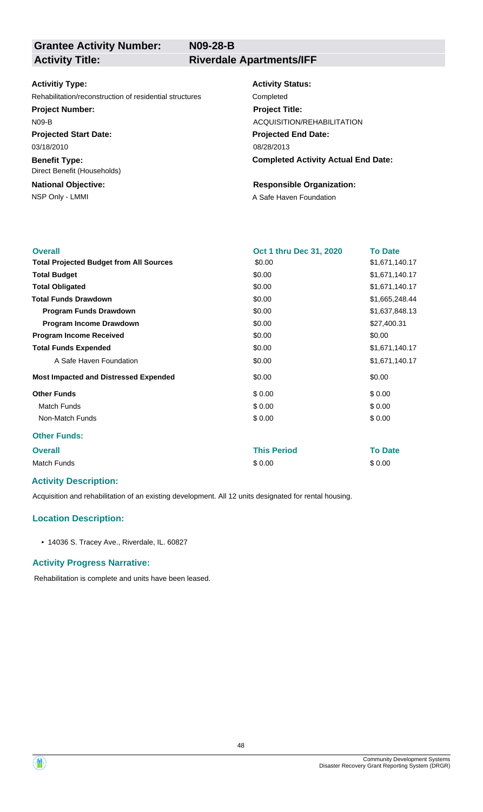**N09-28-B**

# **Grantee Activity Number:**

**Activity Title: Riverdale Apartments/IFF**

#### **Activitiy Type:**

Rehabilitation/reconstruction of residential structures Completed

#### **Project Number:**

N09-B

**Projected Start Date:** 03/18/2010

**Benefit Type:** Direct Benefit (Households)

# **National Objective:**

# **Activity Status:**

**Projected End Date: Completed Activity Actual End Date:** 08/28/2013 **Project Title:** ACQUISITION/REHABILITATION

#### **Responsible Organization:**

NSP Only - LMMI **A** Safe Haven Foundation

| <b>Overall</b>                                 | Oct 1 thru Dec 31, 2020 | <b>To Date</b> |
|------------------------------------------------|-------------------------|----------------|
| <b>Total Projected Budget from All Sources</b> | \$0.00                  | \$1,671,140.17 |
| <b>Total Budget</b>                            | \$0.00                  | \$1,671,140.17 |
| <b>Total Obligated</b>                         | \$0.00                  | \$1,671,140.17 |
| <b>Total Funds Drawdown</b>                    | \$0.00                  | \$1,665,248.44 |
| <b>Program Funds Drawdown</b>                  | \$0.00                  | \$1,637,848.13 |
| Program Income Drawdown                        | \$0.00                  | \$27,400.31    |
| <b>Program Income Received</b>                 | \$0.00                  | \$0.00         |
| <b>Total Funds Expended</b>                    | \$0.00                  | \$1,671,140.17 |
| A Safe Haven Foundation                        | \$0.00                  | \$1,671,140.17 |
| <b>Most Impacted and Distressed Expended</b>   | \$0.00                  | \$0.00         |
| <b>Other Funds</b>                             | \$0.00                  | \$0.00         |
| <b>Match Funds</b>                             | \$0.00                  | \$0.00         |
| Non-Match Funds                                | \$0.00                  | \$0.00         |
| <b>Other Funds:</b>                            |                         |                |
| <b>Overall</b>                                 | <b>This Period</b>      | <b>To Date</b> |
| <b>Match Funds</b>                             | \$0.00                  | \$0.00         |

# **Activity Description:**

Acquisition and rehabilitation of an existing development. All 12 units designated for rental housing.

# **Location Description:**

• 14036 S. Tracey Ave., Riverdale, IL. 60827

#### **Activity Progress Narrative:**

Rehabilitation is complete and units have been leased.



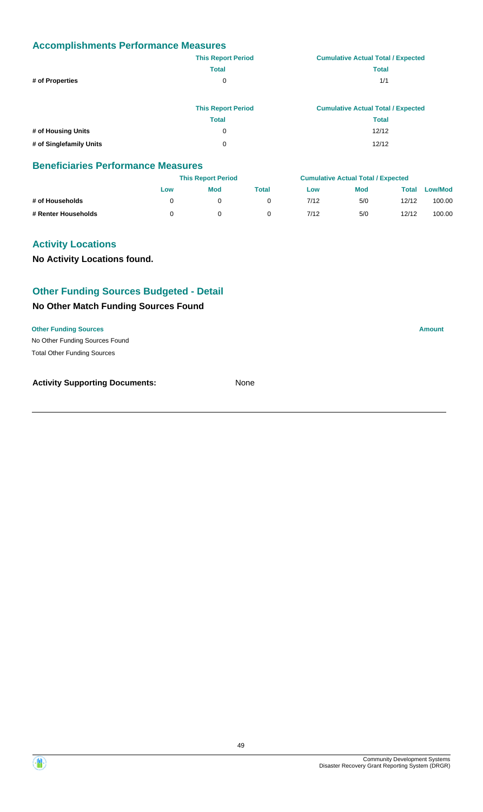|                         | <b>This Report Period</b> | <b>Cumulative Actual Total / Expected</b> |
|-------------------------|---------------------------|-------------------------------------------|
|                         | <b>Total</b>              | <b>Total</b>                              |
| # of Properties         | 0                         | 1/1                                       |
|                         |                           |                                           |
|                         | <b>This Report Period</b> | <b>Cumulative Actual Total / Expected</b> |
|                         | <b>Total</b>              | <b>Total</b>                              |
| # of Housing Units      | 0                         | 12/12                                     |
| # of Singlefamily Units | 0                         | 12/12                                     |

#### **Beneficiaries Performance Measures**

|                     |     | <b>This Report Period</b> |       |      | <b>Cumulative Actual Total / Expected</b> |       |                |
|---------------------|-----|---------------------------|-------|------|-------------------------------------------|-------|----------------|
|                     | Low | <b>Mod</b>                | Total | Low  | Mod                                       | Total | <b>Low/Mod</b> |
| # of Households     |     |                           |       | 7/12 | 5/0                                       | 12/12 | 100.00         |
| # Renter Households |     |                           |       | 7/12 | 5/0                                       | 12/12 | 100.00         |

# **Activity Locations**

**No Activity Locations found.**

# **Other Funding Sources Budgeted - Detail**

#### **No Other Match Funding Sources Found**

**Other Funding Sources Amount** 

No Other Funding Sources Found Total Other Funding Sources

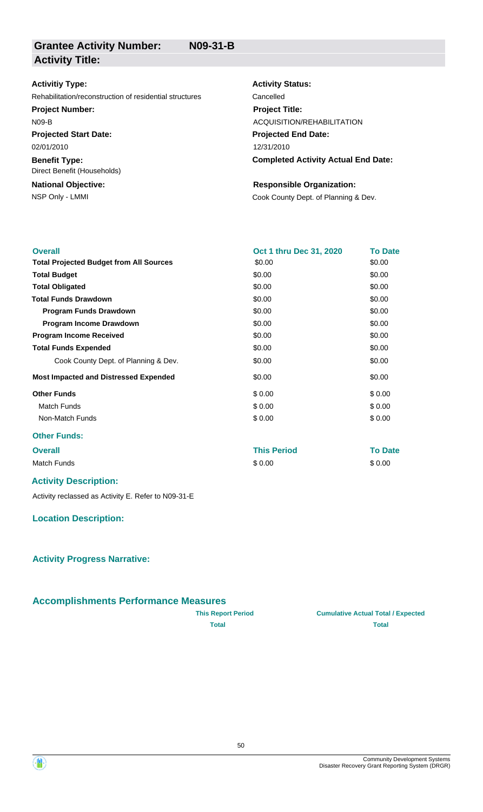| <b>Activitiy Type:</b>                                  | <b>Activity Status:</b>                    |
|---------------------------------------------------------|--------------------------------------------|
| Rehabilitation/reconstruction of residential structures | Cancelled                                  |
| <b>Project Number:</b>                                  | <b>Project Title:</b>                      |
| $N09-B$                                                 | ACQUISITION/REHABILITATION                 |
| <b>Projected Start Date:</b>                            | <b>Projected End Date:</b>                 |
| 02/01/2010                                              | 12/31/2010                                 |
| <b>Benefit Type:</b><br>Direct Benefit (Households)     | <b>Completed Activity Actual End Date:</b> |
| <b>National Objective:</b>                              | <b>Responsible Organization:</b>           |
| NSP Only - LMMI                                         | Cook County Dept. of Planning & Dev.       |

| <b>Overall</b>                                 | Oct 1 thru Dec 31, 2020 | <b>To Date</b> |
|------------------------------------------------|-------------------------|----------------|
| <b>Total Projected Budget from All Sources</b> | \$0.00                  | \$0.00         |
| <b>Total Budget</b>                            | \$0.00                  | \$0.00         |
| <b>Total Obligated</b>                         | \$0.00                  | \$0.00         |
| <b>Total Funds Drawdown</b>                    | \$0.00                  | \$0.00         |
| <b>Program Funds Drawdown</b>                  | \$0.00                  | \$0.00         |
| Program Income Drawdown                        | \$0.00                  | \$0.00         |
| <b>Program Income Received</b>                 | \$0.00                  | \$0.00         |
| <b>Total Funds Expended</b>                    | \$0.00                  | \$0.00         |
| Cook County Dept. of Planning & Dev.           | \$0.00                  | \$0.00         |
| <b>Most Impacted and Distressed Expended</b>   | \$0.00                  | \$0.00         |
| <b>Other Funds</b>                             | \$0.00                  | \$0.00         |
| <b>Match Funds</b>                             | \$0.00                  | \$0.00         |
| Non-Match Funds                                | \$0.00                  | \$0.00         |
| <b>Other Funds:</b>                            |                         |                |
| <b>Overall</b>                                 | <b>This Period</b>      | <b>To Date</b> |
| <b>Match Funds</b>                             | \$0.00                  | \$0.00         |

### **Activity Description:**

Activity reclassed as Activity E. Refer to N09-31-E

# **Location Description:**

# **Activity Progress Narrative:**

# **Accomplishments Performance Measures**

| <b>This Report Period</b> |
|---------------------------|
| <b>Total</b>              |

**Total Total**

**Cumulative Actual Total / Expected** 

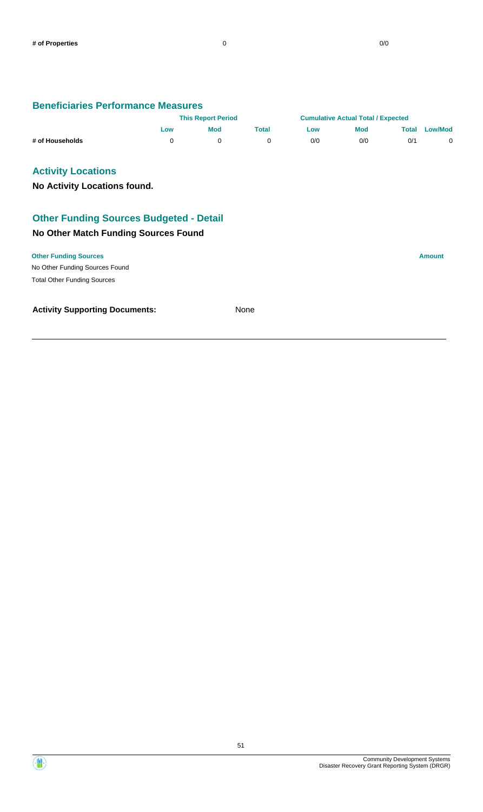#### **Beneficiaries Performance Measures**

|                 | <b>This Report Period</b> |            | <b>Cumulative Actual Total / Expected</b> |     |     |       |                |
|-----------------|---------------------------|------------|-------------------------------------------|-----|-----|-------|----------------|
|                 | Low                       | <b>Mod</b> | Total                                     | Low | Mod | Total | <b>Low/Mod</b> |
| # of Households |                           |            |                                           | 0/0 | 0/0 | 0/1   |                |

# **Activity Locations**

**No Activity Locations found.**

# **Other Funding Sources Budgeted - Detail**

# **No Other Match Funding Sources Found**

#### **Other Funding Sources Amount**

No Other Funding Sources Found Total Other Funding Sources



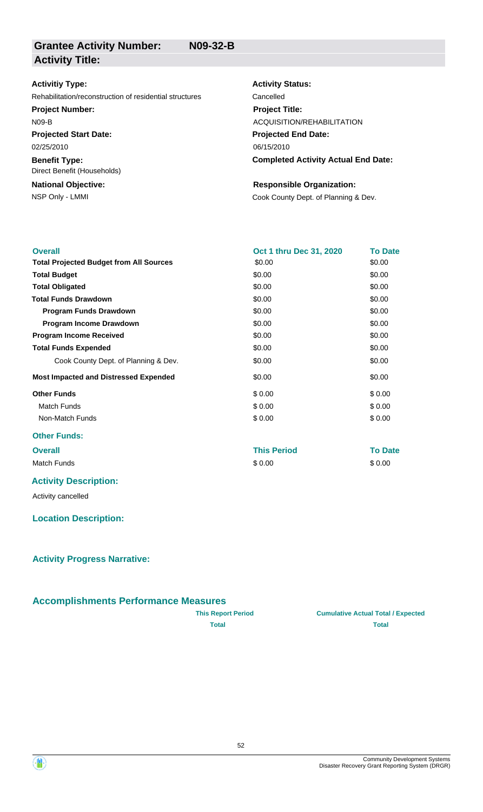| <b>Activitiy Type:</b>                                  | <b>Activity Status:</b>                    |
|---------------------------------------------------------|--------------------------------------------|
| Rehabilitation/reconstruction of residential structures | Cancelled                                  |
| <b>Project Number:</b>                                  | <b>Project Title:</b>                      |
| <b>N09-B</b>                                            | ACQUISITION/REHABILITATION                 |
| <b>Projected Start Date:</b>                            | <b>Projected End Date:</b>                 |
| 02/25/2010                                              | 06/15/2010                                 |
| <b>Benefit Type:</b><br>Direct Benefit (Households)     | <b>Completed Activity Actual End Date:</b> |
| <b>National Objective:</b>                              | <b>Responsible Organization:</b>           |
| NSP Only - LMMI                                         | Cook County Dept. of Planning & Dev.       |

| <b>Overall</b>                                 | Oct 1 thru Dec 31, 2020 | <b>To Date</b> |
|------------------------------------------------|-------------------------|----------------|
| <b>Total Projected Budget from All Sources</b> | \$0.00                  | \$0.00         |
| <b>Total Budget</b>                            | \$0.00                  | \$0.00         |
| <b>Total Obligated</b>                         | \$0.00                  | \$0.00         |
| <b>Total Funds Drawdown</b>                    | \$0.00                  | \$0.00         |
| <b>Program Funds Drawdown</b>                  | \$0.00                  | \$0.00         |
| Program Income Drawdown                        | \$0.00                  | \$0.00         |
| <b>Program Income Received</b>                 | \$0.00                  | \$0.00         |
| <b>Total Funds Expended</b>                    | \$0.00                  | \$0.00         |
| Cook County Dept. of Planning & Dev.           | \$0.00                  | \$0.00         |
| <b>Most Impacted and Distressed Expended</b>   | \$0.00                  | \$0.00         |
| <b>Other Funds</b>                             | \$0.00                  | \$0.00         |
| <b>Match Funds</b>                             | \$0.00                  | \$0.00         |
| Non-Match Funds                                | \$0.00                  | \$0.00         |
| <b>Other Funds:</b>                            |                         |                |
| <b>Overall</b>                                 | <b>This Period</b>      | <b>To Date</b> |
| <b>Match Funds</b>                             | \$0.00                  | \$0.00         |
|                                                |                         |                |

# **Activity Description:**

Activity cancelled

# **Location Description:**

**Activity Progress Narrative:**

# **Accomplishments Performance Measures**

| <b>This Report Period</b> |
|---------------------------|
| <b>Total</b>              |

**Cumulative Actual Total / Expected Total Total**



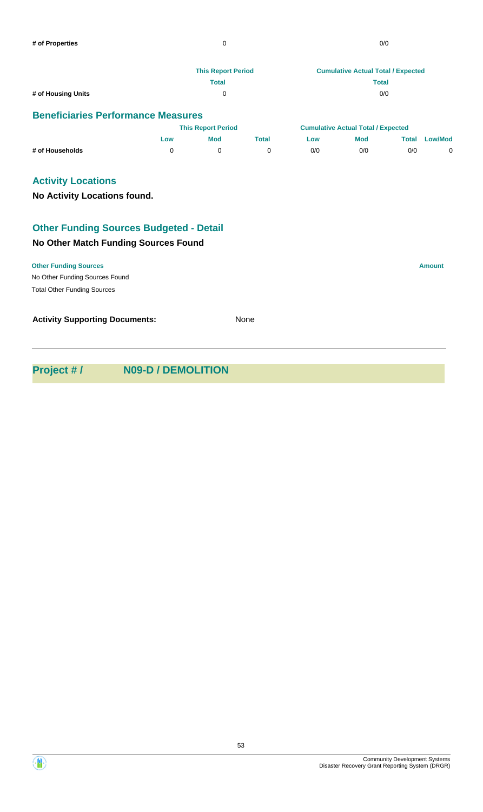|                                           | <b>This Report Period</b> | <b>Cumulative Actual Total / Expected</b> |
|-------------------------------------------|---------------------------|-------------------------------------------|
|                                           | Total                     | <b>Total</b>                              |
| # of Housing Units                        | 0                         | 0/0                                       |
| <b>Beneficiaries Performance Measures</b> |                           |                                           |

|                 | <b>This Report Period</b> |            | <b>Cumulative Actual Total / Expected</b> |     |            |       |                |
|-----------------|---------------------------|------------|-------------------------------------------|-----|------------|-------|----------------|
|                 | Low                       | <b>Mod</b> | Total                                     | Low | <b>Mod</b> | Total | <b>Low/Mod</b> |
| # of Households |                           |            |                                           | 0/0 | 0/0        | 0/0   |                |

# **Activity Locations**

**No Activity Locations found.**

# **Other Funding Sources Budgeted - Detail**

# **No Other Match Funding Sources Found**

No Other Funding Sources Found **Other Funding Sources Amount** Total Other Funding Sources **Activity Supporting Documents:** None

**Project # / N09-D / DEMOLITION**



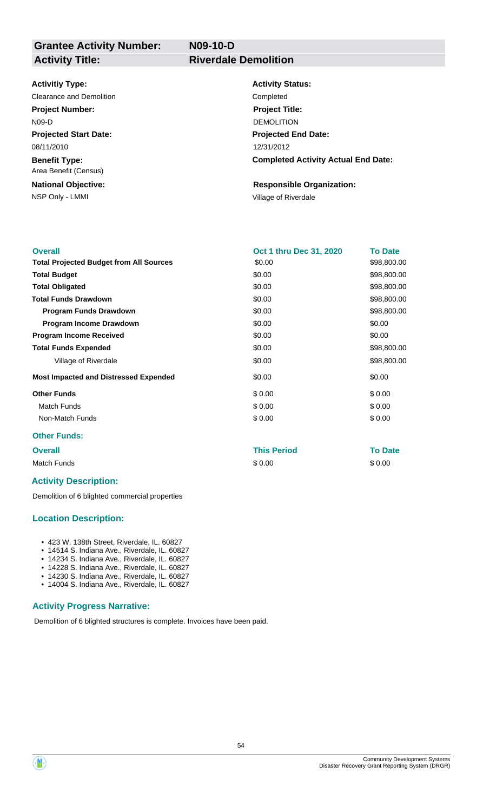**N09-10-D**

# **Grantee Activity Number: Activity Title: Riverdale Demolition**

**Activitiy Type:**

#### Clearance and Demolition Completed Completed

**Projected Start Date:** 08/11/2010 **Project Number:** N09-D

**Benefit Type:** Area Benefit (Census)

NSP Only - LMMI **NSP Only - LMMI** Village of Riverdale **National Objective:**

**Activity Status: Projected End Date: Completed Activity Actual End Date:** 12/31/2012 **Project Title:** DEMOLITION

# **Responsible Organization:**

| <b>Overall</b>                                 | Oct 1 thru Dec 31, 2020 | <b>To Date</b> |
|------------------------------------------------|-------------------------|----------------|
| <b>Total Projected Budget from All Sources</b> | \$0.00                  | \$98,800.00    |
| <b>Total Budget</b>                            | \$0.00                  | \$98,800.00    |
| <b>Total Obligated</b>                         | \$0.00                  | \$98,800.00    |
| <b>Total Funds Drawdown</b>                    | \$0.00                  | \$98,800.00    |
| <b>Program Funds Drawdown</b>                  | \$0.00                  | \$98,800.00    |
| Program Income Drawdown                        | \$0.00                  | \$0.00         |
| <b>Program Income Received</b>                 | \$0.00                  | \$0.00         |
| <b>Total Funds Expended</b>                    | \$0.00                  | \$98,800.00    |
| Village of Riverdale                           | \$0.00                  | \$98,800.00    |
| <b>Most Impacted and Distressed Expended</b>   | \$0.00                  | \$0.00         |
| <b>Other Funds</b>                             | \$0.00                  | \$0.00         |
| Match Funds                                    | \$0.00                  | \$0.00         |
| Non-Match Funds                                | \$0.00                  | \$0.00         |
| <b>Other Funds:</b>                            |                         |                |
| <b>Overall</b>                                 | <b>This Period</b>      | <b>To Date</b> |

Match Funds \$ 0.00 \$ 0.00

# **Activity Description:**

Demolition of 6 blighted commercial properties

#### **Location Description:**

- 423 W. 138th Street, Riverdale, IL. 60827
- 14514 S. Indiana Ave., Riverdale, IL. 60827
- 14234 S. Indiana Ave., Riverdale, IL. 60827
- 14228 S. Indiana Ave., Riverdale, IL. 60827 • 14230 S. Indiana Ave., Riverdale, IL. 60827
- 14004 S. Indiana Ave., Riverdale, IL. 60827

## **Activity Progress Narrative:**

Demolition of 6 blighted structures is complete. Invoices have been paid.

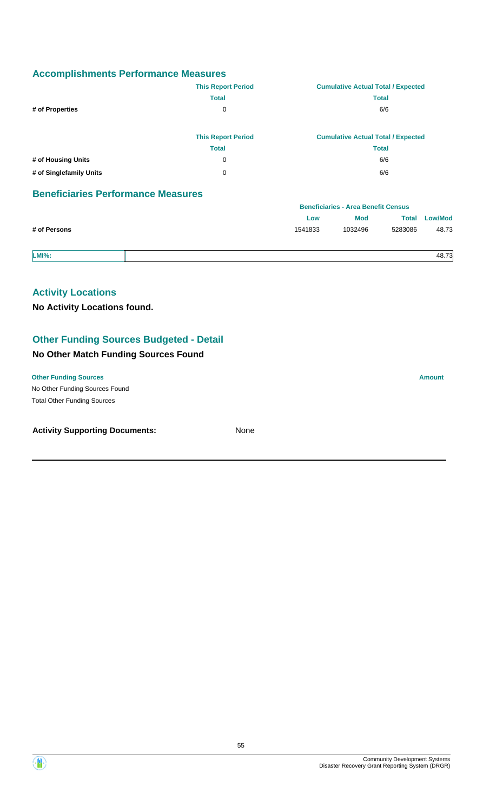|                         | <b>This Report Period</b> | <b>Cumulative Actual Total / Expected</b> |
|-------------------------|---------------------------|-------------------------------------------|
|                         | <b>Total</b>              | <b>Total</b>                              |
| # of Properties         | 0                         | 6/6                                       |
|                         |                           |                                           |
|                         | <b>This Report Period</b> | <b>Cumulative Actual Total / Expected</b> |
|                         | <b>Total</b>              | <b>Total</b>                              |
| # of Housing Units      | 0                         | 6/6                                       |
| # of Singlefamily Units | 0                         | 6/6                                       |

# **Beneficiaries Performance Measures**

|              |         | <b>Beneficiaries - Area Benefit Census</b> |         |                      |  |
|--------------|---------|--------------------------------------------|---------|----------------------|--|
|              | Low     | <b>Mod</b>                                 |         | <b>Total Low/Mod</b> |  |
| # of Persons | 1541833 | 1032496                                    | 5283086 | 48.73                |  |
|              |         |                                            |         |                      |  |

**LMI%:** 48.73

# **Activity Locations**

**No Activity Locations found.**

# **Other Funding Sources Budgeted - Detail**

# **No Other Match Funding Sources Found**

No Other Funding Sources Found **Other Funding Sources Amount** 

Total Other Funding Sources

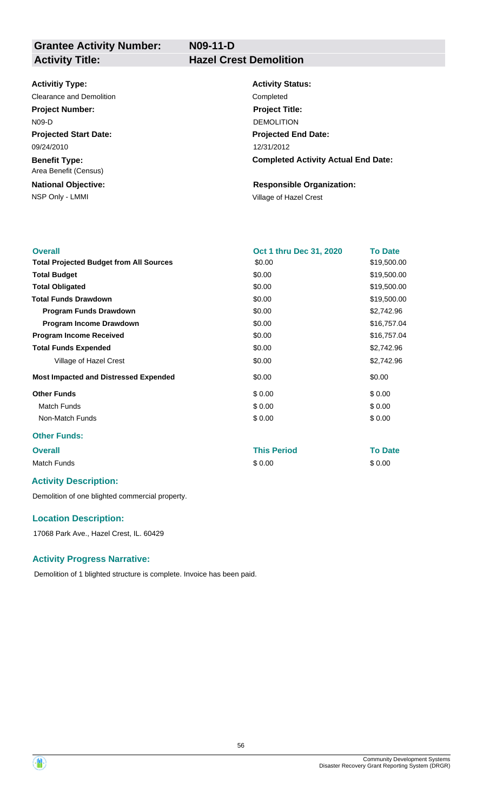**N09-11-D**

# **Grantee Activity Number: Activity Title: Hazel Crest Demolition**

#### **Activitiy Type:**

**Projected Start Date:** 09/24/2010 Clearance and Demolition Completed **Project Number:** N09-D

**Benefit Type:** Area Benefit (Census)

NSP Only - LMMI **NSP Only - LMMI NSP Only - LMMI National Objective:**

**Activity Status: Projected End Date: Completed Activity Actual End Date:** 12/31/2012 **Project Title:** DEMOLITION

# **Responsible Organization:**

| <b>Overall</b>                                 | Oct 1 thru Dec 31, 2020 | <b>To Date</b> |
|------------------------------------------------|-------------------------|----------------|
| <b>Total Projected Budget from All Sources</b> | \$0.00                  | \$19,500.00    |
| <b>Total Budget</b>                            | \$0.00                  | \$19,500.00    |
| <b>Total Obligated</b>                         | \$0.00                  | \$19,500.00    |
| <b>Total Funds Drawdown</b>                    | \$0.00                  | \$19,500.00    |
| <b>Program Funds Drawdown</b>                  | \$0.00                  | \$2,742.96     |
| Program Income Drawdown                        | \$0.00                  | \$16,757.04    |
| <b>Program Income Received</b>                 | \$0.00                  | \$16,757.04    |
| <b>Total Funds Expended</b>                    | \$0.00                  | \$2,742.96     |
| Village of Hazel Crest                         | \$0.00                  | \$2,742.96     |
| <b>Most Impacted and Distressed Expended</b>   | \$0.00                  | \$0.00         |
| <b>Other Funds</b>                             | \$0.00                  | \$0.00         |
| <b>Match Funds</b>                             | \$0.00                  | \$0.00         |
| Non-Match Funds                                | \$0.00                  | \$0.00         |
| <b>Other Funds:</b>                            |                         |                |
| <b>Overall</b>                                 | <b>This Period</b>      | <b>To Date</b> |
| <b>Match Funds</b>                             | \$0.00                  | \$0.00         |

# **Activity Description:**

Demolition of one blighted commercial property.

#### **Location Description:**

17068 Park Ave., Hazel Crest, IL. 60429

#### **Activity Progress Narrative:**

Demolition of 1 blighted structure is complete. Invoice has been paid.



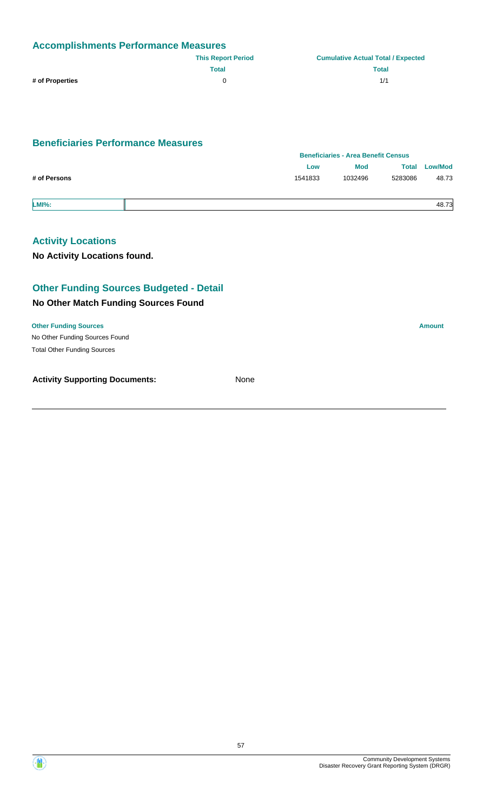| <b>Accomplishments Performance Measures</b> |                           |                                           |  |  |
|---------------------------------------------|---------------------------|-------------------------------------------|--|--|
|                                             | <b>This Report Period</b> | <b>Cumulative Actual Total / Expected</b> |  |  |
|                                             | Total                     | <b>Total</b>                              |  |  |
| # of Properties                             |                           | 1/1                                       |  |  |

# **Beneficiaries Performance Measures**

|              |         | <b>Beneficiaries - Area Benefit Census</b> |              |                |  |
|--------------|---------|--------------------------------------------|--------------|----------------|--|
|              | Low     | <b>Mod</b>                                 | <b>Total</b> | <b>Low/Mod</b> |  |
| # of Persons | 1541833 | 1032496                                    | 5283086      | 48.73          |  |
| <b>LMI%:</b> |         |                                            |              | 48.73          |  |

# **Activity Locations**

**No Activity Locations found.**

# **Other Funding Sources Budgeted - Detail**

### **No Other Match Funding Sources Found**

No Other Funding Sources Found **Other Funding Sources Amount** Total Other Funding Sources

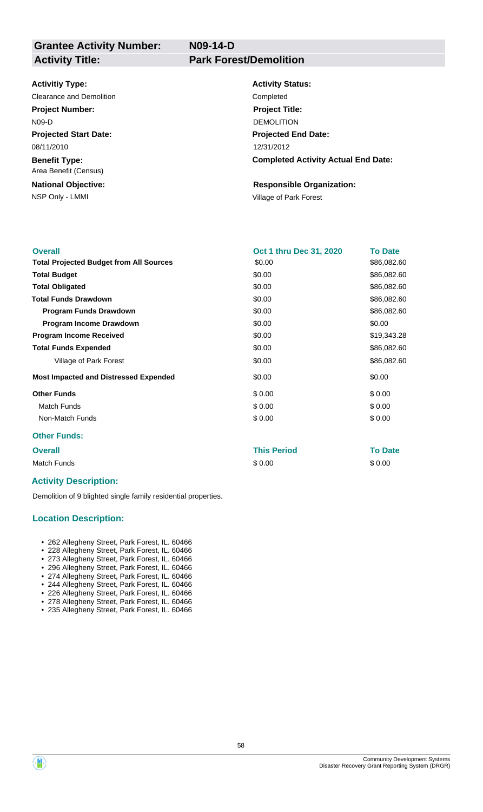**Grantee Activity Number: Activity Title: Park Forest/Demolition**

**N09-14-D**

#### **Activitiy Type:**

Clearance and Demolition Clearance and Demolition **Project Number:** N09-D

**Projected Start Date:** 08/11/2010

**Benefit Type:** Area Benefit (Census)

NSP Only - LMMI **NSP Only - LMMI** Village of Park Forest **National Objective:**

**Activity Status: Projected End Date: Completed Activity Actual End Date:** 12/31/2012 **Project Title:** DEMOLITION

# **Responsible Organization:**

| <b>Overall</b>                                 | <b>Oct 1 thru Dec 31, 2020</b> | <b>To Date</b> |
|------------------------------------------------|--------------------------------|----------------|
| <b>Total Projected Budget from All Sources</b> | \$0.00                         | \$86,082.60    |
| <b>Total Budget</b>                            | \$0.00                         | \$86,082.60    |
| <b>Total Obligated</b>                         | \$0.00                         | \$86,082.60    |
| <b>Total Funds Drawdown</b>                    | \$0.00                         | \$86,082.60    |
| <b>Program Funds Drawdown</b>                  | \$0.00                         | \$86,082.60    |
| <b>Program Income Drawdown</b>                 | \$0.00                         | \$0.00         |
| <b>Program Income Received</b>                 | \$0.00                         | \$19,343.28    |
| <b>Total Funds Expended</b>                    | \$0.00                         | \$86,082.60    |
| Village of Park Forest                         | \$0.00                         | \$86,082.60    |
| <b>Most Impacted and Distressed Expended</b>   | \$0.00                         | \$0.00         |
| <b>Other Funds</b>                             | \$0.00                         | \$0.00         |
| Match Funds                                    | \$0.00                         | \$0.00         |
| Non-Match Funds                                | \$0.00                         | \$0.00         |
| <b>Other Funds:</b>                            |                                |                |

#### **Overall This Period To Date**

Match Funds \$ 0.00 \$ 0.00

#### **Activity Description:**

Demolition of 9 blighted single family residential properties.

#### **Location Description:**

- 262 Allegheny Street, Park Forest, IL. 60466
- 228 Allegheny Street, Park Forest, IL. 60466 • 273 Allegheny Street, Park Forest, IL. 60466
	- 296 Allegheny Street, Park Forest, IL. 60466
	- 274 Allegheny Street, Park Forest, IL. 60466
	- 244 Allegheny Street, Park Forest, IL. 60466
	- 226 Allegheny Street, Park Forest, IL. 60466
- 278 Allegheny Street, Park Forest, IL. 60466
- 235 Allegheny Street, Park Forest, IL. 60466

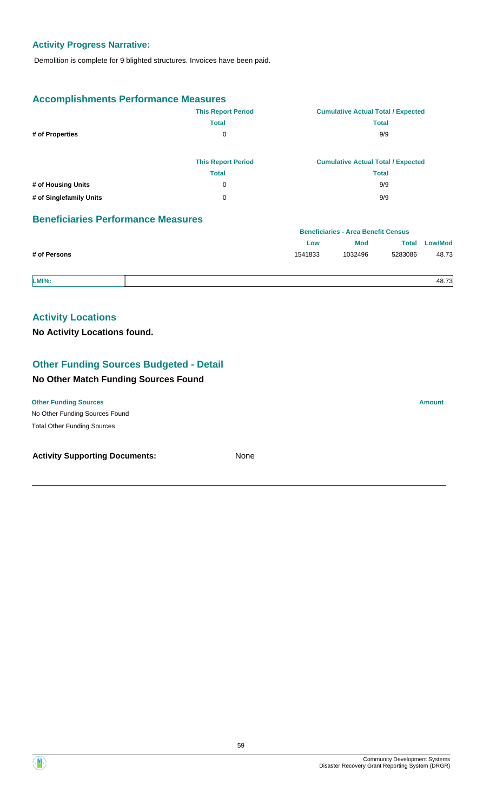# **Activity Progress Narrative:**

Demolition is complete for 9 blighted structures. Invoices have been paid.

# **Accomplishments Performance Measures**

|                         | <b>This Report Period</b> | <b>Cumulative Actual Total / Expected</b> |
|-------------------------|---------------------------|-------------------------------------------|
|                         | <b>Total</b>              | <b>Total</b>                              |
| # of Properties         | 0                         | 9/9                                       |
|                         |                           |                                           |
|                         | <b>This Report Period</b> | <b>Cumulative Actual Total / Expected</b> |
|                         | <b>Total</b>              | <b>Total</b>                              |
| # of Housing Units      | 0                         | 9/9                                       |
| # of Singlefamily Units | 0                         | 9/9                                       |
|                         |                           |                                           |

# **Beneficiaries Performance Measures**

|              |         | <b>Beneficiaries - Area Benefit Census</b> |         |                |
|--------------|---------|--------------------------------------------|---------|----------------|
|              | Low     | <b>Mod</b>                                 | Total   | <b>Low/Mod</b> |
| # of Persons | 1541833 | 1032496                                    | 5283086 | 48.73          |
|              |         |                                            |         |                |

**LMI%:** 48.73

# **Activity Locations**

**No Activity Locations found.**

# **Other Funding Sources Budgeted - Detail**

#### **No Other Match Funding Sources Found**

#### **Other Funding Sources Amount**

No Other Funding Sources Found Total Other Funding Sources

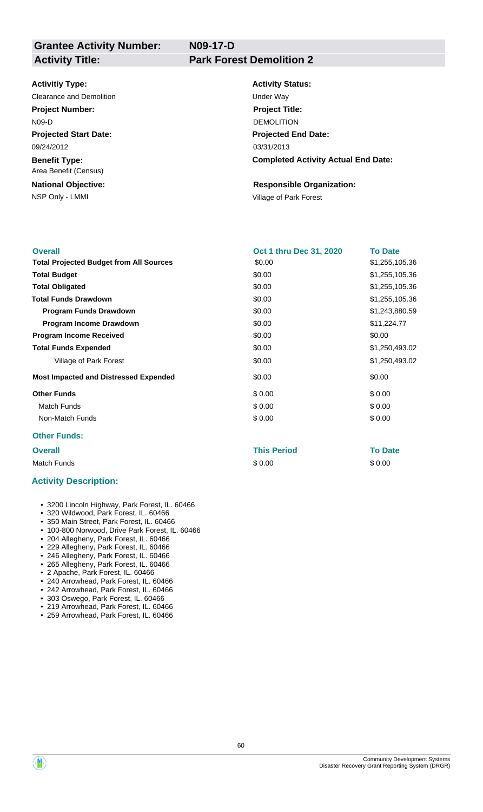**N09-17-D**

# **Grantee Activity Number: Activity Title: Park Forest Demolition 2**

#### **Activitiy Type:**

Clearance and Demolition **Under Way Project Number:** N09-D

**Projected Start Date:** 09/24/2012

**Benefit Type:** Area Benefit (Census)

NSP Only - LMMI **NSP Only - LMMI** Village of Park Forest **National Objective:**

**Activity Status:**

**Projected End Date: Completed Activity Actual End Date:** 03/31/2013 **Project Title:** DEMOLITION

# **Responsible Organization:**

| <b>Overall</b>                                 | <b>Oct 1 thru Dec 31, 2020</b> | <b>To Date</b> |
|------------------------------------------------|--------------------------------|----------------|
| <b>Total Projected Budget from All Sources</b> | \$0.00                         | \$1,255,105.36 |
| <b>Total Budget</b>                            | \$0.00                         | \$1,255,105.36 |
| <b>Total Obligated</b>                         | \$0.00                         | \$1,255,105.36 |
| <b>Total Funds Drawdown</b>                    | \$0.00                         | \$1,255,105.36 |
| <b>Program Funds Drawdown</b>                  | \$0.00                         | \$1,243,880.59 |
| Program Income Drawdown                        | \$0.00                         | \$11,224.77    |
| <b>Program Income Received</b>                 | \$0.00                         | \$0.00         |
| <b>Total Funds Expended</b>                    | \$0.00                         | \$1,250,493.02 |
| Village of Park Forest                         | \$0.00                         | \$1,250,493.02 |
| <b>Most Impacted and Distressed Expended</b>   | \$0.00                         | \$0.00         |
| <b>Other Funds</b>                             | \$0.00                         | \$0.00         |
| <b>Match Funds</b>                             | \$0.00                         | \$0.00         |
| Non-Match Funds                                | \$0.00                         | \$0.00         |
| <b>Other Funds:</b>                            |                                |                |

# **Overall This Period To Date**

Match Funds \$ 0.00 \$ 0.00

#### **Activity Description:**

- 3200 Lincoln Highway, Park Forest, IL. 60466
- 320 Wildwood, Park Forest, IL. 60466
- 350 Main Street, Park Forest, IL. 60466
- 100-800 Norwood, Drive Park Forest, IL. 60466
- 204 Allegheny, Park Forest, IL. 60466
- 229 Allegheny, Park Forest, IL. 60466
	- 246 Allegheny, Park Forest, IL. 60466
	- 265 Allegheny, Park Forest, IL. 60466
	- 2 Apache, Park Forest, IL. 60466
	- 240 Arrowhead, Park Forest, IL. 60466
	- 242 Arrowhead, Park Forest, IL. 60466
	- 303 Oswego, Park Forest, IL. 60466
	- 219 Arrowhead, Park Forest, IL. 60466 • 259 Arrowhead, Park Forest, IL. 60466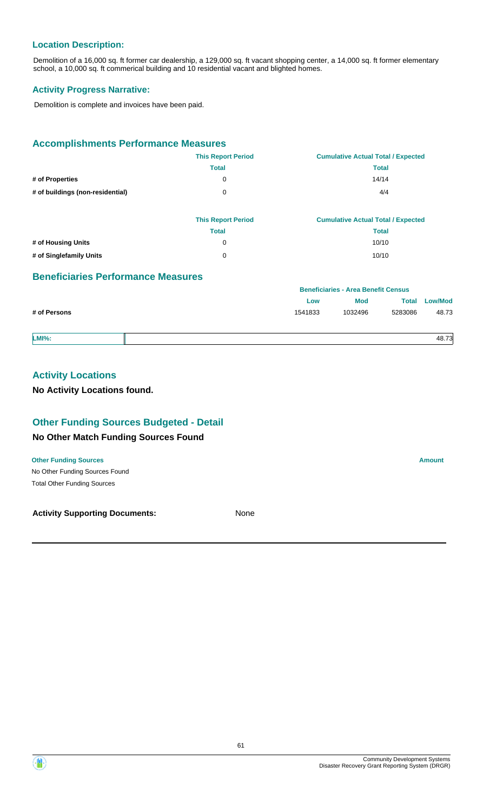# **Location Description:**

Demolition of a 16,000 sq. ft former car dealership, a 129,000 sq. ft vacant shopping center, a 14,000 sq. ft former elementary school, a 10,000 sq. ft commerical building and 10 residential vacant and blighted homes.

#### **Activity Progress Narrative:**

Demolition is complete and invoices have been paid.

# **Accomplishments Performance Measures**

|                                  | <b>This Report Period</b> | <b>Cumulative Actual Total / Expected</b> |
|----------------------------------|---------------------------|-------------------------------------------|
|                                  | <b>Total</b>              | <b>Total</b>                              |
| # of Properties                  | 0                         | 14/14                                     |
| # of buildings (non-residential) | 0                         | 4/4                                       |
|                                  |                           |                                           |
|                                  |                           |                                           |

|                         | <b>This Report Period</b> | <b>Cumulative Actual Total / Expected</b> |
|-------------------------|---------------------------|-------------------------------------------|
|                         | Total                     | Total                                     |
| # of Housing Units      |                           | 10/10                                     |
| # of Singlefamily Units |                           | 10/10                                     |

#### **Beneficiaries Performance Measures**

|              | <b>Deligitualles - Alga Deligiti Celisus</b> |         |         |                |
|--------------|----------------------------------------------|---------|---------|----------------|
|              | Low                                          | Mod     | Total   | <b>Low/Mod</b> |
| # of Persons | 1541833                                      | 1032496 | 5283086 | 48.73          |
| $LMI\%$ :    |                                              |         |         | 48.73          |

**Beneficiaries - Area Benefit Census**

# **Activity Locations**

**No Activity Locations found.**

# **Other Funding Sources Budgeted - Detail**

#### **No Other Match Funding Sources Found**

No Other Funding Sources Found **Other Funding Sources Amount Amount Amount Amount Amount Amount Amount** Total Other Funding Sources



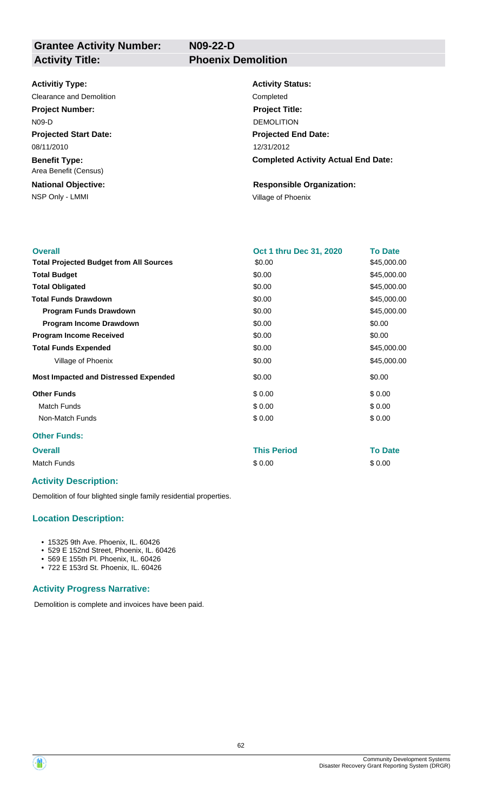**Grantee Activity Number: Activity Title: Phoenix Demolition**

**N09-22-D**

#### **Activitiy Type:**

Clearance and Demolition Completed **Project Number:** N09-D

**Projected Start Date:** 08/11/2010

**Benefit Type:** Area Benefit (Census)

NSP Only - LMMI Village of Phoenix **National Objective:**

**Activity Status: Projected End Date: Completed Activity Actual End Date:** 12/31/2012 **Project Title:** DEMOLITION

# **Responsible Organization:**

| <b>Overall</b>                                 | Oct 1 thru Dec 31, 2020 | <b>To Date</b> |
|------------------------------------------------|-------------------------|----------------|
| <b>Total Projected Budget from All Sources</b> | \$0.00                  | \$45,000.00    |
| <b>Total Budget</b>                            | \$0.00                  | \$45,000.00    |
| <b>Total Obligated</b>                         | \$0.00                  | \$45,000.00    |
| <b>Total Funds Drawdown</b>                    | \$0.00                  | \$45,000.00    |
| <b>Program Funds Drawdown</b>                  | \$0.00                  | \$45,000.00    |
| Program Income Drawdown                        | \$0.00                  | \$0.00         |
| <b>Program Income Received</b>                 | \$0.00                  | \$0.00         |
| <b>Total Funds Expended</b>                    | \$0.00                  | \$45,000.00    |
| Village of Phoenix                             | \$0.00                  | \$45,000.00    |
| <b>Most Impacted and Distressed Expended</b>   | \$0.00                  | \$0.00         |
| <b>Other Funds</b>                             | \$0.00                  | \$0.00         |
| <b>Match Funds</b>                             | \$0.00                  | \$0.00         |
| Non-Match Funds                                | \$0.00                  | \$0.00         |
| <b>Other Funds:</b>                            |                         |                |

**Overall This Period To Date** Match Funds \$ 0.00 \$ 0.00

# **Activity Description:**

Demolition of four blighted single family residential properties.

# **Location Description:**

- 15325 9th Ave. Phoenix, IL. 60426
- 529 E 152nd Street, Phoenix, IL. 60426
- 569 E 155th Pl. Phoenix, IL. 60426
- 722 E 153rd St. Phoenix, IL. 60426

#### **Activity Progress Narrative:**

Demolition is complete and invoices have been paid.

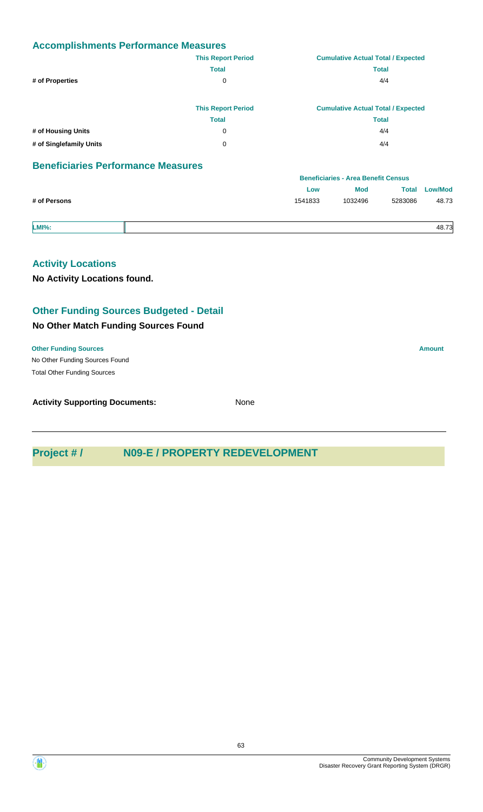|                                           | <b>This Report Period</b> |     | <b>Cumulative Actual Total / Expected</b>  |              |                |
|-------------------------------------------|---------------------------|-----|--------------------------------------------|--------------|----------------|
|                                           | <b>Total</b>              |     | <b>Total</b>                               |              |                |
| # of Properties                           | 0                         | 4/4 |                                            |              |                |
|                                           | <b>This Report Period</b> |     | <b>Cumulative Actual Total / Expected</b>  |              |                |
|                                           | <b>Total</b>              |     | <b>Total</b>                               |              |                |
| # of Housing Units                        | 0                         |     | 4/4                                        |              |                |
| # of Singlefamily Units                   | 0                         | 4/4 |                                            |              |                |
| <b>Beneficiaries Performance Measures</b> |                           |     |                                            |              |                |
|                                           |                           |     | <b>Beneficiaries - Area Benefit Census</b> |              |                |
|                                           |                           | Low | <b>Mod</b>                                 | <b>Total</b> | <b>Low/Mod</b> |

| # of Persons |  | 1541833 | 1032496 | 5283086 | 48.73 |
|--------------|--|---------|---------|---------|-------|
|              |  |         |         |         |       |
| <b>LMI%:</b> |  |         |         |         | 48.73 |

# **Activity Locations**

**No Activity Locations found.**

# **Other Funding Sources Budgeted - Detail**

# **No Other Match Funding Sources Found**

No Other Funding Sources Found **Other Funding Sources Amount** Total Other Funding Sources

| <b>Activity Supporting Documents:</b> | None |
|---------------------------------------|------|
|---------------------------------------|------|

# **Project # / N09-E / PROPERTY REDEVELOPMENT**



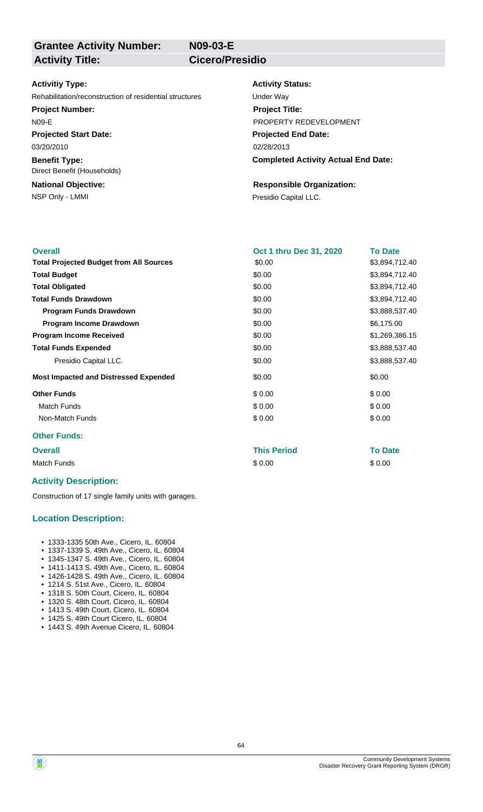**N09-03-E**

# **Grantee Activity Number: Activity Title: Cicero/Presidio**

#### **Activitiy Type:**

Rehabilitation/reconstruction of residential structures Under Way

#### **Project Number:**

N09-E

**Projected Start Date:** 03/20/2010

**Benefit Type:** Direct Benefit (Households)

# **National Objective:**

NSP Only - LMMI **Presidio Capital LLC.** 

#### **Activity Status:**

**Projected End Date: Completed Activity Actual End Date:** 02/28/2013 **Project Title:** PROPERTY REDEVELOPMENT

# **Responsible Organization:**

| <b>Overall</b>                                 |                                | <b>To Date</b> |
|------------------------------------------------|--------------------------------|----------------|
|                                                | <b>Oct 1 thru Dec 31, 2020</b> |                |
| <b>Total Projected Budget from All Sources</b> | \$0.00                         | \$3,894,712.40 |
| <b>Total Budget</b>                            | \$0.00                         | \$3,894,712.40 |
| <b>Total Obligated</b>                         | \$0.00                         | \$3,894,712.40 |
| <b>Total Funds Drawdown</b>                    | \$0.00                         | \$3,894,712.40 |
| <b>Program Funds Drawdown</b>                  | \$0.00                         | \$3,888,537.40 |
| Program Income Drawdown                        | \$0.00                         | \$6,175.00     |
| <b>Program Income Received</b>                 | \$0.00                         | \$1,269,386.15 |
| <b>Total Funds Expended</b>                    | \$0.00                         | \$3,888,537.40 |
| Presidio Capital LLC.                          | \$0.00                         | \$3,888,537.40 |
| <b>Most Impacted and Distressed Expended</b>   | \$0.00                         | \$0.00         |
| <b>Other Funds</b>                             | \$0.00                         | \$0.00         |
| <b>Match Funds</b>                             | \$0.00                         | \$0.00         |
| Non-Match Funds                                | \$0.00                         | \$0.00         |
| <b>Other Funds:</b>                            |                                |                |

#### **Overall This Period To Date**

Match Funds \$ 0.00 \$ 0.00

#### **Activity Description:**

Construction of 17 single family units with garages.

# **Location Description:**

- 1333-1335 50th Ave., Cicero, IL. 60804
- 1337-1339 S. 49th Ave., Cicero, IL. 60804
- 1345-1347 S. 49th Ave., Cicero, IL. 60804
- 1411-1413 S. 49th Ave., Cicero, IL. 60804 • 1426-1428 S. 49th Ave., Cicero, IL. 60804
- 1214 S. 51st Ave., Cicero, IL. 60804
- 1318 S. 50th Court, Cicero, IL. 60804
- 1320 S. 48th Court, Cicero, IL. 60804
- 1413 S. 49th Court, Cicero, IL. 60804
- 1425 S. 49th Court Cicero, IL. 60804
- 1443 S. 49th Avenue Cicero, IL. 60804

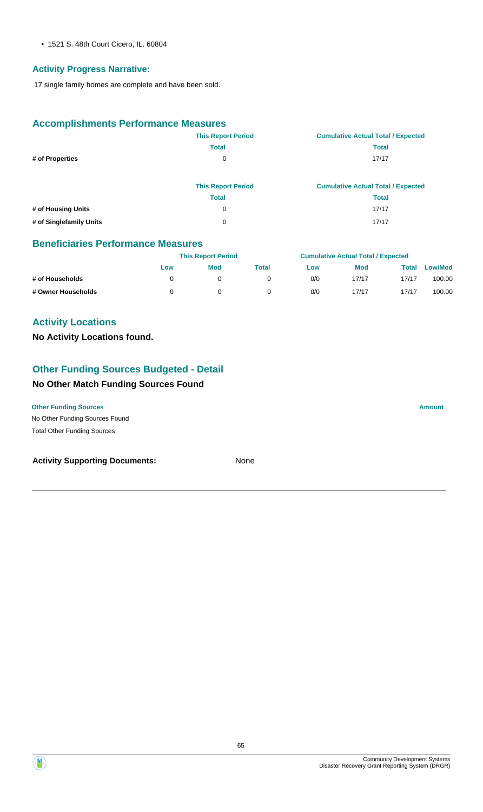• 1521 S. 48th Court Cicero, IL. 60804

# **Activity Progress Narrative:**

17 single family homes are complete and have been sold.

# **Accomplishments Performance Measures**

|                         | <b>This Report Period</b> | <b>Cumulative Actual Total / Expected</b> |
|-------------------------|---------------------------|-------------------------------------------|
|                         | <b>Total</b>              | <b>Total</b>                              |
| # of Properties         | 0                         | 17/17                                     |
|                         | <b>This Report Period</b> | <b>Cumulative Actual Total / Expected</b> |
|                         | <b>Total</b>              | <b>Total</b>                              |
| # of Housing Units      | 0                         | 17/17                                     |
| # of Singlefamily Units | 0                         | 17/17                                     |

#### **Beneficiaries Performance Measures**

|                    | <b>This Report Period</b> |     |       | <b>Cumulative Actual Total / Expected</b> |            |       |         |
|--------------------|---------------------------|-----|-------|-------------------------------------------|------------|-------|---------|
|                    | Low                       | Mod | Total | Low                                       | <b>Mod</b> | Total | Low/Mod |
| # of Households    |                           |     |       | 0/0                                       | 17/17      | 17/17 | 100.00  |
| # Owner Households |                           |     |       | 0/0                                       | 17/17      | 17/17 | 100.00  |

# **Activity Locations**

**No Activity Locations found.**

# **Other Funding Sources Budgeted - Detail**

# **No Other Match Funding Sources Found**

**Other Funding Sources Amount** 

No Other Funding Sources Found Total Other Funding Sources

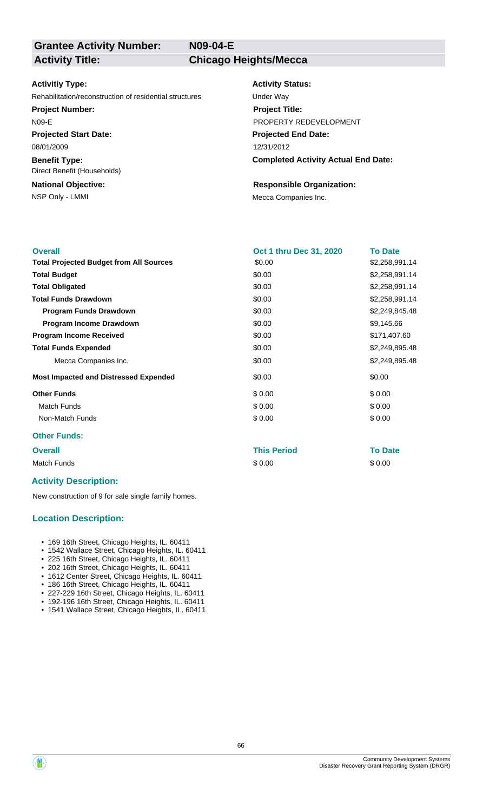**N09-04-E**

# **Grantee Activity Number:**

**Activity Title: Chicago Heights/Mecca**

#### **Activitiy Type:**

Rehabilitation/reconstruction of residential structures Under Way

#### **Project Number:**

N09-E

**Projected Start Date:** 08/01/2009

**Benefit Type:** Direct Benefit (Households)

# **National Objective:**

#### **Activity Status:**

**Projected End Date: Completed Activity Actual End Date:** 12/31/2012 **Project Title:** PROPERTY REDEVELOPMENT

# **Responsible Organization:**

NSP Only - LMMI Mecca Companies Inc.

| <b>Overall</b>                                 | <b>Oct 1 thru Dec 31, 2020</b> | <b>To Date</b> |
|------------------------------------------------|--------------------------------|----------------|
| <b>Total Projected Budget from All Sources</b> | \$0.00                         | \$2,258,991.14 |
| <b>Total Budget</b>                            | \$0.00                         | \$2,258,991.14 |
| <b>Total Obligated</b>                         | \$0.00                         | \$2,258,991.14 |
| <b>Total Funds Drawdown</b>                    | \$0.00                         | \$2,258,991.14 |
| <b>Program Funds Drawdown</b>                  | \$0.00                         | \$2,249,845.48 |
| Program Income Drawdown                        | \$0.00                         | \$9,145.66     |
| <b>Program Income Received</b>                 | \$0.00                         | \$171,407.60   |
| <b>Total Funds Expended</b>                    | \$0.00                         | \$2,249,895.48 |
| Mecca Companies Inc.                           | \$0.00                         | \$2,249,895.48 |
| <b>Most Impacted and Distressed Expended</b>   | \$0.00                         | \$0.00         |
| <b>Other Funds</b>                             | \$0.00                         | \$0.00         |
| <b>Match Funds</b>                             | \$0.00                         | \$0.00         |
| Non-Match Funds                                | \$0.00                         | \$0.00         |
| <b>Other Funds:</b>                            |                                |                |

#### **Overall This Period To Date**

Match Funds \$ 0.00 \$ 0.00

#### **Activity Description:**

New construction of 9 for sale single family homes.

# **Location Description:**

- 169 16th Street, Chicago Heights, IL. 60411
- 1542 Wallace Street, Chicago Heights, IL. 60411
- 225 16th Street, Chicago Heights, IL. 60411
- 202 16th Street, Chicago Heights, IL. 60411 • 1612 Center Street, Chicago Heights, IL. 60411
- 186 16th Street, Chicago Heights, IL. 60411
- 227-229 16th Street, Chicago Heights, IL. 60411
- 192-196 16th Street, Chicago Heights, IL. 60411
- 1541 Wallace Street, Chicago Heights, IL. 60411

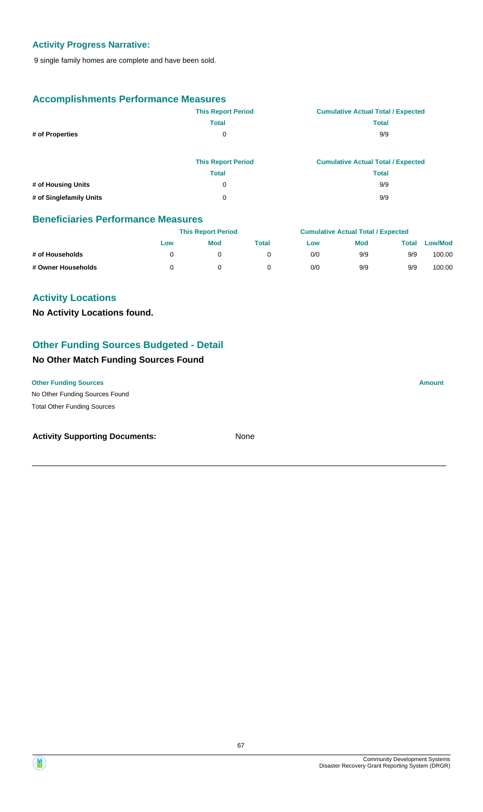# **Activity Progress Narrative:**

9 single family homes are complete and have been sold.

# **Accomplishments Performance Measures**

|                         | <b>This Report Period</b> | <b>Cumulative Actual Total / Expected</b> |
|-------------------------|---------------------------|-------------------------------------------|
|                         | <b>Total</b>              | <b>Total</b>                              |
| # of Properties         | 0                         | 9/9                                       |
|                         |                           |                                           |
|                         | <b>This Report Period</b> | <b>Cumulative Actual Total / Expected</b> |
|                         | <b>Total</b>              | <b>Total</b>                              |
| # of Housing Units      | 0                         | 9/9                                       |
| # of Singlefamily Units | 0                         | 9/9                                       |

# **Beneficiaries Performance Measures**

|                    | <b>This Report Period</b> |            |       | <b>Cumulative Actual Total / Expected</b> |            |       |                |
|--------------------|---------------------------|------------|-------|-------------------------------------------|------------|-------|----------------|
|                    | Low                       | <b>Mod</b> | Total | Low                                       | <b>Mod</b> | Total | <b>Low/Mod</b> |
| # of Households    |                           |            |       | 0/0                                       | 9/9        | 9/9   | 100.00         |
| # Owner Households |                           |            |       | 0/0                                       | 9/9        | 9/9   | 100.00         |

# **Activity Locations**

**No Activity Locations found.**

# **Other Funding Sources Budgeted - Detail**

# **No Other Match Funding Sources Found**

No Other Funding Sources Found **Other Funding Sources Amount** Total Other Funding Sources

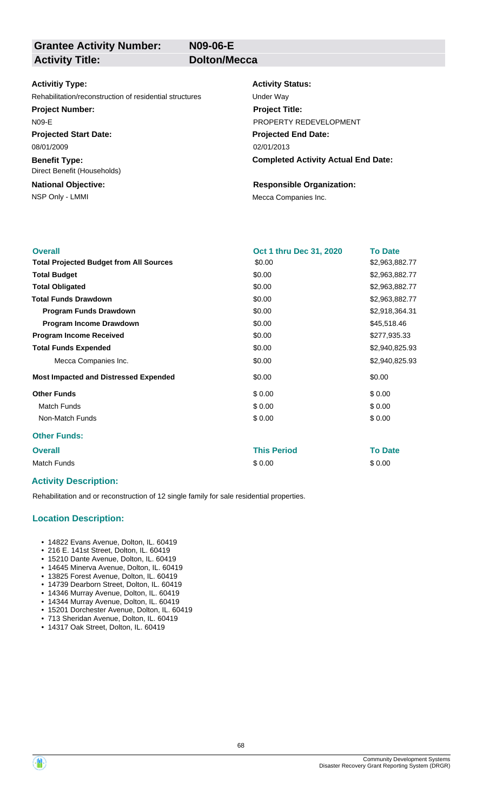**N09-06-E**

# **Grantee Activity Number: Activity Title: Dolton/Mecca**

#### **Activitiy Type:**

Rehabilitation/reconstruction of residential structures Under Way

#### **Project Number:**

N09-E

**Projected Start Date:** 08/01/2009

**Benefit Type:** Direct Benefit (Households)

# **National Objective:**

#### **Activity Status:**

**Projected End Date: Completed Activity Actual End Date:** 02/01/2013 **Project Title:** PROPERTY REDEVELOPMENT

#### **Responsible Organization:**

NSP Only - LMMI MECA Companies Inc.

| <b>Overall</b>                                 | Oct 1 thru Dec 31, 2020 | <b>To Date</b> |
|------------------------------------------------|-------------------------|----------------|
| <b>Total Projected Budget from All Sources</b> | \$0.00                  | \$2,963,882.77 |
| <b>Total Budget</b>                            | \$0.00                  | \$2,963,882.77 |
| <b>Total Obligated</b>                         | \$0.00                  | \$2,963,882.77 |
| <b>Total Funds Drawdown</b>                    | \$0.00                  | \$2,963,882.77 |
| <b>Program Funds Drawdown</b>                  | \$0.00                  | \$2,918,364.31 |
| Program Income Drawdown                        | \$0.00                  | \$45,518.46    |
| <b>Program Income Received</b>                 | \$0.00                  | \$277,935.33   |
| <b>Total Funds Expended</b>                    | \$0.00                  | \$2,940,825.93 |
| Mecca Companies Inc.                           | \$0.00                  | \$2,940,825.93 |
| <b>Most Impacted and Distressed Expended</b>   | \$0.00                  | \$0.00         |
| <b>Other Funds</b>                             | \$0.00                  | \$0.00         |
| <b>Match Funds</b>                             | \$0.00                  | \$0.00         |
| Non-Match Funds                                | \$0.00                  | \$0.00         |
| <b>Other Funds:</b>                            |                         |                |
| <b>Overall</b>                                 | <b>This Period</b>      | <b>To Date</b> |
| <b>Match Funds</b>                             | \$0.00                  | \$0.00         |

# **Activity Description:**

Rehabilitation and or reconstruction of 12 single family for sale residential properties.

# **Location Description:**

- 14822 Evans Avenue, Dolton, IL. 60419
- 216 E. 141st Street, Dolton, IL. 60419
- 15210 Dante Avenue, Dolton, IL. 60419
- 14645 Minerva Avenue, Dolton, IL. 60419
- 13825 Forest Avenue, Dolton, IL. 60419
- 14739 Dearborn Street, Dolton, IL. 60419
- 14346 Murray Avenue, Dolton, IL. 60419
- 14344 Murray Avenue, Dolton, IL. 60419 • 15201 Dorchester Avenue, Dolton, IL. 60419
- 713 Sheridan Avenue, Dolton, IL. 60419
- 14317 Oak Street, Dolton, IL. 60419

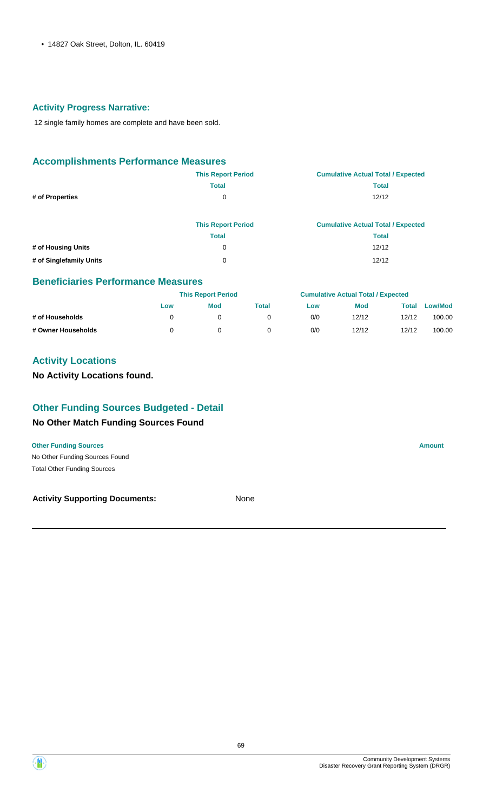• 14827 Oak Street, Dolton, IL. 60419

# **Activity Progress Narrative:**

12 single family homes are complete and have been sold.

# **Accomplishments Performance Measures**

|                         | <b>This Report Period</b> | <b>Cumulative Actual Total / Expected</b> |
|-------------------------|---------------------------|-------------------------------------------|
|                         | <b>Total</b>              | <b>Total</b>                              |
| # of Properties         | 0                         | 12/12                                     |
|                         | <b>This Report Period</b> | <b>Cumulative Actual Total / Expected</b> |
|                         | <b>Total</b>              | <b>Total</b>                              |
| # of Housing Units      | 0                         | 12/12                                     |
| # of Singlefamily Units | 0                         | 12/12                                     |

#### **Beneficiaries Performance Measures**

|                    |     | <b>This Report Period</b> |       |     | <b>Cumulative Actual Total / Expected</b> |       |                |  |
|--------------------|-----|---------------------------|-------|-----|-------------------------------------------|-------|----------------|--|
|                    | Low | <b>Mod</b>                | Total | Low | <b>Mod</b>                                | Total | <b>Low/Mod</b> |  |
| # of Households    |     | 0                         |       | 0/0 | 12/12                                     | 12/12 | 100.00         |  |
| # Owner Households |     |                           |       | 0/0 | 12/12                                     | 12/12 | 100.00         |  |

# **Activity Locations**

**No Activity Locations found.**

# **Other Funding Sources Budgeted - Detail**

#### **No Other Match Funding Sources Found**

**Other Funding Sources Amount** 

No Other Funding Sources Found Total Other Funding Sources

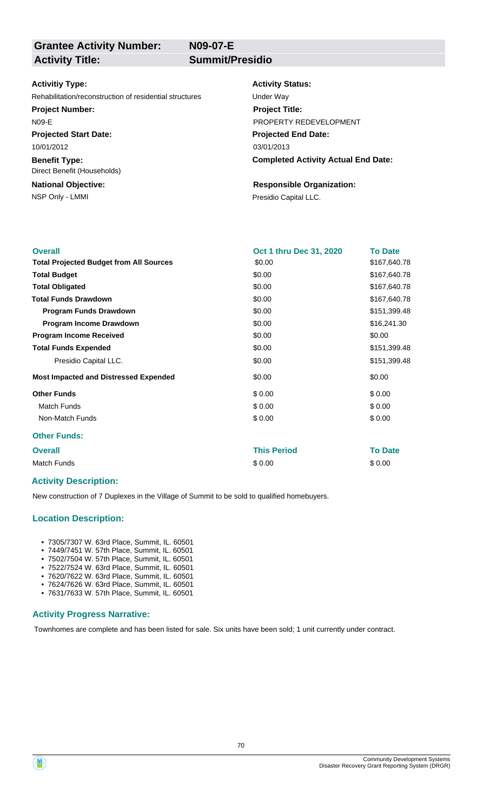**N09-07-E**

# **Grantee Activity Number: Activity Title: Summit/Presidio**

#### **Activitiy Type:**

Rehabilitation/reconstruction of residential structures Under Way

#### **Project Number:**

N09-E

**Projected Start Date:** 10/01/2012

**Benefit Type:**

**National Objective:** Direct Benefit (Households)

NSP Only - LMMI **Presidio Capital LLC.** 

#### **Activity Status:**

**Projected End Date: Completed Activity Actual End Date:** 03/01/2013 **Project Title:** PROPERTY REDEVELOPMENT

# **Responsible Organization:**

| <b>Overall</b>                                 | Oct 1 thru Dec 31, 2020 | <b>To Date</b> |
|------------------------------------------------|-------------------------|----------------|
| <b>Total Projected Budget from All Sources</b> | \$0.00                  | \$167,640.78   |
| <b>Total Budget</b>                            | \$0.00                  | \$167,640.78   |
| <b>Total Obligated</b>                         | \$0.00                  | \$167,640.78   |
| <b>Total Funds Drawdown</b>                    | \$0.00                  | \$167,640.78   |
| <b>Program Funds Drawdown</b>                  | \$0.00                  | \$151,399.48   |
| Program Income Drawdown                        | \$0.00                  | \$16,241.30    |
| <b>Program Income Received</b>                 | \$0.00                  | \$0.00         |
| <b>Total Funds Expended</b>                    | \$0.00                  | \$151,399.48   |
| Presidio Capital LLC.                          | \$0.00                  | \$151,399.48   |
| <b>Most Impacted and Distressed Expended</b>   | \$0.00                  | \$0.00         |
| <b>Other Funds</b>                             | \$0.00                  | \$0.00         |
| <b>Match Funds</b>                             | \$0.00                  | \$0.00         |
| Non-Match Funds                                | \$0.00                  | \$0.00         |
| <b>Other Funds:</b>                            |                         |                |
| <b>Overall</b>                                 | <b>This Period</b>      | <b>To Date</b> |
| <b>Match Funds</b>                             | \$0.00                  | \$0.00         |

# **Activity Description:**

New construction of 7 Duplexes in the Village of Summit to be sold to qualified homebuyers.

# **Location Description:**

- 7305/7307 W. 63rd Place, Summit, IL. 60501
- 7449/7451 W. 57th Place, Summit, IL. 60501
- 7502/7504 W. 57th Place, Summit, IL. 60501 • 7522/7524 W. 63rd Place, Summit, IL. 60501
- 7620/7622 W. 63rd Place, Summit, IL. 60501
- 7624/7626 W. 63rd Place, Summit, IL. 60501
- 7631/7633 W. 57th Place, Summit, IL. 60501

#### **Activity Progress Narrative:**

Townhomes are complete and has been listed for sale. Six units have been sold; 1 unit currently under contract.

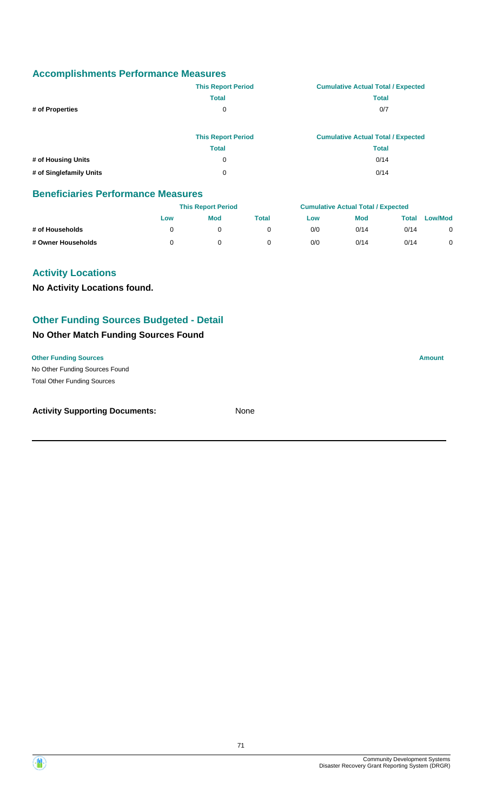|                    | <b>This Report Period</b> | <b>Cumulative Actual Total / Expected</b> |
|--------------------|---------------------------|-------------------------------------------|
|                    | <b>Total</b>              | <b>Total</b>                              |
| # of Properties    | 0                         | 0/7                                       |
|                    | <b>This Report Period</b> | <b>Cumulative Actual Total / Expected</b> |
|                    | <b>Total</b>              | <b>Total</b>                              |
| # of Housing Units | 0                         | 0/14                                      |

**# of Singlefamily Units** 0 0/14

### **Beneficiaries Performance Measures**

|                    |     | <b>This Report Period</b> |       |     | <b>Cumulative Actual Total / Expected</b> |       |                |  |
|--------------------|-----|---------------------------|-------|-----|-------------------------------------------|-------|----------------|--|
|                    | Low | <b>Mod</b>                | Total | Low | <b>Mod</b>                                | Total | <b>Low/Mod</b> |  |
| # of Households    |     |                           |       | 0/0 | 0/14                                      | 0/14  |                |  |
| # Owner Households |     |                           |       | 0/0 | 0/14                                      | 0/14  |                |  |

# **Activity Locations**

**No Activity Locations found.**

# **Other Funding Sources Budgeted - Detail**

# **No Other Match Funding Sources Found**

#### **Other Funding Sources Amount**

No Other Funding Sources Found Total Other Funding Sources

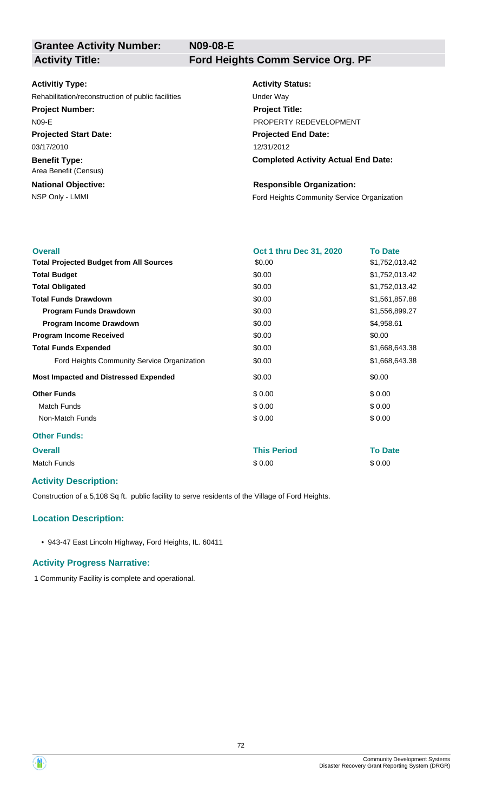**N09-08-E**

**Grantee Activity Number:**

**Activity Title: Ford Heights Comm Service Org. PF**

#### **Activitiy Type:**

Rehabilitation/reconstruction of public facilities Under Way

#### **Project Number:**

N09-E

**Projected Start Date:** 03/17/2010

**Benefit Type:**

**National Objective:** Area Benefit (Census)

# **Activity Status: Projected End Date: Completed Activity Actual End Date:** 12/31/2012 **Project Title:** PROPERTY REDEVELOPMENT

#### **Responsible Organization:**

NSP Only - LMMI **Ford Heights Community Service Organization** 

| <b>Overall</b>                                 | Oct 1 thru Dec 31, 2020 | <b>To Date</b> |
|------------------------------------------------|-------------------------|----------------|
| <b>Total Projected Budget from All Sources</b> | \$0.00                  | \$1,752,013.42 |
| <b>Total Budget</b>                            | \$0.00                  | \$1,752,013.42 |
| <b>Total Obligated</b>                         | \$0.00                  | \$1,752,013.42 |
| <b>Total Funds Drawdown</b>                    | \$0.00                  | \$1,561,857.88 |
| <b>Program Funds Drawdown</b>                  | \$0.00                  | \$1,556,899.27 |
| Program Income Drawdown                        | \$0.00                  | \$4,958.61     |
| <b>Program Income Received</b>                 | \$0.00                  | \$0.00         |
| <b>Total Funds Expended</b>                    | \$0.00                  | \$1,668,643.38 |
| Ford Heights Community Service Organization    | \$0.00                  | \$1,668,643.38 |
| <b>Most Impacted and Distressed Expended</b>   | \$0.00                  | \$0.00         |
| <b>Other Funds</b>                             | \$0.00                  | \$0.00         |
| <b>Match Funds</b>                             | \$0.00                  | \$0.00         |
| Non-Match Funds                                | \$0.00                  | \$0.00         |
| <b>Other Funds:</b>                            |                         |                |
| <b>Overall</b>                                 | <b>This Period</b>      | <b>To Date</b> |
| Match Funds                                    | \$0.00                  | \$0.00         |

# **Activity Description:**

Construction of a 5,108 Sq ft. public facility to serve residents of the Village of Ford Heights.

# **Location Description:**

• 943-47 East Lincoln Highway, Ford Heights, IL. 60411

#### **Activity Progress Narrative:**

1 Community Facility is complete and operational.



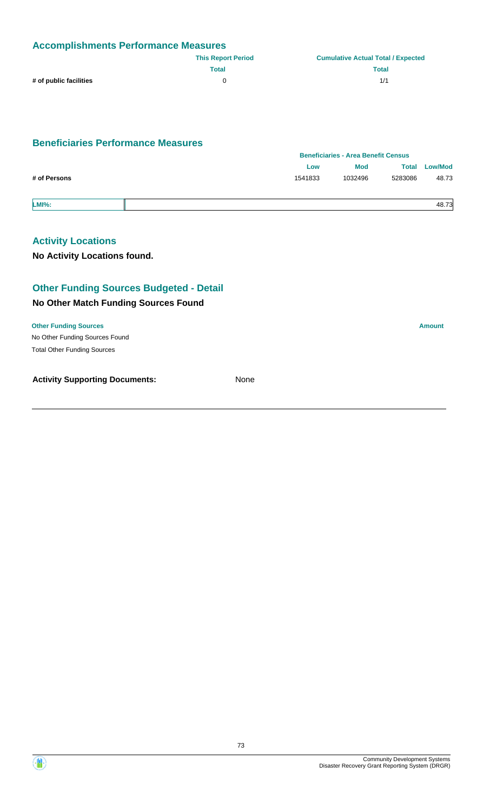| <b>Accomplishments Performance Measures</b> |                           |                                           |  |
|---------------------------------------------|---------------------------|-------------------------------------------|--|
|                                             | <b>This Report Period</b> | <b>Cumulative Actual Total / Expected</b> |  |
|                                             | Total                     | <b>Total</b>                              |  |
| # of public facilities                      | n.                        | 1/1                                       |  |

# **Beneficiaries Performance Measures**

|              |         | <b>Beneficiaries - Area Benefit Census</b> |              |                |  |
|--------------|---------|--------------------------------------------|--------------|----------------|--|
|              | Low     | <b>Mod</b>                                 | <b>Total</b> | <b>Low/Mod</b> |  |
| # of Persons | 1541833 | 1032496                                    | 5283086      | 48.73          |  |
| <b>LMI%:</b> |         |                                            |              | 48.73          |  |

# **Activity Locations**

**No Activity Locations found.**

# **Other Funding Sources Budgeted - Detail**

#### **No Other Match Funding Sources Found**

No Other Funding Sources Found **Other Funding Sources Amount** Total Other Funding Sources

**Activity Supporting Documents:** None

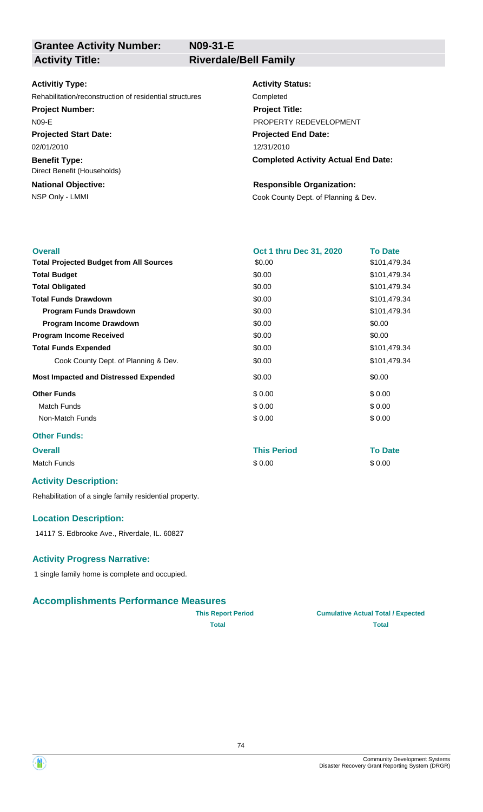**N09-31-E**

# **Grantee Activity Number:**

**Activity Title: Riverdale/Bell Family**

#### **Activitiy Type:**

Rehabilitation/reconstruction of residential structures Completed

**Project Number:**

N09-E

**Projected Start Date:** 02/01/2010

**Benefit Type:** Direct Benefit (Households)

# **National Objective:**

#### **Activity Status:**

**Projected End Date: Completed Activity Actual End Date:** 12/31/2010 **Project Title:** PROPERTY REDEVELOPMENT

#### **Responsible Organization:**

NSP Only - LMMI Cook County Dept. of Planning & Dev.

| <b>Overall</b>                                 | Oct 1 thru Dec 31, 2020 | <b>To Date</b> |
|------------------------------------------------|-------------------------|----------------|
| <b>Total Projected Budget from All Sources</b> | \$0.00                  | \$101,479.34   |
| <b>Total Budget</b>                            | \$0.00                  | \$101,479.34   |
| <b>Total Obligated</b>                         | \$0.00                  | \$101,479.34   |
| <b>Total Funds Drawdown</b>                    | \$0.00                  | \$101,479.34   |
| <b>Program Funds Drawdown</b>                  | \$0.00                  | \$101,479.34   |
| Program Income Drawdown                        | \$0.00                  | \$0.00         |
| <b>Program Income Received</b>                 | \$0.00                  | \$0.00         |
| <b>Total Funds Expended</b>                    | \$0.00                  | \$101,479.34   |
| Cook County Dept. of Planning & Dev.           | \$0.00                  | \$101,479.34   |
| <b>Most Impacted and Distressed Expended</b>   | \$0.00                  | \$0.00         |
| <b>Other Funds</b>                             | \$0.00                  | \$0.00         |
| <b>Match Funds</b>                             | \$0.00                  | \$0.00         |
| Non-Match Funds                                | \$0.00                  | \$0.00         |
| <b>Other Funds:</b>                            |                         |                |
| <b>Overall</b>                                 | <b>This Period</b>      | <b>To Date</b> |

Match Funds \$ 0.00 \$ 0.00

# **Activity Description:**

Rehabilitation of a single family residential property.

#### **Location Description:**

14117 S. Edbrooke Ave., Riverdale, IL. 60827

#### **Activity Progress Narrative:**

1 single family home is complete and occupied.

# **Accomplishments Performance Measures**

| <b>This Report Period</b> | <b>Cumulative Actual Total / Expected</b> |
|---------------------------|-------------------------------------------|
| Total                     | <b>Total</b>                              |